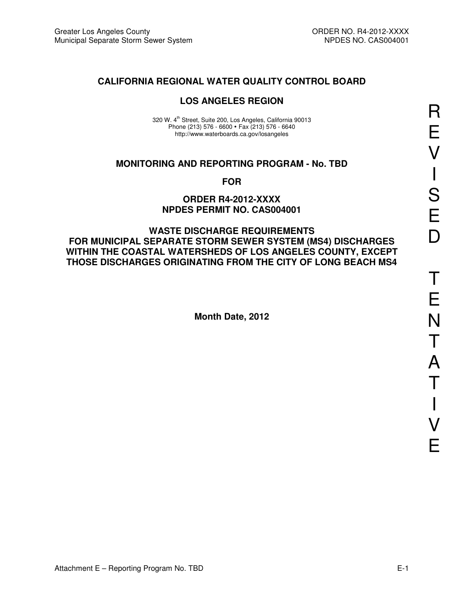## **CALIFORNIA REGIONAL WATER QUALITY CONTROL BOARD**

## **LOS ANGELES REGION**

320 W. 4<sup>th</sup> Street, Suite 200, Los Angeles, California 90013 Phone (213) 576 - 6600 · Fax (213) 576 - 6640 http://www.waterboards.ca.gov/losangeles

#### **MONITORING AND REPORTING PROGRAM - No. TBD**

**FOR** 

#### **ORDER R4-2012-XXXX NPDES PERMIT NO. CAS004001**

#### **WASTE DISCHARGE REQUIREMENTS FOR MUNICIPAL SEPARATE STORM SEWER SYSTEM (MS4) DISCHARGES WITHIN THE COASTAL WATERSHEDS OF LOS ANGELES COUNTY, EXCEPT THOSE DISCHARGES ORIGINATING FROM THE CITY OF LONG BEACH MS4**

**Month Date, 2012**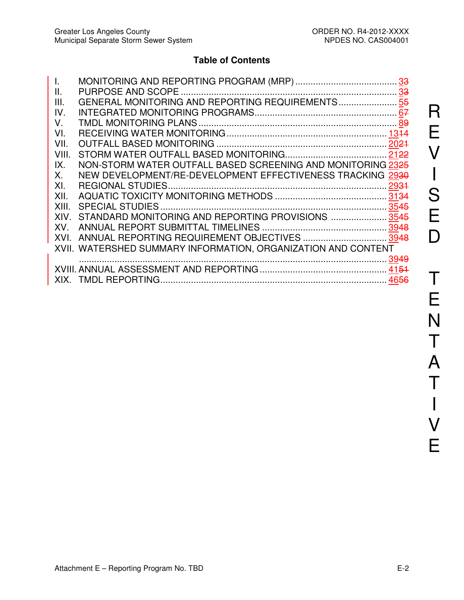## **Table of Contents**

| $\mathbf{L}$ |                                                               |  |
|--------------|---------------------------------------------------------------|--|
| Ш.           |                                                               |  |
| III.         | GENERAL MONITORING AND REPORTING REQUIREMENTS 55              |  |
| IV.          |                                                               |  |
| V.           |                                                               |  |
| VI.          |                                                               |  |
| VII.         |                                                               |  |
| VIII.        |                                                               |  |
| IX.          | NON-STORM WATER OUTFALL BASED SCREENING AND MONITORING 2325   |  |
| Χ.           | NEW DEVELOPMENT/RE-DEVELOPMENT EFFECTIVENESS TRACKING 2930    |  |
| XI.          |                                                               |  |
| XII.         |                                                               |  |
| XIII.        |                                                               |  |
| XIV.         | STANDARD MONITORING AND REPORTING PROVISIONS  3545            |  |
|              |                                                               |  |
|              | XVI. ANNUAL REPORTING REQUIREMENT OBJECTIVES  3948            |  |
|              | XVII. WATERSHED SUMMARY INFORMATION, ORGANIZATION AND CONTENT |  |
|              |                                                               |  |
|              |                                                               |  |
|              |                                                               |  |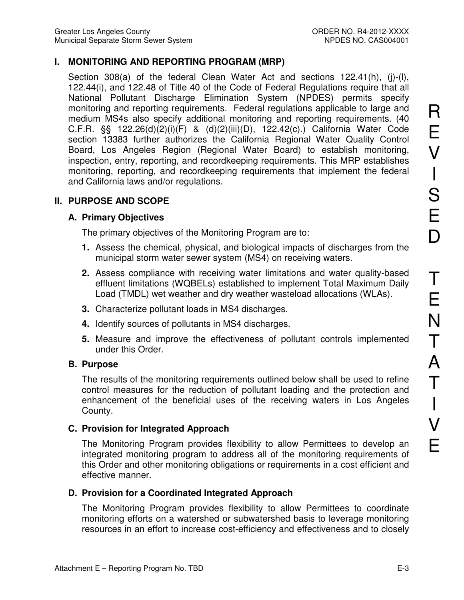## **I. MONITORING AND REPORTING PROGRAM (MRP)**

Section 308(a) of the federal Clean Water Act and sections 122.41(h), (j)-(l), 122.44(i), and 122.48 of Title 40 of the Code of Federal Regulations require that all National Pollutant Discharge Elimination System (NPDES) permits specify monitoring and reporting requirements. Federal regulations applicable to large and medium MS4s also specify additional monitoring and reporting requirements. (40 C.F.R. §§ 122.26(d)(2)(i)(F) & (d)(2)(iii)(D), 122.42(c).) California Water Code section 13383 further authorizes the California Regional Water Quality Control Board, Los Angeles Region (Regional Water Board) to establish monitoring, inspection, entry, reporting, and recordkeeping requirements. This MRP establishes monitoring, reporting, and recordkeeping requirements that implement the federal and California laws and/or regulations.

## **II. PURPOSE AND SCOPE**

## **A. Primary Objectives**

The primary objectives of the Monitoring Program are to:

- **1.** Assess the chemical, physical, and biological impacts of discharges from the municipal storm water sewer system (MS4) on receiving waters.
- **2.** Assess compliance with receiving water limitations and water quality-based effluent limitations (WQBELs) established to implement Total Maximum Daily Load (TMDL) wet weather and dry weather wasteload allocations (WLAs).
- **3.** Characterize pollutant loads in MS4 discharges.
- **4.** Identify sources of pollutants in MS4 discharges.
- **5.** Measure and improve the effectiveness of pollutant controls implemented under this Order.

### **B. Purpose**

The results of the monitoring requirements outlined below shall be used to refine control measures for the reduction of pollutant loading and the protection and enhancement of the beneficial uses of the receiving waters in Los Angeles County.

### **C. Provision for Integrated Approach**

The Monitoring Program provides flexibility to allow Permittees to develop an integrated monitoring program to address all of the monitoring requirements of this Order and other monitoring obligations or requirements in a cost efficient and effective manner.

### **D. Provision for a Coordinated Integrated Approach**

The Monitoring Program provides flexibility to allow Permittees to coordinate monitoring efforts on a watershed or subwatershed basis to leverage monitoring resources in an effort to increase cost-efficiency and effectiveness and to closely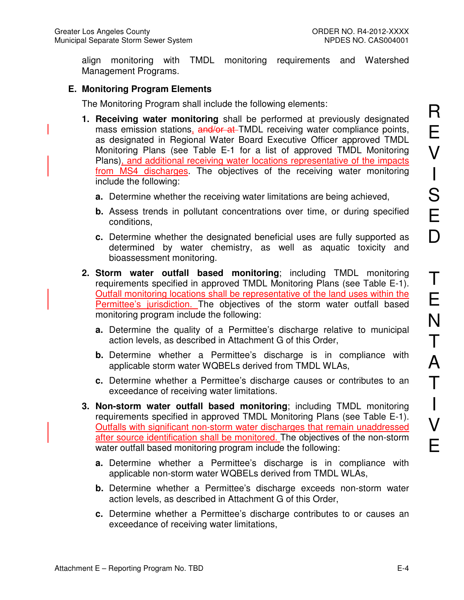align monitoring with TMDL monitoring requirements and Watershed Management Programs.

## **E. Monitoring Program Elements**

The Monitoring Program shall include the following elements:

- **1. Receiving water monitoring** shall be performed at previously designated mass emission stations, and/or at TMDL receiving water compliance points, as designated in Regional Water Board Executive Officer approved TMDL Monitoring Plans (see Table E-1 for a list of approved TMDL Monitoring Plans), and additional receiving water locations representative of the impacts from MS4 discharges. The objectives of the receiving water monitoring include the following:
	- **a.** Determine whether the receiving water limitations are being achieved,
	- **b.** Assess trends in pollutant concentrations over time, or during specified conditions,
	- **c.** Determine whether the designated beneficial uses are fully supported as determined by water chemistry, as well as aquatic toxicity and bioassessment monitoring.
- **2. Storm water outfall based monitoring**; including TMDL monitoring requirements specified in approved TMDL Monitoring Plans (see Table E-1). Outfall monitoring locations shall be representative of the land uses within the Permittee's jurisdiction. The objectives of the storm water outfall based monitoring program include the following:
	- **a.** Determine the quality of a Permittee's discharge relative to municipal action levels, as described in Attachment G of this Order,
	- **b.** Determine whether a Permittee's discharge is in compliance with applicable storm water WQBELs derived from TMDL WLAs,
	- **c.** Determine whether a Permittee's discharge causes or contributes to an exceedance of receiving water limitations.
- **3. Non-storm water outfall based monitoring**; including TMDL monitoring requirements specified in approved TMDL Monitoring Plans (see Table E-1). Outfalls with significant non-storm water discharges that remain unaddressed after source identification shall be monitored. The objectives of the non-storm water outfall based monitoring program include the following:
	- **a.** Determine whether a Permittee's discharge is in compliance with applicable non-storm water WQBELs derived from TMDL WLAs,
	- **b.** Determine whether a Permittee's discharge exceeds non-storm water action levels, as described in Attachment G of this Order,
	- **c.** Determine whether a Permittee's discharge contributes to or causes an exceedance of receiving water limitations,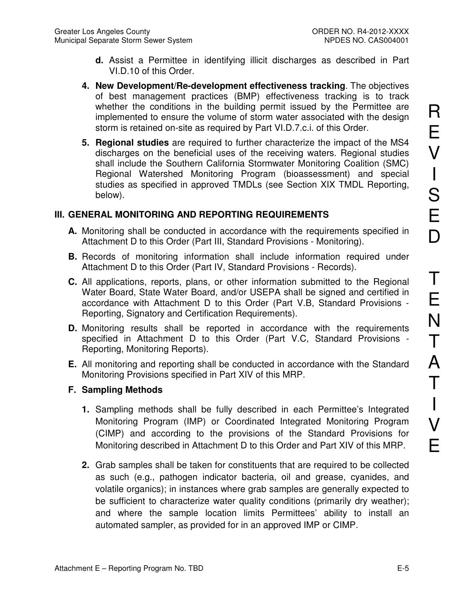- **d.** Assist a Permittee in identifying illicit discharges as described in Part VI.D.10 of this Order.
- **4. New Development/Re-development effectiveness tracking**. The objectives of best management practices (BMP) effectiveness tracking is to track whether the conditions in the building permit issued by the Permittee are implemented to ensure the volume of storm water associated with the design storm is retained on-site as required by Part VI.D.7.c.i. of this Order.
- **5. Regional studies** are required to further characterize the impact of the MS4 discharges on the beneficial uses of the receiving waters. Regional studies shall include the Southern California Stormwater Monitoring Coalition (SMC) Regional Watershed Monitoring Program (bioassessment) and special studies as specified in approved TMDLs (see Section XIX TMDL Reporting, below).

## **III. GENERAL MONITORING AND REPORTING REQUIREMENTS**

- **A.** Monitoring shall be conducted in accordance with the requirements specified in Attachment D to this Order (Part III, Standard Provisions - Monitoring).
- **B.** Records of monitoring information shall include information required under Attachment D to this Order (Part IV, Standard Provisions - Records).
- **C.** All applications, reports, plans, or other information submitted to the Regional Water Board, State Water Board, and/or USEPA shall be signed and certified in accordance with Attachment D to this Order (Part V.B, Standard Provisions - Reporting, Signatory and Certification Requirements).
- **D.** Monitoring results shall be reported in accordance with the requirements specified in Attachment D to this Order (Part V.C, Standard Provisions - Reporting, Monitoring Reports).
- **E.** All monitoring and reporting shall be conducted in accordance with the Standard Monitoring Provisions specified in Part XIV of this MRP.

## **F. Sampling Methods**

- **1.** Sampling methods shall be fully described in each Permittee's Integrated Monitoring Program (IMP) or Coordinated Integrated Monitoring Program (CIMP) and according to the provisions of the Standard Provisions for Monitoring described in Attachment D to this Order and Part XIV of this MRP.
- **2.** Grab samples shall be taken for constituents that are required to be collected as such (e.g., pathogen indicator bacteria, oil and grease, cyanides, and volatile organics); in instances where grab samples are generally expected to be sufficient to characterize water quality conditions (primarily dry weather); and where the sample location limits Permittees' ability to install an automated sampler, as provided for in an approved IMP or CIMP.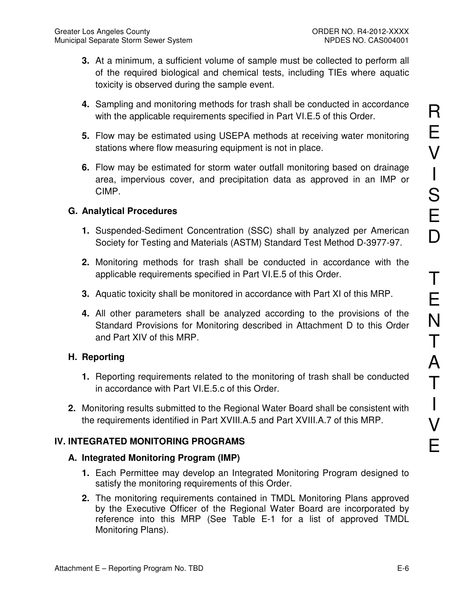- **3.** At a minimum, a sufficient volume of sample must be collected to perform all of the required biological and chemical tests, including TIEs where aquatic toxicity is observed during the sample event.
- **4.** Sampling and monitoring methods for trash shall be conducted in accordance with the applicable requirements specified in Part VI.E.5 of this Order.
- **5.** Flow may be estimated using USEPA methods at receiving water monitoring stations where flow measuring equipment is not in place.
- **6.** Flow may be estimated for storm water outfall monitoring based on drainage area, impervious cover, and precipitation data as approved in an IMP or CIMP.

## **G. Analytical Procedures**

- **1.** Suspended-Sediment Concentration (SSC) shall by analyzed per American Society for Testing and Materials (ASTM) Standard Test Method D-3977-97.
- **2.** Monitoring methods for trash shall be conducted in accordance with the applicable requirements specified in Part VI.E.5 of this Order.
- **3.** Aquatic toxicity shall be monitored in accordance with Part XI of this MRP.
- **4.** All other parameters shall be analyzed according to the provisions of the Standard Provisions for Monitoring described in Attachment D to this Order and Part XIV of this MRP.

### **H. Reporting**

- **1.** Reporting requirements related to the monitoring of trash shall be conducted in accordance with Part VI.E.5.c of this Order.
- **2.** Monitoring results submitted to the Regional Water Board shall be consistent with the requirements identified in Part XVIII.A.5 and Part XVIII.A.7 of this MRP.

## **IV. INTEGRATED MONITORING PROGRAMS**

### **A. Integrated Monitoring Program (IMP)**

- **1.** Each Permittee may develop an Integrated Monitoring Program designed to satisfy the monitoring requirements of this Order.
- **2.** The monitoring requirements contained in TMDL Monitoring Plans approved by the Executive Officer of the Regional Water Board are incorporated by reference into this MRP (See Table E-1 for a list of approved TMDL Monitoring Plans).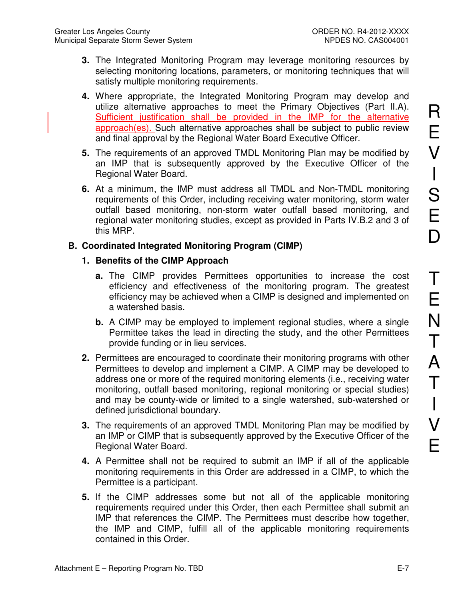- **3.** The Integrated Monitoring Program may leverage monitoring resources by selecting monitoring locations, parameters, or monitoring techniques that will satisfy multiple monitoring requirements.
- **4.** Where appropriate, the Integrated Monitoring Program may develop and utilize alternative approaches to meet the Primary Objectives (Part II.A). Sufficient justification shall be provided in the IMP for the alternative approach(es). Such alternative approaches shall be subject to public review and final approval by the Regional Water Board Executive Officer.
- **5.** The requirements of an approved TMDL Monitoring Plan may be modified by an IMP that is subsequently approved by the Executive Officer of the Regional Water Board.
- **6.** At a minimum, the IMP must address all TMDL and Non-TMDL monitoring requirements of this Order, including receiving water monitoring, storm water outfall based monitoring, non-storm water outfall based monitoring, and regional water monitoring studies, except as provided in Parts IV.B.2 and 3 of this MRP.

## **B. Coordinated Integrated Monitoring Program (CIMP)**

## **1. Benefits of the CIMP Approach**

- **a.** The CIMP provides Permittees opportunities to increase the cost efficiency and effectiveness of the monitoring program. The greatest efficiency may be achieved when a CIMP is designed and implemented on a watershed basis.
- **b.** A CIMP may be employed to implement regional studies, where a single Permittee takes the lead in directing the study, and the other Permittees provide funding or in lieu services.
- **2.** Permittees are encouraged to coordinate their monitoring programs with other Permittees to develop and implement a CIMP. A CIMP may be developed to address one or more of the required monitoring elements (i.e., receiving water monitoring, outfall based monitoring, regional monitoring or special studies) and may be county-wide or limited to a single watershed, sub-watershed or defined jurisdictional boundary.
- **3.** The requirements of an approved TMDL Monitoring Plan may be modified by an IMP or CIMP that is subsequently approved by the Executive Officer of the Regional Water Board.
- **4.** A Permittee shall not be required to submit an IMP if all of the applicable monitoring requirements in this Order are addressed in a CIMP, to which the Permittee is a participant.
- **5.** If the CIMP addresses some but not all of the applicable monitoring requirements required under this Order, then each Permittee shall submit an IMP that references the CIMP. The Permittees must describe how together, the IMP and CIMP, fulfill all of the applicable monitoring requirements contained in this Order.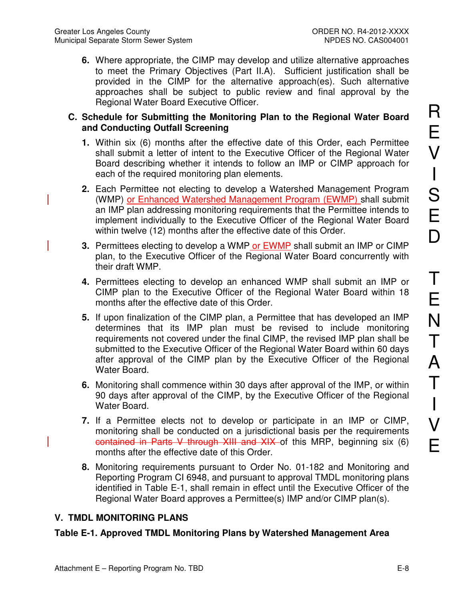**6.** Where appropriate, the CIMP may develop and utilize alternative approaches to meet the Primary Objectives (Part II.A). Sufficient justification shall be provided in the CIMP for the alternative approach(es). Such alternative approaches shall be subject to public review and final approval by the Regional Water Board Executive Officer.

#### **C. Schedule for Submitting the Monitoring Plan to the Regional Water Board and Conducting Outfall Screening**

- **1.** Within six (6) months after the effective date of this Order, each Permittee shall submit a letter of intent to the Executive Officer of the Regional Water Board describing whether it intends to follow an IMP or CIMP approach for each of the required monitoring plan elements.
- **2.** Each Permittee not electing to develop a Watershed Management Program (WMP) or Enhanced Watershed Management Program (EWMP) shall submit an IMP plan addressing monitoring requirements that the Permittee intends to implement individually to the Executive Officer of the Regional Water Board within twelve (12) months after the effective date of this Order.
- **3.** Permittees electing to develop a WMP or EWMP shall submit an IMP or CIMP plan, to the Executive Officer of the Regional Water Board concurrently with their draft WMP.
- **4.** Permittees electing to develop an enhanced WMP shall submit an IMP or CIMP plan to the Executive Officer of the Regional Water Board within 18 months after the effective date of this Order.
- **5.** If upon finalization of the CIMP plan, a Permittee that has developed an IMP determines that its IMP plan must be revised to include monitoring requirements not covered under the final CIMP, the revised IMP plan shall be submitted to the Executive Officer of the Regional Water Board within 60 days after approval of the CIMP plan by the Executive Officer of the Regional Water Board.
- **6.** Monitoring shall commence within 30 days after approval of the IMP, or within 90 days after approval of the CIMP, by the Executive Officer of the Regional Water Board.
- **7.** If a Permittee elects not to develop or participate in an IMP or CIMP, monitoring shall be conducted on a jurisdictional basis per the requirements contained in Parts V through XIII and XIX of this MRP, beginning six (6) months after the effective date of this Order.
- **8.** Monitoring requirements pursuant to Order No. 01-182 and Monitoring and Reporting Program CI 6948, and pursuant to approval TMDL monitoring plans identified in Table E-1, shall remain in effect until the Executive Officer of the Regional Water Board approves a Permittee(s) IMP and/or CIMP plan(s).

### **V. TMDL MONITORING PLANS**

### **Table E-1. Approved TMDL Monitoring Plans by Watershed Management Area**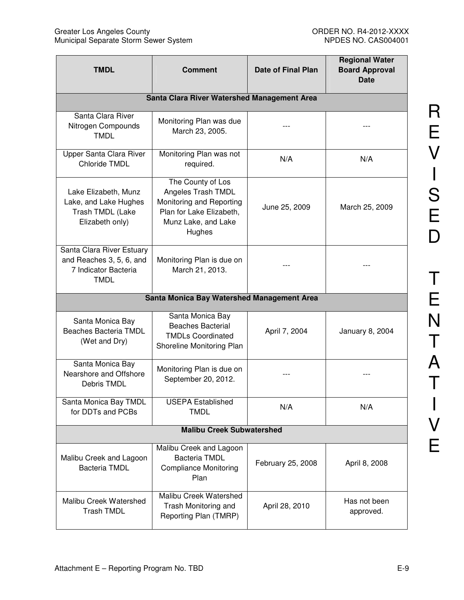| <b>TMDL</b>                                                                                  | <b>Comment</b>                                                                                                                   | <b>Date of Final Plan</b> | <b>Regional Water</b><br><b>Board Approval</b><br><b>Date</b> |
|----------------------------------------------------------------------------------------------|----------------------------------------------------------------------------------------------------------------------------------|---------------------------|---------------------------------------------------------------|
|                                                                                              | Santa Clara River Watershed Management Area                                                                                      |                           |                                                               |
| Santa Clara River<br>Nitrogen Compounds<br><b>TMDL</b>                                       | Monitoring Plan was due<br>March 23, 2005.                                                                                       |                           |                                                               |
| <b>Upper Santa Clara River</b><br><b>Chloride TMDL</b>                                       | Monitoring Plan was not<br>required.                                                                                             | N/A                       | N/A                                                           |
| Lake Elizabeth, Munz<br>Lake, and Lake Hughes<br>Trash TMDL (Lake<br>Elizabeth only)         | The County of Los<br>Angeles Trash TMDL<br>Monitoring and Reporting<br>Plan for Lake Elizabeth,<br>Munz Lake, and Lake<br>Hughes | June 25, 2009             | March 25, 2009                                                |
| Santa Clara River Estuary<br>and Reaches 3, 5, 6, and<br>7 Indicator Bacteria<br><b>TMDL</b> | Monitoring Plan is due on<br>March 21, 2013.                                                                                     |                           |                                                               |
|                                                                                              | Santa Monica Bay Watershed Management Area                                                                                       |                           |                                                               |
| Santa Monica Bay<br>Beaches Bacteria TMDL<br>(Wet and Dry)                                   | Santa Monica Bay<br><b>Beaches Bacterial</b><br><b>TMDLs Coordinated</b><br>Shoreline Monitoring Plan                            | April 7, 2004             | January 8, 2004                                               |
| Santa Monica Bay<br>Nearshore and Offshore<br>Debris TMDL                                    | Monitoring Plan is due on<br>September 20, 2012.                                                                                 |                           |                                                               |
| Santa Monica Bay TMDL<br>for DDTs and PCBs                                                   | <b>USEPA Established</b><br><b>TMDL</b>                                                                                          | N/A                       | N/A                                                           |
| <b>Malibu Creek Subwatershed</b>                                                             |                                                                                                                                  |                           |                                                               |
| Malibu Creek and Lagoon<br><b>Bacteria TMDL</b>                                              | Malibu Creek and Lagoon<br><b>Bacteria TMDL</b><br><b>Compliance Monitoring</b><br>Plan                                          | February 25, 2008         | April 8, 2008                                                 |
| Malibu Creek Watershed<br><b>Trash TMDL</b>                                                  | Malibu Creek Watershed<br>Trash Monitoring and<br>Reporting Plan (TMRP)                                                          | April 28, 2010            | Has not been<br>approved.                                     |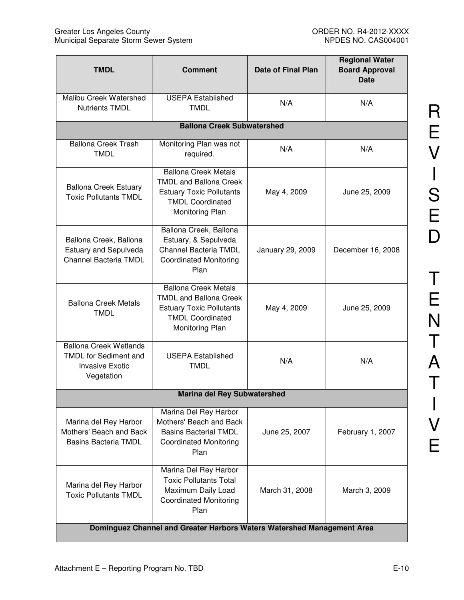| <b>TMDL</b>                                                                                           | <b>Comment</b>                                                                                                                                | <b>Date of Final Plan</b> | <b>Regional Water</b><br><b>Board Approval</b><br><b>Date</b> |
|-------------------------------------------------------------------------------------------------------|-----------------------------------------------------------------------------------------------------------------------------------------------|---------------------------|---------------------------------------------------------------|
| Malibu Creek Watershed<br><b>Nutrients TMDL</b>                                                       | <b>USEPA Established</b><br><b>TMDL</b>                                                                                                       | N/A                       | N/A                                                           |
|                                                                                                       | <b>Ballona Creek Subwatershed</b>                                                                                                             |                           |                                                               |
| <b>Ballona Creek Trash</b><br><b>TMDL</b>                                                             | Monitoring Plan was not<br>required.                                                                                                          | N/A                       | N/A                                                           |
| <b>Ballona Creek Estuary</b><br><b>Toxic Pollutants TMDL</b>                                          | <b>Ballona Creek Metals</b><br><b>TMDL and Ballona Creek</b><br><b>Estuary Toxic Pollutants</b><br><b>TMDL Coordinated</b><br>Monitoring Plan | May 4, 2009               | June 25, 2009                                                 |
| Ballona Creek, Ballona<br><b>Estuary and Sepulveda</b><br>Channel Bacteria TMDL                       | Ballona Creek, Ballona<br>Estuary, & Sepulveda<br><b>Channel Bacteria TMDL</b><br><b>Coordinated Monitoring</b><br>Plan                       | January 29, 2009          | December 16, 2008                                             |
| <b>Ballona Creek Metals</b><br><b>TMDL</b>                                                            | <b>Ballona Creek Metals</b><br><b>TMDL and Ballona Creek</b><br><b>Estuary Toxic Pollutants</b><br><b>TMDL Coordinated</b><br>Monitoring Plan | May 4, 2009               | June 25, 2009                                                 |
| <b>Ballona Creek Wetlands</b><br><b>TMDL</b> for Sediment and<br><b>Invasive Exotic</b><br>Vegetation | <b>USEPA Established</b><br><b>TMDL</b>                                                                                                       | N/A                       | N/A                                                           |
|                                                                                                       | <b>Marina del Rey Subwatershed</b>                                                                                                            |                           |                                                               |
| Marina del Rey Harbor<br>Mothers' Beach and Back<br><b>Basins Bacteria TMDL</b>                       | Marina Del Rey Harbor<br>Mothers' Beach and Back<br><b>Basins Bacterial TMDL</b><br><b>Coordinated Monitoring</b><br>Plan                     | June 25, 2007             | February 1, 2007                                              |
| Marina del Rey Harbor<br><b>Toxic Pollutants TMDL</b>                                                 | Marina Del Rey Harbor<br><b>Toxic Pollutants Total</b><br>Maximum Daily Load<br><b>Coordinated Monitoring</b><br>Plan                         | March 31, 2008            | March 3, 2009                                                 |
| Dominguez Channel and Greater Harbors Waters Watershed Management Area                                |                                                                                                                                               |                           |                                                               |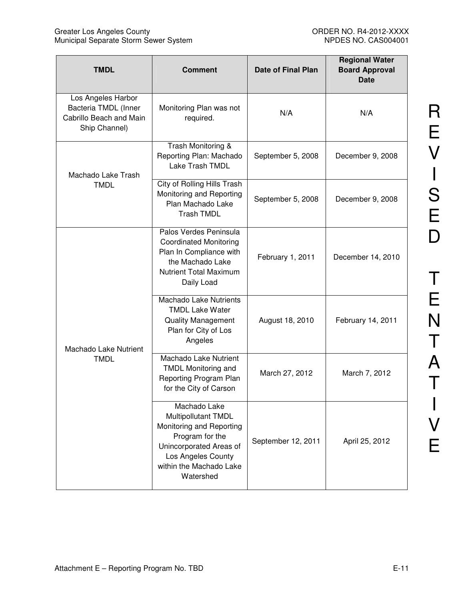| <b>TMDL</b>                                                                            | <b>Comment</b>                                                                                                                                                              | <b>Date of Final Plan</b> | <b>Regional Water</b><br><b>Board Approval</b><br><b>Date</b> |
|----------------------------------------------------------------------------------------|-----------------------------------------------------------------------------------------------------------------------------------------------------------------------------|---------------------------|---------------------------------------------------------------|
| Los Angeles Harbor<br>Bacteria TMDL (Inner<br>Cabrillo Beach and Main<br>Ship Channel) | Monitoring Plan was not<br>required.                                                                                                                                        | N/A                       | N/A                                                           |
| Machado Lake Trash                                                                     | Trash Monitoring &<br>Reporting Plan: Machado<br>Lake Trash TMDL                                                                                                            | September 5, 2008         | December 9, 2008                                              |
| <b>TMDL</b>                                                                            | City of Rolling Hills Trash<br>Monitoring and Reporting<br>Plan Machado Lake<br><b>Trash TMDL</b>                                                                           | September 5, 2008         | December 9, 2008                                              |
|                                                                                        | Palos Verdes Peninsula<br><b>Coordinated Monitoring</b><br>Plan In Compliance with<br>the Machado Lake<br><b>Nutrient Total Maximum</b><br>Daily Load                       | February 1, 2011          | December 14, 2010                                             |
| Machado Lake Nutrient                                                                  | <b>Machado Lake Nutrients</b><br><b>TMDL Lake Water</b><br><b>Quality Management</b><br>Plan for City of Los<br>Angeles                                                     | August 18, 2010           | February 14, 2011                                             |
| <b>TMDL</b>                                                                            | Machado Lake Nutrient<br><b>TMDL Monitoring and</b><br>Reporting Program Plan<br>for the City of Carson                                                                     | March 27, 2012            | March 7, 2012                                                 |
|                                                                                        | Machado Lake<br>Multipollutant TMDL<br>Monitoring and Reporting<br>Program for the<br>Unincorporated Areas of<br>Los Angeles County<br>within the Machado Lake<br>Watershed | September 12, 2011        | April 25, 2012                                                |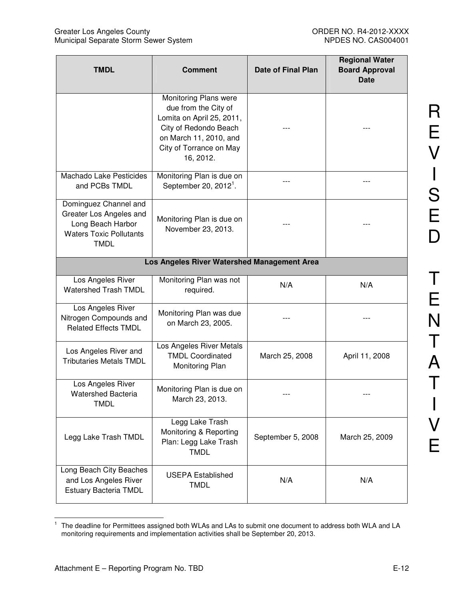| <b>TMDL</b>                                                                                                            | <b>Comment</b>                                                                                                                                                        | <b>Date of Final Plan</b> | <b>Regional Water</b><br><b>Board Approval</b><br><b>Date</b> |
|------------------------------------------------------------------------------------------------------------------------|-----------------------------------------------------------------------------------------------------------------------------------------------------------------------|---------------------------|---------------------------------------------------------------|
|                                                                                                                        | Monitoring Plans were<br>due from the City of<br>Lomita on April 25, 2011,<br>City of Redondo Beach<br>on March 11, 2010, and<br>City of Torrance on May<br>16, 2012. |                           |                                                               |
| Machado Lake Pesticides<br>and PCBs TMDL                                                                               | Monitoring Plan is due on<br>September 20, $20121$ .                                                                                                                  |                           |                                                               |
| Dominguez Channel and<br>Greater Los Angeles and<br>Long Beach Harbor<br><b>Waters Toxic Pollutants</b><br><b>TMDL</b> | Monitoring Plan is due on<br>November 23, 2013.                                                                                                                       |                           |                                                               |
| Los Angeles River Watershed Management Area                                                                            |                                                                                                                                                                       |                           |                                                               |
| Los Angeles River<br>Watershed Trash TMDL                                                                              | Monitoring Plan was not<br>required.                                                                                                                                  | N/A                       | N/A                                                           |
| Los Angeles River<br>Nitrogen Compounds and<br><b>Related Effects TMDL</b>                                             | Monitoring Plan was due<br>on March 23, 2005.                                                                                                                         |                           |                                                               |
| Los Angeles River and<br><b>Tributaries Metals TMDL</b>                                                                | Los Angeles River Metals<br><b>TMDL Coordinated</b><br>Monitoring Plan                                                                                                | March 25, 2008            | April 11, 2008                                                |
| Los Angeles River<br>Watershed Bacteria<br><b>TMDL</b>                                                                 | Monitoring Plan is due on<br>March 23, 2013.                                                                                                                          |                           |                                                               |
| Legg Lake Trash TMDL                                                                                                   | Legg Lake Trash<br>Monitoring & Reporting<br>Plan: Legg Lake Trash<br><b>TMDL</b>                                                                                     | September 5, 2008         | March 25, 2009                                                |
| Long Beach City Beaches<br>and Los Angeles River<br><b>Estuary Bacteria TMDL</b>                                       | <b>USEPA Established</b><br><b>TMDL</b>                                                                                                                               | N/A                       | N/A                                                           |

 $\frac{1}{1}$  The deadline for Permittees assigned both WLAs and LAs to submit one document to address both WLA and LA monitoring requirements and implementation activities shall be September 20, 2013.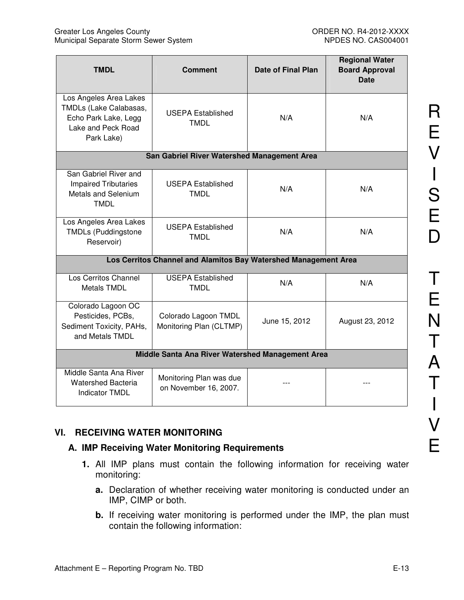| <b>TMDL</b>                                                                                                  | <b>Comment</b>                                   | <b>Date of Final Plan</b> | <b>Regional Water</b><br><b>Board Approval</b><br><b>Date</b> |
|--------------------------------------------------------------------------------------------------------------|--------------------------------------------------|---------------------------|---------------------------------------------------------------|
| Los Angeles Area Lakes<br>TMDLs (Lake Calabasas,<br>Echo Park Lake, Legg<br>Lake and Peck Road<br>Park Lake) | <b>USEPA Established</b><br><b>TMDL</b>          | N/A                       | N/A                                                           |
|                                                                                                              | San Gabriel River Watershed Management Area      |                           |                                                               |
| San Gabriel River and<br><b>Impaired Tributaries</b><br><b>Metals and Selenium</b><br><b>TMDL</b>            | <b>USEPA Established</b><br><b>TMDL</b>          | N/A                       | N/A                                                           |
| Los Angeles Area Lakes<br><b>TMDLs (Puddingstone</b><br>Reservoir)                                           | <b>USEPA Established</b><br><b>TMDL</b>          | N/A                       | N/A                                                           |
| Los Cerritos Channel and Alamitos Bay Watershed Management Area                                              |                                                  |                           |                                                               |
| Los Cerritos Channel<br>Metals TMDL                                                                          | <b>USEPA Established</b><br><b>TMDL</b>          | N/A                       | N/A                                                           |
| Colorado Lagoon OC<br>Pesticides, PCBs,<br>Sediment Toxicity, PAHs,<br>and Metals TMDL                       | Colorado Lagoon TMDL<br>Monitoring Plan (CLTMP)  | June 15, 2012             | August 23, 2012                                               |
| Middle Santa Ana River Watershed Management Area                                                             |                                                  |                           |                                                               |
| Middle Santa Ana River<br><b>Watershed Bacteria</b><br><b>Indicator TMDL</b>                                 | Monitoring Plan was due<br>on November 16, 2007. |                           |                                                               |

## **VI. RECEIVING WATER MONITORING**

## **A. IMP Receiving Water Monitoring Requirements**

- **1.** All IMP plans must contain the following information for receiving water monitoring:
	- **a.** Declaration of whether receiving water monitoring is conducted under an IMP, CIMP or both.
	- **b.** If receiving water monitoring is performed under the IMP, the plan must contain the following information: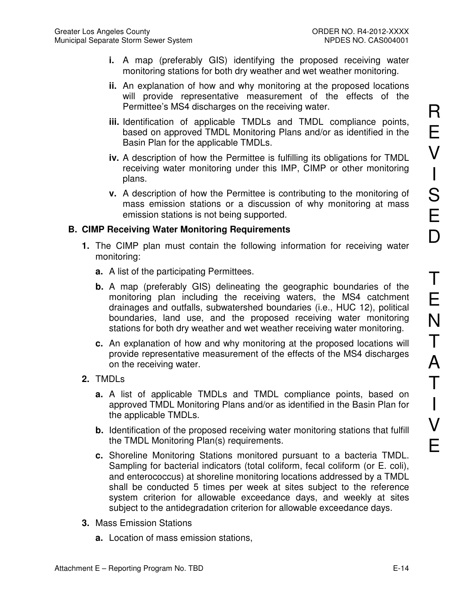- **i.** A map (preferably GIS) identifying the proposed receiving water monitoring stations for both dry weather and wet weather monitoring.
- **ii.** An explanation of how and why monitoring at the proposed locations will provide representative measurement of the effects of the Permittee's MS4 discharges on the receiving water.
- **iii.** Identification of applicable TMDLs and TMDL compliance points, based on approved TMDL Monitoring Plans and/or as identified in the Basin Plan for the applicable TMDLs.
- **iv.** A description of how the Permittee is fulfilling its obligations for TMDL receiving water monitoring under this IMP, CIMP or other monitoring plans.
- **v.** A description of how the Permittee is contributing to the monitoring of mass emission stations or a discussion of why monitoring at mass emission stations is not being supported.

### **B. CIMP Receiving Water Monitoring Requirements**

- **1.** The CIMP plan must contain the following information for receiving water monitoring:
	- **a.** A list of the participating Permittees.
	- **b.** A map (preferably GIS) delineating the geographic boundaries of the monitoring plan including the receiving waters, the MS4 catchment drainages and outfalls, subwatershed boundaries (i.e., HUC 12), political boundaries, land use, and the proposed receiving water monitoring stations for both dry weather and wet weather receiving water monitoring.
	- **c.** An explanation of how and why monitoring at the proposed locations will provide representative measurement of the effects of the MS4 discharges on the receiving water.
- **2.** TMDLs
	- **a.** A list of applicable TMDLs and TMDL compliance points, based on approved TMDL Monitoring Plans and/or as identified in the Basin Plan for the applicable TMDLs.
	- **b.** Identification of the proposed receiving water monitoring stations that fulfill the TMDL Monitoring Plan(s) requirements.
	- **c.** Shoreline Monitoring Stations monitored pursuant to a bacteria TMDL. Sampling for bacterial indicators (total coliform, fecal coliform (or E. coli), and enterococcus) at shoreline monitoring locations addressed by a TMDL shall be conducted 5 times per week at sites subject to the reference system criterion for allowable exceedance days, and weekly at sites subject to the antidegradation criterion for allowable exceedance days.
- **3.** Mass Emission Stations
	- **a.** Location of mass emission stations,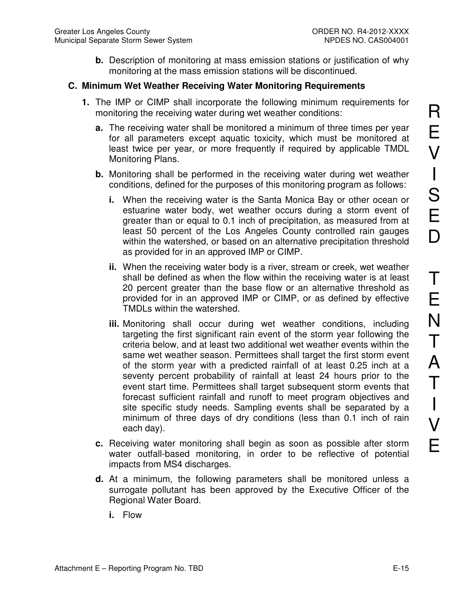**b.** Description of monitoring at mass emission stations or justification of why monitoring at the mass emission stations will be discontinued.

## **C. Minimum Wet Weather Receiving Water Monitoring Requirements**

- **1.** The IMP or CIMP shall incorporate the following minimum requirements for monitoring the receiving water during wet weather conditions:
	- **a.** The receiving water shall be monitored a minimum of three times per year for all parameters except aquatic toxicity, which must be monitored at least twice per year, or more frequently if required by applicable TMDL Monitoring Plans.
	- **b.** Monitoring shall be performed in the receiving water during wet weather conditions, defined for the purposes of this monitoring program as follows:
		- **i.** When the receiving water is the Santa Monica Bay or other ocean or estuarine water body, wet weather occurs during a storm event of greater than or equal to 0.1 inch of precipitation, as measured from at least 50 percent of the Los Angeles County controlled rain gauges within the watershed, or based on an alternative precipitation threshold as provided for in an approved IMP or CIMP.
		- **ii.** When the receiving water body is a river, stream or creek, wet weather shall be defined as when the flow within the receiving water is at least 20 percent greater than the base flow or an alternative threshold as provided for in an approved IMP or CIMP, or as defined by effective TMDLs within the watershed.
		- **iii.** Monitoring shall occur during wet weather conditions, including targeting the first significant rain event of the storm year following the criteria below, and at least two additional wet weather events within the same wet weather season. Permittees shall target the first storm event of the storm year with a predicted rainfall of at least 0.25 inch at a seventy percent probability of rainfall at least 24 hours prior to the event start time. Permittees shall target subsequent storm events that forecast sufficient rainfall and runoff to meet program objectives and site specific study needs. Sampling events shall be separated by a minimum of three days of dry conditions (less than 0.1 inch of rain each day).
	- **c.** Receiving water monitoring shall begin as soon as possible after storm water outfall-based monitoring, in order to be reflective of potential impacts from MS4 discharges.
	- **d.** At a minimum, the following parameters shall be monitored unless a surrogate pollutant has been approved by the Executive Officer of the Regional Water Board.
		- **i.** Flow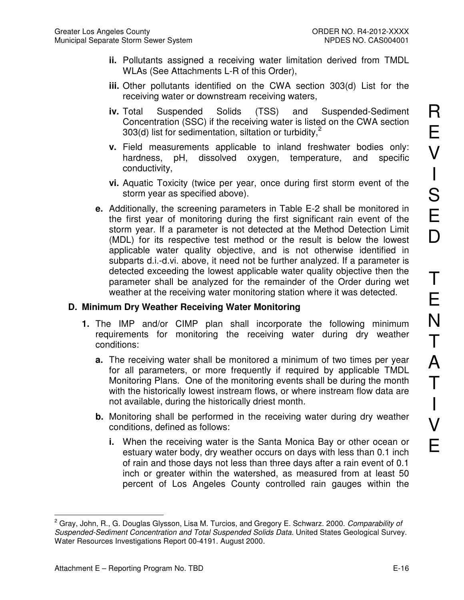- **ii.** Pollutants assigned a receiving water limitation derived from TMDL WLAs (See Attachments L-R of this Order),
- **iii.** Other pollutants identified on the CWA section 303(d) List for the receiving water or downstream receiving waters,
- **iv.** Total Suspended Solids (TSS) and Suspended-Sediment Concentration (SSC) if the receiving water is listed on the CWA section 303(d) list for sedimentation, siltation or turbidity, $<sup>2</sup>$ </sup>
- **v.** Field measurements applicable to inland freshwater bodies only: hardness, pH, dissolved oxygen, temperature, and specific conductivity,
- **vi.** Aquatic Toxicity (twice per year, once during first storm event of the storm year as specified above).
- **e.** Additionally, the screening parameters in Table E-2 shall be monitored in the first year of monitoring during the first significant rain event of the storm year. If a parameter is not detected at the Method Detection Limit (MDL) for its respective test method or the result is below the lowest applicable water quality objective, and is not otherwise identified in subparts d.i.-d.vi. above, it need not be further analyzed. If a parameter is detected exceeding the lowest applicable water quality objective then the parameter shall be analyzed for the remainder of the Order during wet weather at the receiving water monitoring station where it was detected.

#### **D. Minimum Dry Weather Receiving Water Monitoring**

- **1.** The IMP and/or CIMP plan shall incorporate the following minimum requirements for monitoring the receiving water during dry weather conditions:
	- **a.** The receiving water shall be monitored a minimum of two times per year for all parameters, or more frequently if required by applicable TMDL Monitoring Plans. One of the monitoring events shall be during the month with the historically lowest instream flows, or where instream flow data are not available, during the historically driest month.
	- **b.** Monitoring shall be performed in the receiving water during dry weather conditions, defined as follows:
		- **i.** When the receiving water is the Santa Monica Bay or other ocean or estuary water body, dry weather occurs on days with less than 0.1 inch of rain and those days not less than three days after a rain event of 0.1 inch or greater within the watershed, as measured from at least 50 percent of Los Angeles County controlled rain gauges within the

 $\overline{a}$ <sup>2</sup> Gray, John, R., G. Douglas Glysson, Lisa M. Turcios, and Gregory E. Schwarz. 2000. *Comparability of* Suspended-Sediment Concentration and Total Suspended Solids Data. United States Geological Survey. Water Resources Investigations Report 00-4191. August 2000.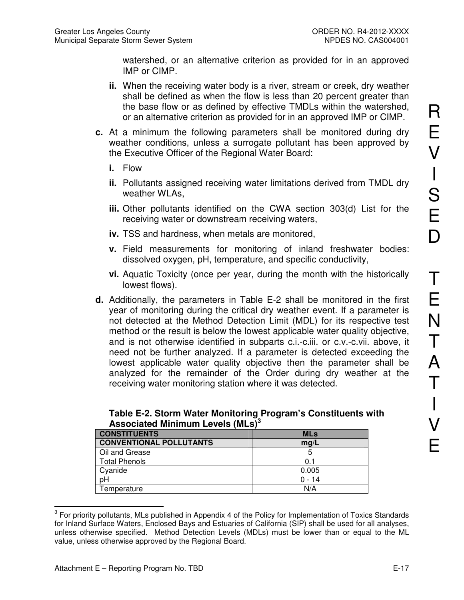watershed, or an alternative criterion as provided for in an approved IMP or CIMP.

- **ii.** When the receiving water body is a river, stream or creek, dry weather shall be defined as when the flow is less than 20 percent greater than the base flow or as defined by effective TMDLs within the watershed, or an alternative criterion as provided for in an approved IMP or CIMP.
- **c.** At a minimum the following parameters shall be monitored during dry weather conditions, unless a surrogate pollutant has been approved by the Executive Officer of the Regional Water Board:
	- **i.** Flow
	- **ii.** Pollutants assigned receiving water limitations derived from TMDL dry weather WLAs,
	- **iii.** Other pollutants identified on the CWA section 303(d) List for the receiving water or downstream receiving waters,
	- **iv.** TSS and hardness, when metals are monitored,
	- **v.** Field measurements for monitoring of inland freshwater bodies: dissolved oxygen, pH, temperature, and specific conductivity,
	- **vi.** Aquatic Toxicity (once per year, during the month with the historically lowest flows).
- **d.** Additionally, the parameters in Table E-2 shall be monitored in the first year of monitoring during the critical dry weather event. If a parameter is not detected at the Method Detection Limit (MDL) for its respective test method or the result is below the lowest applicable water quality objective, and is not otherwise identified in subparts c.i.-c.iii. or c.v.-c.vii. above, it need not be further analyzed. If a parameter is detected exceeding the lowest applicable water quality objective then the parameter shall be analyzed for the remainder of the Order during dry weather at the receiving water monitoring station where it was detected.

| <b>CONSTITUENTS</b>            | <b>MLs</b> |  |
|--------------------------------|------------|--|
| <b>CONVENTIONAL POLLUTANTS</b> | mq/L       |  |
| Oil and Grease                 |            |  |
| <b>Total Phenols</b>           | 0.1        |  |
| Cyanide                        | 0.005      |  |
| pH                             | $0 - 14$   |  |
| Temperature                    | N/A        |  |

| Table E-2. Storm Water Monitoring Program's Constituents with |
|---------------------------------------------------------------|
| Associated Minimum Levels (MLs) <sup>3</sup>                  |

 $\overline{a}$  $3$  For priority pollutants, MLs published in Appendix 4 of the Policy for Implementation of Toxics Standards for Inland Surface Waters, Enclosed Bays and Estuaries of California (SIP) shall be used for all analyses, unless otherwise specified. Method Detection Levels (MDLs) must be lower than or equal to the ML value, unless otherwise approved by the Regional Board.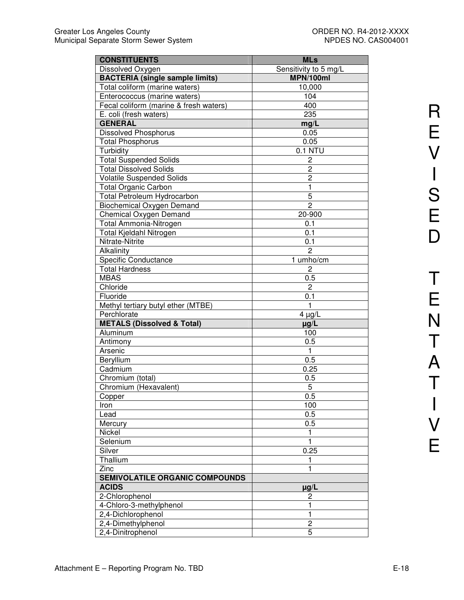| <b>CONSTITUENTS</b>                    | <b>MLs</b>              |
|----------------------------------------|-------------------------|
| Dissolved Oxygen                       | Sensitivity to 5 mg/L   |
| <b>BACTERIA (single sample limits)</b> | MPN/100ml               |
| Total coliform (marine waters)         | 10,000                  |
| Enterococcus (marine waters)           | 104                     |
| Fecal coliform (marine & fresh waters) | 400                     |
| E. coli (fresh waters)                 | 235                     |
| <b>GENERAL</b>                         | mg/L                    |
| <b>Dissolved Phosphorus</b>            | 0.05                    |
| <b>Total Phosphorus</b>                | 0.05                    |
| Turbidity                              | 0.1 NTU                 |
| <b>Total Suspended Solids</b>          | $\overline{\mathbf{c}}$ |
| <b>Total Dissolved Solids</b>          | 2                       |
| <b>Volatile Suspended Solids</b>       | $\overline{c}$          |
|                                        | 1                       |
| <b>Total Organic Carbon</b>            |                         |
| Total Petroleum Hydrocarbon            | 5<br>$\overline{2}$     |
| <b>Biochemical Oxygen Demand</b>       | 20-900                  |
| <b>Chemical Oxygen Demand</b>          |                         |
| Total Ammonia-Nitrogen                 | 0.1                     |
| Total Kjeldahl Nitrogen                | 0.1                     |
| Nitrate-Nitrite                        | 0.1                     |
| Alkalinity                             | $\overline{2}$          |
| <b>Specific Conductance</b>            | 1 umho/cm               |
| <b>Total Hardness</b>                  | 2                       |
| <b>MBAS</b>                            | 0.5                     |
| Chloride                               | $\overline{c}$          |
| Fluoride                               | 0.1                     |
| Methyl tertiary butyl ether (MTBE)     | 1                       |
| Perchlorate                            | $4 \mu g/L$             |
| <b>METALS (Dissolved &amp; Total)</b>  | $\mu$ g/L               |
| Aluminum                               | 100                     |
| Antimony                               | 0.5                     |
| Arsenic                                | 1                       |
| Beryllium                              | 0.5                     |
| Cadmium                                | 0.25                    |
| Chromium (total)                       | 0.5                     |
| Chromium (Hexavalent)                  | 5                       |
| Copper                                 | 0.5                     |
| Iron                                   | 100                     |
| Lead                                   | 0.5                     |
| Mercury                                | 0.5                     |
| Nickel                                 | 1                       |
| Selenium                               | 1                       |
| Silver                                 | 0.25                    |
| Thallium                               | 1                       |
| Zinc                                   | 1                       |
| <b>SEMIVOLATILE ORGANIC COMPOUNDS</b>  |                         |
| <b>ACIDS</b>                           | µg/L                    |
| 2-Chlorophenol                         | 2                       |
| 4-Chloro-3-methylphenol                | 1                       |
| 2,4-Dichlorophenol                     | 1                       |
| 2,4-Dimethylphenol                     | 2                       |
| 2,4-Dinitrophenol                      | 5                       |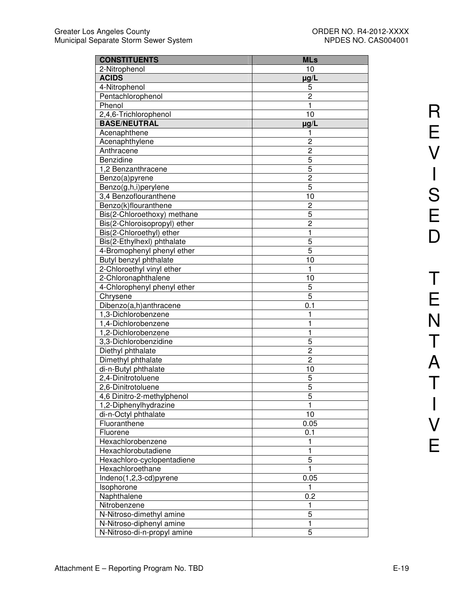| <b>CONSTITUENTS</b>          | <b>MLs</b>     |
|------------------------------|----------------|
| 2-Nitrophenol                | 10             |
| <b>ACIDS</b>                 | $\mu$ g/L      |
| 4-Nitrophenol                | 5              |
| Pentachlorophenol            | 2              |
| Phenol                       | 1              |
| 2,4,6-Trichlorophenol        | 10             |
| <b>BASE/NEUTRAL</b>          | $\mu$ g/L      |
| Acenaphthene                 | 1              |
| Acenaphthylene               | $\overline{c}$ |
| Anthracene                   | $\overline{c}$ |
| Benzidine                    | 5              |
| 1,2 Benzanthracene           | 5              |
| Benzo(a)pyrene               | $\overline{c}$ |
| Benzo(g,h,i)perylene         | 5              |
| 3,4 Benzoflouranthene        | 10             |
| Benzo(k)flouranthene         | $\overline{c}$ |
| Bis(2-Chloroethoxy) methane  | 5              |
| Bis(2-Chloroisopropyl) ether | $\overline{c}$ |
| Bis(2-Chloroethyl) ether     | 1              |
| Bis(2-Ethylhexl) phthalate   | 5              |
| 4-Bromophenyl phenyl ether   | 5              |
| Butyl benzyl phthalate       | 10             |
| 2-Chloroethyl vinyl ether    | 1              |
| 2-Chloronaphthalene          | 10             |
| 4-Chlorophenyl phenyl ether  | 5              |
| Chrysene                     | 5              |
| Dibenzo(a,h)anthracene       | 0.1            |
| 1,3-Dichlorobenzene          | 1              |
| 1,4-Dichlorobenzene          | 1              |
| 1,2-Dichlorobenzene          | 1              |
| 3,3-Dichlorobenzidine        | 5              |
| Diethyl phthalate            | $\overline{c}$ |
| Dimethyl phthalate           | $\overline{c}$ |
| di-n-Butyl phthalate         | 10             |
| 2,4-Dinitrotoluene           | 5              |
| 2,6-Dinitrotoluene           | 5              |
| 4,6 Dinitro-2-methylphenol   | 5              |
| 1,2-Diphenylhydrazine        | 1              |
| di-n-Octyl phthalate         | 10             |
| Fluoranthene                 | 0.05           |
| Fluorene                     | 0.1            |
| Hexachlorobenzene            | 1              |
| Hexachlorobutadiene          | $\mathbf{1}$   |
| Hexachloro-cyclopentadiene   | 5              |
| Hexachloroethane             | 1              |
| Indeno(1,2,3-cd)pyrene       | 0.05           |
| Isophorone                   | 1              |
| Naphthalene                  | 0.2            |
| Nitrobenzene                 | 1              |
| N-Nitroso-dimethyl amine     | 5              |
| N-Nitroso-diphenyl amine     | $\mathbf{1}$   |
| N-Nitroso-di-n-propyl amine  | 5              |
|                              |                |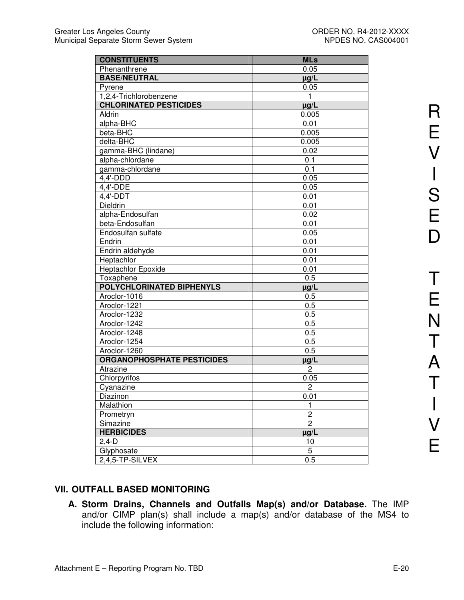| <b>CONSTITUENTS</b>               | <b>MLs</b>              |
|-----------------------------------|-------------------------|
| Phenanthrene                      | 0.05                    |
| <b>BASE/NEUTRAL</b>               | $\mu$ g/L               |
| Pyrene                            | 0.05                    |
| 1,2,4-Trichlorobenzene            | $\mathbf{1}$            |
| <b>CHLORINATED PESTICIDES</b>     | $\mu g/L$               |
| Aldrin                            | 0.005                   |
| alpha-BHC                         | 0.01                    |
| beta-BHC                          | 0.005                   |
| delta-BHC                         | 0.005                   |
| gamma-BHC (lindane)               | 0.02                    |
| alpha-chlordane                   | 0.1                     |
| gamma-chlordane                   | $0.\overline{1}$        |
| 4,4'-DDD                          | 0.05                    |
| 4,4'-DDE                          | 0.05                    |
| 4,4'-DDT                          | 0.01                    |
| Dieldrin                          | 0.01                    |
| alpha-Endosulfan                  | 0.02                    |
| beta-Endosulfan                   | 0.01                    |
| Endosulfan sulfate                | 0.05                    |
| Endrin                            | 0.01                    |
| Endrin aldehyde                   | 0.01                    |
| Heptachlor                        | 0.01                    |
| <b>Heptachlor Epoxide</b>         | 0.01                    |
| Toxaphene                         | 0.5                     |
| <b>POLYCHLORINATED BIPHENYLS</b>  | $\mu$ g/L               |
| Aroclor-1016                      | 0.5                     |
| Aroclor-1221                      | 0.5                     |
| Aroclor-1232                      | 0.5                     |
| Aroclor-1242                      | 0.5                     |
| Aroclor-1248                      | 0.5                     |
| Aroclor-1254                      | 0.5                     |
| Aroclor-1260                      | 0.5                     |
| <b>ORGANOPHOSPHATE PESTICIDES</b> | $\mu$ g/L               |
| Atrazine                          | $\overline{c}$          |
| Chlorpyrifos                      | 0.05                    |
| Cyanazine                         | $\overline{c}$          |
| Diazinon                          | 0.01                    |
| Malathion                         | 1                       |
| Prometryn                         | $\overline{\mathbf{c}}$ |
| Simazine                          | $\overline{2}$          |
| <b>HERBICIDES</b>                 | $\mu$ g/L               |
| $2,4-D$                           | 10                      |
| Glyphosate                        | 5                       |
| 2,4,5-TP-SILVEX                   | 0.5                     |

### **VII. OUTFALL BASED MONITORING**

**A. Storm Drains, Channels and Outfalls Map(s) and/or Database.** The IMP and/or CIMP plan(s) shall include a map(s) and/or database of the MS4 to include the following information: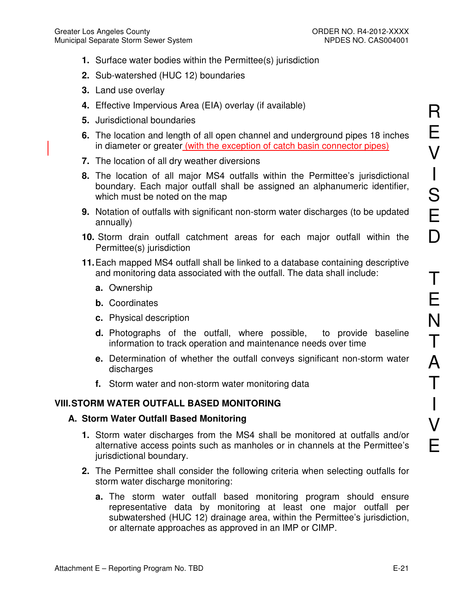- **1.** Surface water bodies within the Permittee(s) jurisdiction
- **2.** Sub-watershed (HUC 12) boundaries
- **3.** Land use overlay
- **4.** Effective Impervious Area (EIA) overlay (if available)
- **5.** Jurisdictional boundaries
- **6.** The location and length of all open channel and underground pipes 18 inches in diameter or greater (with the exception of catch basin connector pipes)
- **7.** The location of all dry weather diversions
- **8.** The location of all major MS4 outfalls within the Permittee's jurisdictional boundary. Each major outfall shall be assigned an alphanumeric identifier, which must be noted on the map
- **9.** Notation of outfalls with significant non-storm water discharges (to be updated annually)
- **10.** Storm drain outfall catchment areas for each major outfall within the Permittee(s) jurisdiction
- **11.** Each mapped MS4 outfall shall be linked to a database containing descriptive and monitoring data associated with the outfall. The data shall include:
	- **a.** Ownership
	- **b.** Coordinates
	- **c.** Physical description
	- **d.** Photographs of the outfall, where possible, to provide baseline information to track operation and maintenance needs over time
	- **e.** Determination of whether the outfall conveys significant non-storm water discharges
	- **f.** Storm water and non-storm water monitoring data

## **VIII. STORM WATER OUTFALL BASED MONITORING**

### **A. Storm Water Outfall Based Monitoring**

- **1.** Storm water discharges from the MS4 shall be monitored at outfalls and/or alternative access points such as manholes or in channels at the Permittee's jurisdictional boundary.
- **2.** The Permittee shall consider the following criteria when selecting outfalls for storm water discharge monitoring:
	- **a.** The storm water outfall based monitoring program should ensure representative data by monitoring at least one major outfall per subwatershed (HUC 12) drainage area, within the Permittee's jurisdiction, or alternate approaches as approved in an IMP or CIMP.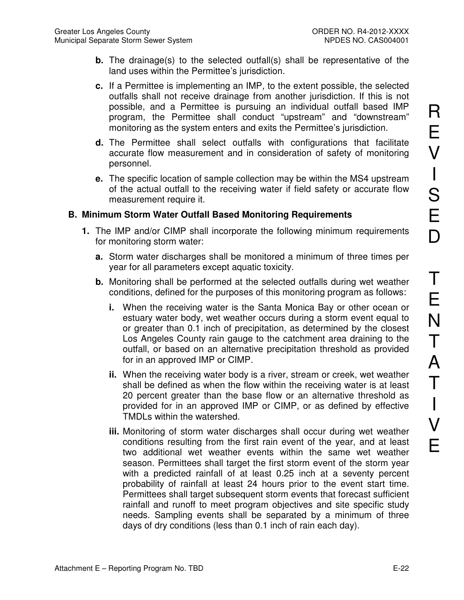- **b.** The drainage(s) to the selected outfall(s) shall be representative of the land uses within the Permittee's jurisdiction.
- **c.** If a Permittee is implementing an IMP, to the extent possible, the selected outfalls shall not receive drainage from another jurisdiction. If this is not possible, and a Permittee is pursuing an individual outfall based IMP program, the Permittee shall conduct "upstream" and "downstream" monitoring as the system enters and exits the Permittee's jurisdiction.
- **d.** The Permittee shall select outfalls with configurations that facilitate accurate flow measurement and in consideration of safety of monitoring personnel.
- **e.** The specific location of sample collection may be within the MS4 upstream of the actual outfall to the receiving water if field safety or accurate flow measurement require it.

#### **B. Minimum Storm Water Outfall Based Monitoring Requirements**

- **1.** The IMP and/or CIMP shall incorporate the following minimum requirements for monitoring storm water:
	- **a.** Storm water discharges shall be monitored a minimum of three times per year for all parameters except aquatic toxicity.
	- **b.** Monitoring shall be performed at the selected outfalls during wet weather conditions, defined for the purposes of this monitoring program as follows:
		- **i.** When the receiving water is the Santa Monica Bay or other ocean or estuary water body, wet weather occurs during a storm event equal to or greater than 0.1 inch of precipitation, as determined by the closest Los Angeles County rain gauge to the catchment area draining to the outfall, or based on an alternative precipitation threshold as provided for in an approved IMP or CIMP.
		- **ii.** When the receiving water body is a river, stream or creek, wet weather shall be defined as when the flow within the receiving water is at least 20 percent greater than the base flow or an alternative threshold as provided for in an approved IMP or CIMP, or as defined by effective TMDLs within the watershed.
		- **iii.** Monitoring of storm water discharges shall occur during wet weather conditions resulting from the first rain event of the year, and at least two additional wet weather events within the same wet weather season. Permittees shall target the first storm event of the storm year with a predicted rainfall of at least 0.25 inch at a seventy percent probability of rainfall at least 24 hours prior to the event start time. Permittees shall target subsequent storm events that forecast sufficient rainfall and runoff to meet program objectives and site specific study needs. Sampling events shall be separated by a minimum of three days of dry conditions (less than 0.1 inch of rain each day).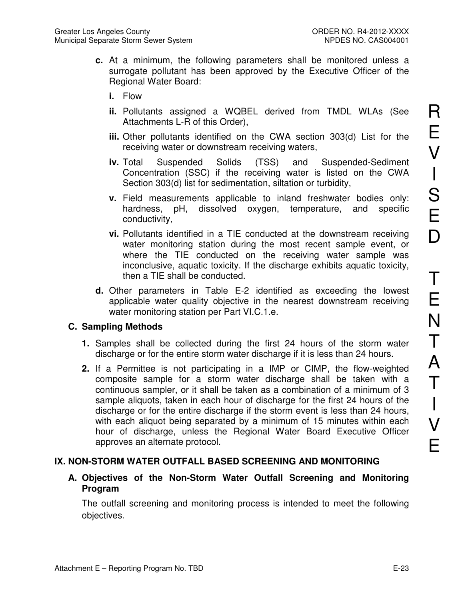- **c.** At a minimum, the following parameters shall be monitored unless a surrogate pollutant has been approved by the Executive Officer of the Regional Water Board:
	- **i.** Flow
	- **ii.** Pollutants assigned a WQBEL derived from TMDL WLAs (See Attachments L-R of this Order),
	- **iii.** Other pollutants identified on the CWA section 303(d) List for the receiving water or downstream receiving waters,
	- **iv.** Total Suspended Solids (TSS) and Suspended-Sediment Concentration (SSC) if the receiving water is listed on the CWA Section 303(d) list for sedimentation, siltation or turbidity,
	- **v.** Field measurements applicable to inland freshwater bodies only: hardness, pH, dissolved oxygen, temperature, and specific conductivity,
	- **vi.** Pollutants identified in a TIE conducted at the downstream receiving water monitoring station during the most recent sample event, or where the TIE conducted on the receiving water sample was inconclusive, aquatic toxicity. If the discharge exhibits aquatic toxicity, then a TIE shall be conducted.
- **d.** Other parameters in Table E-2 identified as exceeding the lowest applicable water quality objective in the nearest downstream receiving water monitoring station per Part VI.C.1.e.

#### **C. Sampling Methods**

- **1.** Samples shall be collected during the first 24 hours of the storm water discharge or for the entire storm water discharge if it is less than 24 hours.
- **2.** If a Permittee is not participating in a IMP or CIMP, the flow-weighted composite sample for a storm water discharge shall be taken with a continuous sampler, or it shall be taken as a combination of a minimum of 3 sample aliquots, taken in each hour of discharge for the first 24 hours of the discharge or for the entire discharge if the storm event is less than 24 hours, with each aliquot being separated by a minimum of 15 minutes within each hour of discharge, unless the Regional Water Board Executive Officer approves an alternate protocol.

### **IX. NON-STORM WATER OUTFALL BASED SCREENING AND MONITORING**

### **A. Objectives of the Non-Storm Water Outfall Screening and Monitoring Program**

The outfall screening and monitoring process is intended to meet the following objectives.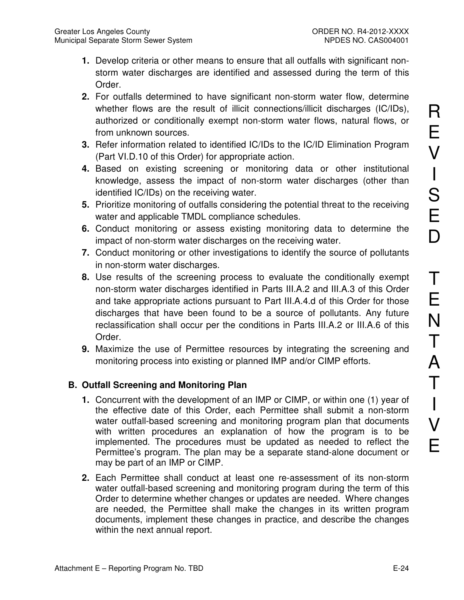- **1.** Develop criteria or other means to ensure that all outfalls with significant nonstorm water discharges are identified and assessed during the term of this Order.
- **2.** For outfalls determined to have significant non-storm water flow, determine whether flows are the result of illicit connections/illicit discharges (IC/IDs), authorized or conditionally exempt non-storm water flows, natural flows, or from unknown sources.
- **3.** Refer information related to identified IC/IDs to the IC/ID Elimination Program (Part VI.D.10 of this Order) for appropriate action.
- **4.** Based on existing screening or monitoring data or other institutional knowledge, assess the impact of non-storm water discharges (other than identified IC/IDs) on the receiving water.
- **5.** Prioritize monitoring of outfalls considering the potential threat to the receiving water and applicable TMDL compliance schedules.
- **6.** Conduct monitoring or assess existing monitoring data to determine the impact of non-storm water discharges on the receiving water.
- **7.** Conduct monitoring or other investigations to identify the source of pollutants in non-storm water discharges.
- **8.** Use results of the screening process to evaluate the conditionally exempt non-storm water discharges identified in Parts III.A.2 and III.A.3 of this Order and take appropriate actions pursuant to Part III.A.4.d of this Order for those discharges that have been found to be a source of pollutants. Any future reclassification shall occur per the conditions in Parts III.A.2 or III.A.6 of this Order.
- **9.** Maximize the use of Permittee resources by integrating the screening and monitoring process into existing or planned IMP and/or CIMP efforts.

## **B. Outfall Screening and Monitoring Plan**

- **1.** Concurrent with the development of an IMP or CIMP, or within one (1) year of the effective date of this Order, each Permittee shall submit a non-storm water outfall-based screening and monitoring program plan that documents with written procedures an explanation of how the program is to be implemented. The procedures must be updated as needed to reflect the Permittee's program. The plan may be a separate stand-alone document or may be part of an IMP or CIMP.
- **2.** Each Permittee shall conduct at least one re-assessment of its non-storm water outfall-based screening and monitoring program during the term of this Order to determine whether changes or updates are needed. Where changes are needed, the Permittee shall make the changes in its written program documents, implement these changes in practice, and describe the changes within the next annual report.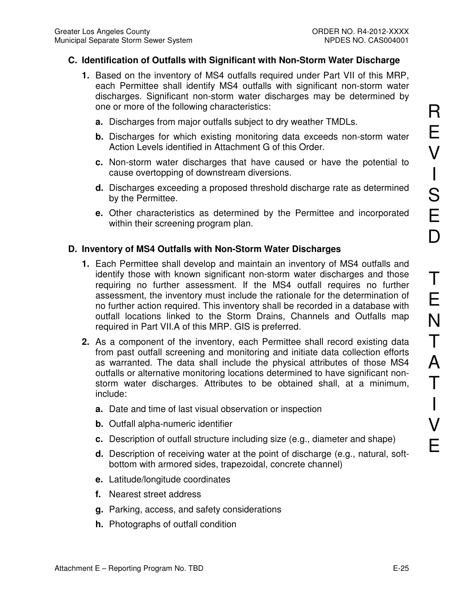#### **C. Identification of Outfalls with Significant with Non-Storm Water Discharge**

- **1.** Based on the inventory of MS4 outfalls required under Part VII of this MRP, each Permittee shall identify MS4 outfalls with significant non-storm water discharges. Significant non-storm water discharges may be determined by one or more of the following characteristics:
	- **a.** Discharges from major outfalls subject to dry weather TMDLs.
	- **b.** Discharges for which existing monitoring data exceeds non-storm water Action Levels identified in Attachment G of this Order.
	- **c.** Non-storm water discharges that have caused or have the potential to cause overtopping of downstream diversions.
	- **d.** Discharges exceeding a proposed threshold discharge rate as determined by the Permittee.
	- **e.** Other characteristics as determined by the Permittee and incorporated within their screening program plan.

#### **D. Inventory of MS4 Outfalls with Non-Storm Water Discharges**

- **1.** Each Permittee shall develop and maintain an inventory of MS4 outfalls and identify those with known significant non-storm water discharges and those requiring no further assessment. If the MS4 outfall requires no further assessment, the inventory must include the rationale for the determination of no further action required. This inventory shall be recorded in a database with outfall locations linked to the Storm Drains, Channels and Outfalls map required in Part VII.A of this MRP. GIS is preferred.
- **2.** As a component of the inventory, each Permittee shall record existing data from past outfall screening and monitoring and initiate data collection efforts as warranted. The data shall include the physical attributes of those MS4 outfalls or alternative monitoring locations determined to have significant nonstorm water discharges. Attributes to be obtained shall, at a minimum, include:
	- **a.** Date and time of last visual observation or inspection
	- **b.** Outfall alpha-numeric identifier
	- **c.** Description of outfall structure including size (e.g., diameter and shape)
	- **d.** Description of receiving water at the point of discharge (e.g., natural, softbottom with armored sides, trapezoidal, concrete channel)
	- **e.** Latitude/longitude coordinates
	- **f.** Nearest street address
	- **g.** Parking, access, and safety considerations
	- **h.** Photographs of outfall condition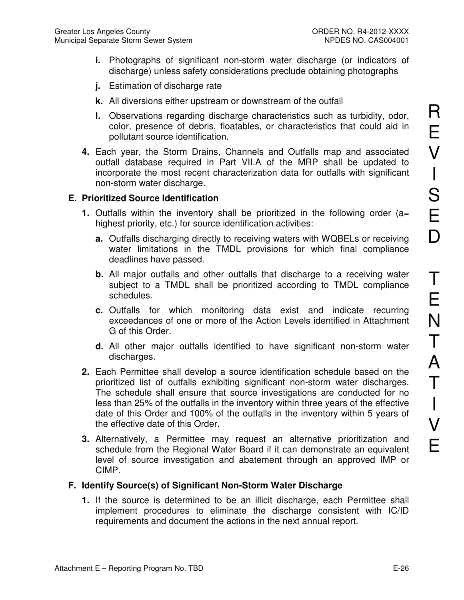- **i.** Photographs of significant non-storm water discharge (or indicators of discharge) unless safety considerations preclude obtaining photographs
- **j.** Estimation of discharge rate
- **k.** All diversions either upstream or downstream of the outfall
- **l.** Observations regarding discharge characteristics such as turbidity, odor, color, presence of debris, floatables, or characteristics that could aid in pollutant source identification.
- **4.** Each year, the Storm Drains, Channels and Outfalls map and associated outfall database required in Part VII.A of the MRP shall be updated to incorporate the most recent characterization data for outfalls with significant non-storm water discharge.

#### **E. Prioritized Source Identification**

- **1.** Outfalls within the inventory shall be prioritized in the following order (a= highest priority, etc.) for source identification activities:
	- **a.** Outfalls discharging directly to receiving waters with WQBELs or receiving water limitations in the TMDL provisions for which final compliance deadlines have passed.
	- **b.** All major outfalls and other outfalls that discharge to a receiving water subject to a TMDL shall be prioritized according to TMDL compliance schedules.
	- **c.** Outfalls for which monitoring data exist and indicate recurring exceedances of one or more of the Action Levels identified in Attachment G of this Order.
	- **d.** All other major outfalls identified to have significant non-storm water discharges.
- **2.** Each Permittee shall develop a source identification schedule based on the prioritized list of outfalls exhibiting significant non-storm water discharges. The schedule shall ensure that source investigations are conducted for no less than 25% of the outfalls in the inventory within three years of the effective date of this Order and 100% of the outfalls in the inventory within 5 years of the effective date of this Order.
- **3.** Alternatively, a Permittee may request an alternative prioritization and schedule from the Regional Water Board if it can demonstrate an equivalent level of source investigation and abatement through an approved IMP or CIMP.

### **F. Identify Source(s) of Significant Non-Storm Water Discharge**

**1.** If the source is determined to be an illicit discharge, each Permittee shall implement procedures to eliminate the discharge consistent with IC/ID requirements and document the actions in the next annual report.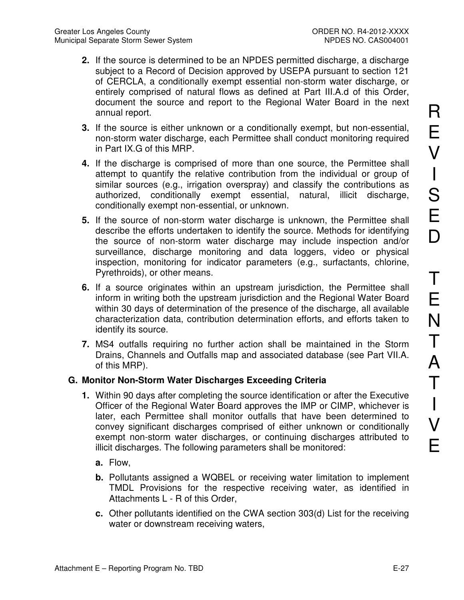- **2.** If the source is determined to be an NPDES permitted discharge, a discharge subject to a Record of Decision approved by USEPA pursuant to section 121 of CERCLA, a conditionally exempt essential non-storm water discharge, or entirely comprised of natural flows as defined at Part III.A.d of this Order, document the source and report to the Regional Water Board in the next annual report.
- **3.** If the source is either unknown or a conditionally exempt, but non-essential, non-storm water discharge, each Permittee shall conduct monitoring required in Part IX.G of this MRP.
- **4.** If the discharge is comprised of more than one source, the Permittee shall attempt to quantify the relative contribution from the individual or group of similar sources (e.g., irrigation overspray) and classify the contributions as authorized, conditionally exempt essential, natural, illicit discharge, conditionally exempt non-essential, or unknown.
- **5.** If the source of non-storm water discharge is unknown, the Permittee shall describe the efforts undertaken to identify the source. Methods for identifying the source of non-storm water discharge may include inspection and/or surveillance, discharge monitoring and data loggers, video or physical inspection, monitoring for indicator parameters (e.g., surfactants, chlorine, Pyrethroids), or other means.
- **6.** If a source originates within an upstream jurisdiction, the Permittee shall inform in writing both the upstream jurisdiction and the Regional Water Board within 30 days of determination of the presence of the discharge, all available characterization data, contribution determination efforts, and efforts taken to identify its source.
- **7.** MS4 outfalls requiring no further action shall be maintained in the Storm Drains, Channels and Outfalls map and associated database (see Part VII.A. of this MRP).

### **G. Monitor Non-Storm Water Discharges Exceeding Criteria**

- **1.** Within 90 days after completing the source identification or after the Executive Officer of the Regional Water Board approves the IMP or CIMP, whichever is later, each Permittee shall monitor outfalls that have been determined to convey significant discharges comprised of either unknown or conditionally exempt non-storm water discharges, or continuing discharges attributed to illicit discharges. The following parameters shall be monitored:
	- **a.** Flow,
	- **b.** Pollutants assigned a WQBEL or receiving water limitation to implement TMDL Provisions for the respective receiving water, as identified in Attachments L - R of this Order,
	- **c.** Other pollutants identified on the CWA section 303(d) List for the receiving water or downstream receiving waters,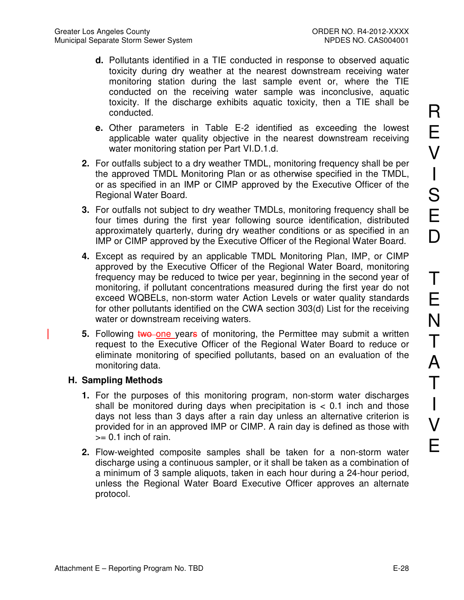- **d.** Pollutants identified in a TIE conducted in response to observed aquatic toxicity during dry weather at the nearest downstream receiving water monitoring station during the last sample event or, where the TIE conducted on the receiving water sample was inconclusive, aquatic toxicity. If the discharge exhibits aquatic toxicity, then a TIE shall be conducted.
- **e.** Other parameters in Table E-2 identified as exceeding the lowest applicable water quality objective in the nearest downstream receiving water monitoring station per Part VI.D.1.d.
- **2.** For outfalls subject to a dry weather TMDL, monitoring frequency shall be per the approved TMDL Monitoring Plan or as otherwise specified in the TMDL, or as specified in an IMP or CIMP approved by the Executive Officer of the Regional Water Board.
- **3.** For outfalls not subject to dry weather TMDLs, monitoring frequency shall be four times during the first year following source identification, distributed approximately quarterly, during dry weather conditions or as specified in an IMP or CIMP approved by the Executive Officer of the Regional Water Board.
- **4.** Except as required by an applicable TMDL Monitoring Plan, IMP, or CIMP approved by the Executive Officer of the Regional Water Board, monitoring frequency may be reduced to twice per year, beginning in the second year of monitoring, if pollutant concentrations measured during the first year do not exceed WQBELs, non-storm water Action Levels or water quality standards for other pollutants identified on the CWA section 303(d) List for the receiving water or downstream receiving waters.
- **5.** Following two one years of monitoring, the Permittee may submit a written request to the Executive Officer of the Regional Water Board to reduce or eliminate monitoring of specified pollutants, based on an evaluation of the monitoring data.

### **H. Sampling Methods**

- **1.** For the purposes of this monitoring program, non-storm water discharges shall be monitored during days when precipitation is  $< 0.1$  inch and those days not less than 3 days after a rain day unless an alternative criterion is provided for in an approved IMP or CIMP. A rain day is defined as those with  $>= 0.1$  inch of rain.
- **2.** Flow-weighted composite samples shall be taken for a non-storm water discharge using a continuous sampler, or it shall be taken as a combination of a minimum of 3 sample aliquots, taken in each hour during a 24-hour period, unless the Regional Water Board Executive Officer approves an alternate protocol.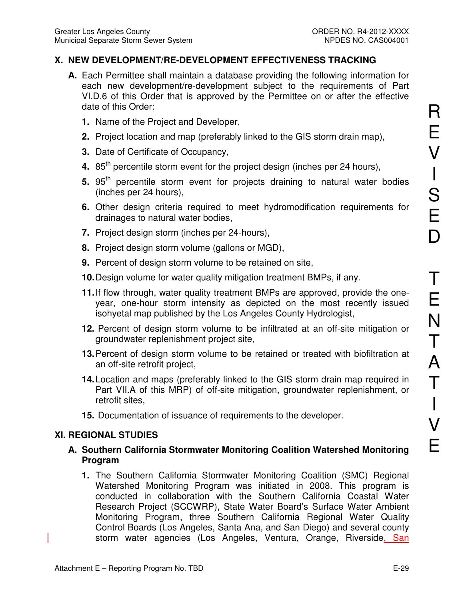## **X. NEW DEVELOPMENT/RE-DEVELOPMENT EFFECTIVENESS TRACKING**

- **A.** Each Permittee shall maintain a database providing the following information for each new development/re-development subject to the requirements of Part VI.D.6 of this Order that is approved by the Permittee on or after the effective date of this Order:
	- **1.** Name of the Project and Developer,
	- **2.** Project location and map (preferably linked to the GIS storm drain map),
	- **3.** Date of Certificate of Occupancy,
	- **4.** 85<sup>th</sup> percentile storm event for the project design (inches per 24 hours),
	- **5.** 95<sup>th</sup> percentile storm event for projects draining to natural water bodies (inches per 24 hours),
	- **6.** Other design criteria required to meet hydromodification requirements for drainages to natural water bodies,
	- **7.** Project design storm (inches per 24-hours),
	- **8.** Project design storm volume (gallons or MGD),
	- **9.** Percent of design storm volume to be retained on site,
	- **10.** Design volume for water quality mitigation treatment BMPs, if any.
	- **11.** If flow through, water quality treatment BMPs are approved, provide the oneyear, one-hour storm intensity as depicted on the most recently issued isohyetal map published by the Los Angeles County Hydrologist,
	- **12.** Percent of design storm volume to be infiltrated at an off-site mitigation or groundwater replenishment project site,
	- **13. Percent of design storm volume to be retained or treated with biofiltration at** an off-site retrofit project,
	- **14.** Location and maps (preferably linked to the GIS storm drain map required in Part VII.A of this MRP) of off-site mitigation, groundwater replenishment, or retrofit sites,
	- **15.** Documentation of issuance of requirements to the developer.

### **XI. REGIONAL STUDIES**

### **A. Southern California Stormwater Monitoring Coalition Watershed Monitoring Program**

**1.** The Southern California Stormwater Monitoring Coalition (SMC) Regional Watershed Monitoring Program was initiated in 2008. This program is conducted in collaboration with the Southern California Coastal Water Research Project (SCCWRP), State Water Board's Surface Water Ambient Monitoring Program, three Southern California Regional Water Quality Control Boards (Los Angeles, Santa Ana, and San Diego) and several county storm water agencies (Los Angeles, Ventura, Orange, Riverside, San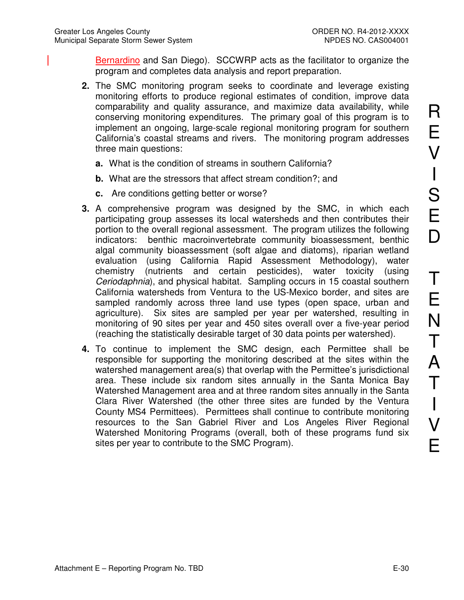Bernardino and San Diego). SCCWRP acts as the facilitator to organize the program and completes data analysis and report preparation.

- **2.** The SMC monitoring program seeks to coordinate and leverage existing monitoring efforts to produce regional estimates of condition, improve data comparability and quality assurance, and maximize data availability, while conserving monitoring expenditures. The primary goal of this program is to implement an ongoing, large-scale regional monitoring program for southern California's coastal streams and rivers. The monitoring program addresses three main questions:
	- **a.** What is the condition of streams in southern California?
	- **b.** What are the stressors that affect stream condition?; and
	- **c.** Are conditions getting better or worse?
- **3.** A comprehensive program was designed by the SMC, in which each participating group assesses its local watersheds and then contributes their portion to the overall regional assessment. The program utilizes the following indicators: benthic macroinvertebrate community bioassessment, benthic algal community bioassessment (soft algae and diatoms), riparian wetland evaluation (using California Rapid Assessment Methodology), water chemistry (nutrients and certain pesticides), water toxicity (using Ceriodaphnia), and physical habitat. Sampling occurs in 15 coastal southern California watersheds from Ventura to the US-Mexico border, and sites are sampled randomly across three land use types (open space, urban and agriculture). Six sites are sampled per year per watershed, resulting in monitoring of 90 sites per year and 450 sites overall over a five-year period (reaching the statistically desirable target of 30 data points per watershed).
- **4.** To continue to implement the SMC design, each Permittee shall be responsible for supporting the monitoring described at the sites within the watershed management area(s) that overlap with the Permittee's jurisdictional area. These include six random sites annually in the Santa Monica Bay Watershed Management area and at three random sites annually in the Santa Clara River Watershed (the other three sites are funded by the Ventura County MS4 Permittees). Permittees shall continue to contribute monitoring resources to the San Gabriel River and Los Angeles River Regional Watershed Monitoring Programs (overall, both of these programs fund six sites per year to contribute to the SMC Program).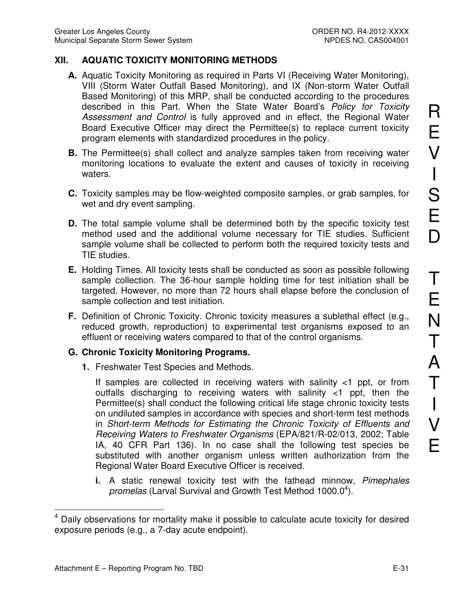## **XII. AQUATIC TOXICITY MONITORING METHODS**

- **A.** Aquatic Toxicity Monitoring as required in Parts VI (Receiving Water Monitoring), VIII (Storm Water Outfall Based Monitoring), and IX (Non-storm Water Outfall Based Monitoring) of this MRP, shall be conducted according to the procedures described in this Part. When the State Water Board's Policy for Toxicity Assessment and Control is fully approved and in effect, the Regional Water Board Executive Officer may direct the Permittee(s) to replace current toxicity program elements with standardized procedures in the policy.
- **B.** The Permittee(s) shall collect and analyze samples taken from receiving water monitoring locations to evaluate the extent and causes of toxicity in receiving waters.
- **C.** Toxicity samples may be flow-weighted composite samples, or grab samples, for wet and dry event sampling.
- **D.** The total sample volume shall be determined both by the specific toxicity test method used and the additional volume necessary for TIE studies. Sufficient sample volume shall be collected to perform both the required toxicity tests and TIE studies.
- **E.** Holding Times. All toxicity tests shall be conducted as soon as possible following sample collection. The 36-hour sample holding time for test initiation shall be targeted. However, no more than 72 hours shall elapse before the conclusion of sample collection and test initiation.
- **F.** Definition of Chronic Toxicity. Chronic toxicity measures a sublethal effect (e.g., reduced growth, reproduction) to experimental test organisms exposed to an effluent or receiving waters compared to that of the control organisms.

### **G. Chronic Toxicity Monitoring Programs.**

**1.** Freshwater Test Species and Methods.

If samples are collected in receiving waters with salinity <1 ppt, or from outfalls discharging to receiving waters with salinity <1 ppt, then the Permittee(s) shall conduct the following critical life stage chronic toxicity tests on undiluted samples in accordance with species and short-term test methods in Short-term Methods for Estimating the Chronic Toxicity of Effluents and Receiving Waters to Freshwater Organisms (EPA/821/R-02/013, 2002; Table IA, 40 CFR Part 136). In no case shall the following test species be substituted with another organism unless written authorization from the Regional Water Board Executive Officer is received.

**i.** A static renewal toxicity test with the fathead minnow, Pimephales promelas (Larval Survival and Growth Test Method 1000.0<sup>4</sup>).

 $\overline{a}$ 

<sup>4</sup> Daily observations for mortality make it possible to calculate acute toxicity for desired exposure periods (e.g., a 7-day acute endpoint).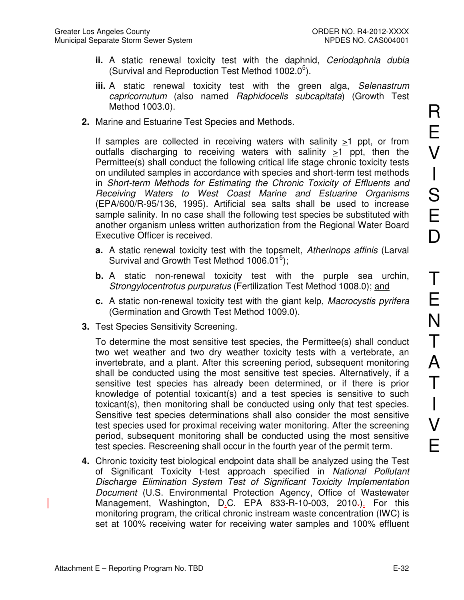- **ii.** A static renewal toxicity test with the daphnid, Ceriodaphnia dubia (Survival and Reproduction Test Method  $1002.0^5$ ).
- **iii.** A static renewal toxicity test with the green alga, Selenastrum capricornutum (also named Raphidocelis subcapitata) (Growth Test Method 1003.0).
- **2.** Marine and Estuarine Test Species and Methods.

If samples are collected in receiving waters with salinity >1 ppt, or from outfalls discharging to receiving waters with salinity  $\geq 1$  ppt, then the Permittee(s) shall conduct the following critical life stage chronic toxicity tests on undiluted samples in accordance with species and short-term test methods in Short-term Methods for Estimating the Chronic Toxicity of Effluents and Receiving Waters to West Coast Marine and Estuarine Organisms (EPA/600/R-95/136, 1995). Artificial sea salts shall be used to increase sample salinity. In no case shall the following test species be substituted with another organism unless written authorization from the Regional Water Board Executive Officer is received.

- **a.** A static renewal toxicity test with the topsmelt, Atherinops affinis (Larval Survival and Growth Test Method 1006.01 $5$ );
- **b.** A static non-renewal toxicity test with the purple sea urchin, Strongylocentrotus purpuratus (Fertilization Test Method 1008.0); and
- **c.** A static non-renewal toxicity test with the giant kelp, Macrocystis pyrifera (Germination and Growth Test Method 1009.0).
- **3.** Test Species Sensitivity Screening.

To determine the most sensitive test species, the Permittee(s) shall conduct two wet weather and two dry weather toxicity tests with a vertebrate, an invertebrate, and a plant. After this screening period, subsequent monitoring shall be conducted using the most sensitive test species. Alternatively, if a sensitive test species has already been determined, or if there is prior knowledge of potential toxicant(s) and a test species is sensitive to such toxicant(s), then monitoring shall be conducted using only that test species. Sensitive test species determinations shall also consider the most sensitive test species used for proximal receiving water monitoring. After the screening period, subsequent monitoring shall be conducted using the most sensitive test species. Rescreening shall occur in the fourth year of the permit term.

**4.** Chronic toxicity test biological endpoint data shall be analyzed using the Test of Significant Toxicity t-test approach specified in National Pollutant Discharge Elimination System Test of Significant Toxicity Implementation Document (U.S. Environmental Protection Agency, Office of Wastewater Management, Washington, D.C. EPA 833-R-10-003, 2010-). For this monitoring program, the critical chronic instream waste concentration (IWC) is set at 100% receiving water for receiving water samples and 100% effluent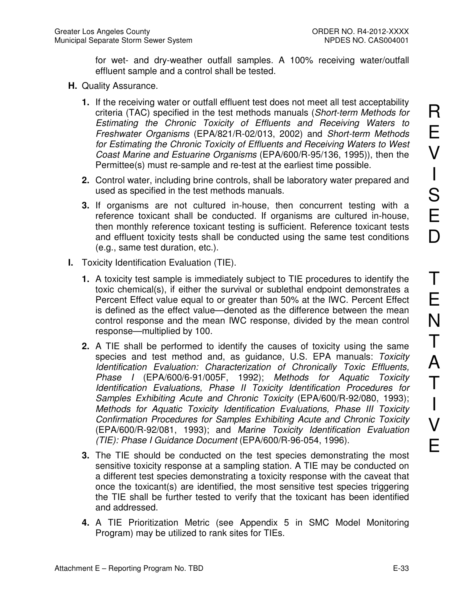for wet- and dry-weather outfall samples. A 100% receiving water/outfall effluent sample and a control shall be tested.

- **H.** Quality Assurance.
	- **1.** If the receiving water or outfall effluent test does not meet all test acceptability criteria (TAC) specified in the test methods manuals (Short-term Methods for Estimating the Chronic Toxicity of Effluents and Receiving Waters to Freshwater Organisms (EPA/821/R-02/013, 2002) and Short-term Methods for Estimating the Chronic Toxicity of Effluents and Receiving Waters to West Coast Marine and Estuarine Organisms (EPA/600/R-95/136, 1995)), then the Permittee(s) must re-sample and re-test at the earliest time possible.
	- **2.** Control water, including brine controls, shall be laboratory water prepared and used as specified in the test methods manuals.
	- **3.** If organisms are not cultured in-house, then concurrent testing with a reference toxicant shall be conducted. If organisms are cultured in-house, then monthly reference toxicant testing is sufficient. Reference toxicant tests and effluent toxicity tests shall be conducted using the same test conditions (e.g., same test duration, etc.).
- **I.** Toxicity Identification Evaluation (TIE).
	- **1.** A toxicity test sample is immediately subject to TIE procedures to identify the toxic chemical(s), if either the survival or sublethal endpoint demonstrates a Percent Effect value equal to or greater than 50% at the IWC. Percent Effect is defined as the effect value—denoted as the difference between the mean control response and the mean IWC response, divided by the mean control response—multiplied by 100.
	- **2.** A TIE shall be performed to identify the causes of toxicity using the same species and test method and, as guidance, U.S. EPA manuals: Toxicity Identification Evaluation: Characterization of Chronically Toxic Effluents, Phase I (EPA/600/6-91/005F, 1992); Methods for Aquatic Toxicity Identification Evaluations, Phase II Toxicity Identification Procedures for Samples Exhibiting Acute and Chronic Toxicity (EPA/600/R-92/080, 1993); Methods for Aquatic Toxicity Identification Evaluations, Phase III Toxicity Confirmation Procedures for Samples Exhibiting Acute and Chronic Toxicity (EPA/600/R-92/081, 1993); and Marine Toxicity Identification Evaluation (TIE): Phase I Guidance Document (EPA/600/R-96-054, 1996).
	- **3.** The TIE should be conducted on the test species demonstrating the most sensitive toxicity response at a sampling station. A TIE may be conducted on a different test species demonstrating a toxicity response with the caveat that once the toxicant(s) are identified, the most sensitive test species triggering the TIE shall be further tested to verify that the toxicant has been identified and addressed.
	- **4.** A TIE Prioritization Metric (see Appendix 5 in SMC Model Monitoring Program) may be utilized to rank sites for TIEs.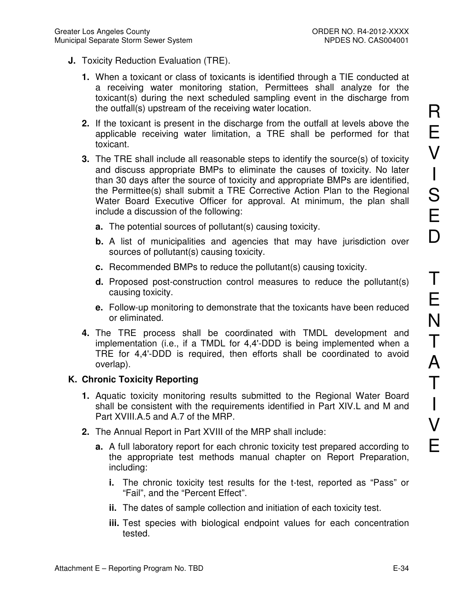- **J.** Toxicity Reduction Evaluation (TRE).
	- **1.** When a toxicant or class of toxicants is identified through a TIE conducted at a receiving water monitoring station, Permittees shall analyze for the toxicant(s) during the next scheduled sampling event in the discharge from the outfall(s) upstream of the receiving water location.
	- **2.** If the toxicant is present in the discharge from the outfall at levels above the applicable receiving water limitation, a TRE shall be performed for that toxicant.
	- **3.** The TRE shall include all reasonable steps to identify the source(s) of toxicity and discuss appropriate BMPs to eliminate the causes of toxicity. No later than 30 days after the source of toxicity and appropriate BMPs are identified, the Permittee(s) shall submit a TRE Corrective Action Plan to the Regional Water Board Executive Officer for approval. At minimum, the plan shall include a discussion of the following:
		- **a.** The potential sources of pollutant(s) causing toxicity.
		- **b.** A list of municipalities and agencies that may have jurisdiction over sources of pollutant(s) causing toxicity.
		- **c.** Recommended BMPs to reduce the pollutant(s) causing toxicity.
		- **d.** Proposed post-construction control measures to reduce the pollutant(s) causing toxicity.
		- **e.** Follow-up monitoring to demonstrate that the toxicants have been reduced or eliminated.
	- **4.** The TRE process shall be coordinated with TMDL development and implementation (i.e., if a TMDL for 4,4'-DDD is being implemented when a TRE for 4,4'-DDD is required, then efforts shall be coordinated to avoid overlap).

### **K. Chronic Toxicity Reporting**

- **1.** Aquatic toxicity monitoring results submitted to the Regional Water Board shall be consistent with the requirements identified in Part XIV.L and M and Part XVIII.A.5 and A.7 of the MRP.
- **2.** The Annual Report in Part XVIII of the MRP shall include:
	- **a.** A full laboratory report for each chronic toxicity test prepared according to the appropriate test methods manual chapter on Report Preparation, including:
		- **i.** The chronic toxicity test results for the t-test, reported as "Pass" or "Fail", and the "Percent Effect".
		- **ii.** The dates of sample collection and initiation of each toxicity test.
		- **iii.** Test species with biological endpoint values for each concentration tested.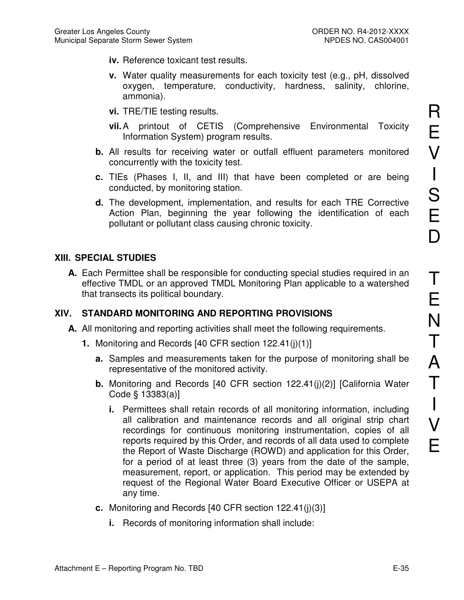- **iv.** Reference toxicant test results.
- **v.** Water quality measurements for each toxicity test (e.g., pH, dissolved oxygen, temperature, conductivity, hardness, salinity, chlorine, ammonia).
- **vi.** TRE/TIE testing results.
- **vii.** A printout of CETIS (Comprehensive Environmental Toxicity Information System) program results.
- **b.** All results for receiving water or outfall effluent parameters monitored concurrently with the toxicity test.
- **c.** TIEs (Phases I, II, and III) that have been completed or are being conducted, by monitoring station.
- **d.** The development, implementation, and results for each TRE Corrective Action Plan, beginning the year following the identification of each pollutant or pollutant class causing chronic toxicity.

# **XIII. SPECIAL STUDIES**

**A.** Each Permittee shall be responsible for conducting special studies required in an effective TMDL or an approved TMDL Monitoring Plan applicable to a watershed that transects its political boundary.

# **XIV. STANDARD MONITORING AND REPORTING PROVISIONS**

- **A.** All monitoring and reporting activities shall meet the following requirements.
	- **1.** Monitoring and Records [40 CFR section 122.41(j)(1)]
		- **a.** Samples and measurements taken for the purpose of monitoring shall be representative of the monitored activity.
		- **b.** Monitoring and Records [40 CFR section 122.41(j)(2)] [California Water Code § 13383(a)]
			- **i.** Permittees shall retain records of all monitoring information, including all calibration and maintenance records and all original strip chart recordings for continuous monitoring instrumentation, copies of all reports required by this Order, and records of all data used to complete the Report of Waste Discharge (ROWD) and application for this Order, for a period of at least three (3) years from the date of the sample, measurement, report, or application. This period may be extended by request of the Regional Water Board Executive Officer or USEPA at any time.
		- **c.** Monitoring and Records [40 CFR section 122.41(j)(3)]
			- **i.** Records of monitoring information shall include: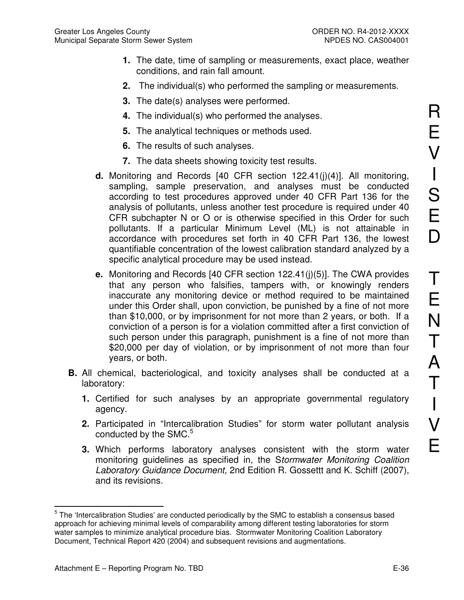- **1.** The date, time of sampling or measurements, exact place, weather conditions, and rain fall amount.
- **2.** The individual(s) who performed the sampling or measurements.
- **3.** The date(s) analyses were performed.
- **4.** The individual(s) who performed the analyses.
- **5.** The analytical techniques or methods used.
- **6.** The results of such analyses.
- **7.** The data sheets showing toxicity test results.
- **d.** Monitoring and Records [40 CFR section 122.41(j)(4)]. All monitoring, sampling, sample preservation, and analyses must be conducted according to test procedures approved under 40 CFR Part 136 for the analysis of pollutants, unless another test procedure is required under 40 CFR subchapter N or O or is otherwise specified in this Order for such pollutants. If a particular Minimum Level (ML) is not attainable in accordance with procedures set forth in 40 CFR Part 136, the lowest quantifiable concentration of the lowest calibration standard analyzed by a specific analytical procedure may be used instead.
- **e.** Monitoring and Records [40 CFR section 122.41(j)(5)]. The CWA provides that any person who falsifies, tampers with, or knowingly renders inaccurate any monitoring device or method required to be maintained under this Order shall, upon conviction, be punished by a fine of not more than \$10,000, or by imprisonment for not more than 2 years, or both. If a conviction of a person is for a violation committed after a first conviction of such person under this paragraph, punishment is a fine of not more than \$20,000 per day of violation, or by imprisonment of not more than four years, or both.
- **B.** All chemical, bacteriological, and toxicity analyses shall be conducted at a laboratory:
	- **1.** Certified for such analyses by an appropriate governmental regulatory agency.
	- **2.** Participated in "Intercalibration Studies" for storm water pollutant analysis conducted by the SMC.<sup>5</sup>
	- **3.** Which performs laboratory analyses consistent with the storm water monitoring guidelines as specified in, the Stormwater Monitoring Coalition Laboratory Guidance Document, 2nd Edition R. Gossettt and K. Schiff (2007), and its revisions.

 $\overline{a}$  $5$  The 'Intercalibration Studies' are conducted periodically by the SMC to establish a consensus based approach for achieving minimal levels of comparability among different testing laboratories for storm water samples to minimize analytical procedure bias. Stormwater Monitoring Coalition Laboratory Document, Technical Report 420 (2004) and subsequent revisions and augmentations.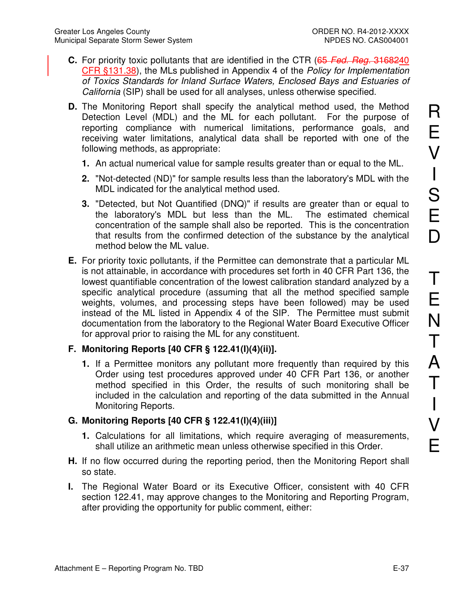- **C.** For priority toxic pollutants that are identified in the CTR (65 Fed. Reg. 3168240 CFR §131.38), the MLs published in Appendix 4 of the Policy for Implementation of Toxics Standards for Inland Surface Waters, Enclosed Bays and Estuaries of California (SIP) shall be used for all analyses, unless otherwise specified.
- **D.** The Monitoring Report shall specify the analytical method used, the Method Detection Level (MDL) and the ML for each pollutant. For the purpose of reporting compliance with numerical limitations, performance goals, and receiving water limitations, analytical data shall be reported with one of the following methods, as appropriate:
	- **1.** An actual numerical value for sample results greater than or equal to the ML.
	- **2.** "Not-detected (ND)" for sample results less than the laboratory's MDL with the MDL indicated for the analytical method used.
	- **3.** "Detected, but Not Quantified (DNQ)" if results are greater than or equal to the laboratory's MDL but less than the ML. The estimated chemical concentration of the sample shall also be reported. This is the concentration that results from the confirmed detection of the substance by the analytical method below the ML value.
- **E.** For priority toxic pollutants, if the Permittee can demonstrate that a particular ML is not attainable, in accordance with procedures set forth in 40 CFR Part 136, the lowest quantifiable concentration of the lowest calibration standard analyzed by a specific analytical procedure (assuming that all the method specified sample weights, volumes, and processing steps have been followed) may be used instead of the ML listed in Appendix 4 of the SIP. The Permittee must submit documentation from the laboratory to the Regional Water Board Executive Officer for approval prior to raising the ML for any constituent.

### **F. Monitoring Reports [40 CFR § 122.41(I)(4)(ii)].**

**1.** If a Permittee monitors any pollutant more frequently than required by this Order using test procedures approved under 40 CFR Part 136, or another method specified in this Order, the results of such monitoring shall be included in the calculation and reporting of the data submitted in the Annual Monitoring Reports.

### **G. Monitoring Reports [40 CFR § 122.41(I)(4)(iii)]**

- **1.** Calculations for all limitations, which require averaging of measurements, shall utilize an arithmetic mean unless otherwise specified in this Order.
- **H.** If no flow occurred during the reporting period, then the Monitoring Report shall so state.
- **I.** The Regional Water Board or its Executive Officer, consistent with 40 CFR section 122.41, may approve changes to the Monitoring and Reporting Program, after providing the opportunity for public comment, either: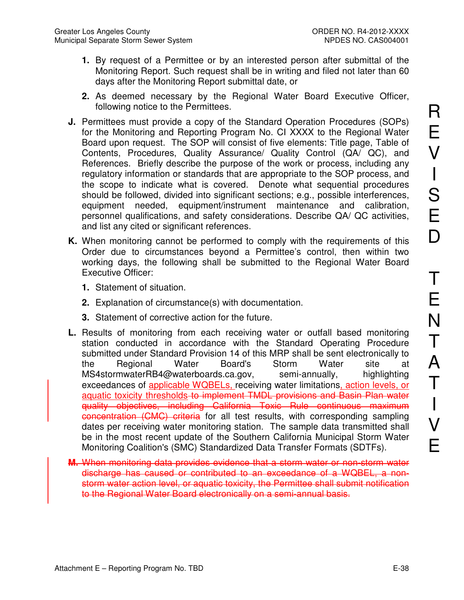- **1.** By request of a Permittee or by an interested person after submittal of the Monitoring Report. Such request shall be in writing and filed not later than 60 days after the Monitoring Report submittal date, or
- **2.** As deemed necessary by the Regional Water Board Executive Officer, following notice to the Permittees.
- **J.** Permittees must provide a copy of the Standard Operation Procedures (SOPs) for the Monitoring and Reporting Program No. CI XXXX to the Regional Water Board upon request. The SOP will consist of five elements: Title page, Table of Contents, Procedures, Quality Assurance/ Quality Control (QA/ QC), and References. Briefly describe the purpose of the work or process, including any regulatory information or standards that are appropriate to the SOP process, and the scope to indicate what is covered. Denote what sequential procedures should be followed, divided into significant sections; e.g., possible interferences, equipment needed, equipment/instrument maintenance and calibration, personnel qualifications, and safety considerations. Describe QA/ QC activities, and list any cited or significant references.
- **K.** When monitoring cannot be performed to comply with the requirements of this Order due to circumstances beyond a Permittee's control, then within two working days, the following shall be submitted to the Regional Water Board Executive Officer:
	- **1.** Statement of situation.
	- **2.** Explanation of circumstance(s) with documentation.
	- **3.** Statement of corrective action for the future.
- **L.** Results of monitoring from each receiving water or outfall based monitoring station conducted in accordance with the Standard Operating Procedure submitted under Standard Provision 14 of this MRP shall be sent electronically to the Regional Water Board's Storm Water site at MS4stormwaterRB4@waterboards.ca.gov, semi-annually, highlighting exceedances of applicable WQBELs, receiving water limitations, action levels, or aquatic toxicity thresholds to implement TMDL provisions and Basin Plan water quality objectives, including California Toxic Rule continuous maximum concentration (CMC) criteria for all test results, with corresponding sampling dates per receiving water monitoring station. The sample data transmitted shall be in the most recent update of the Southern California Municipal Storm Water Monitoring Coalition's (SMC) Standardized Data Transfer Formats (SDTFs).
- **M.** When monitoring data provides evidence that a storm water or non-storm water discharge has caused or contributed to an exceedance of a WQBEL, a nonstorm water action level, or aquatic toxicity, the Permittee shall submit notification to the Regional Water Board electronically on a semi-annual basis.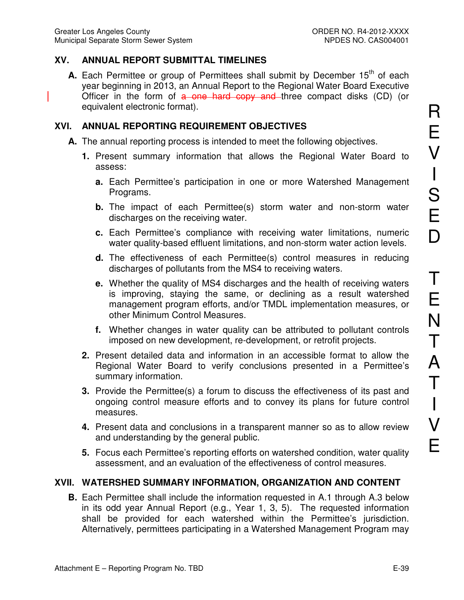## **XV. ANNUAL REPORT SUBMITTAL TIMELINES**

**A.** Each Permittee or group of Permittees shall submit by December 15<sup>th</sup> of each year beginning in 2013, an Annual Report to the Regional Water Board Executive Officer in the form of a one hard copy and three compact disks (CD) (or equivalent electronic format).

## **XVI. ANNUAL REPORTING REQUIREMENT OBJECTIVES**

- **A.** The annual reporting process is intended to meet the following objectives.
	- **1.** Present summary information that allows the Regional Water Board to assess:
		- **a.** Each Permittee's participation in one or more Watershed Management Programs.
		- **b.** The impact of each Permittee(s) storm water and non-storm water discharges on the receiving water.
		- **c.** Each Permittee's compliance with receiving water limitations, numeric water quality-based effluent limitations, and non-storm water action levels.
		- **d.** The effectiveness of each Permittee(s) control measures in reducing discharges of pollutants from the MS4 to receiving waters.
		- **e.** Whether the quality of MS4 discharges and the health of receiving waters is improving, staying the same, or declining as a result watershed management program efforts, and/or TMDL implementation measures, or other Minimum Control Measures.
		- **f.** Whether changes in water quality can be attributed to pollutant controls imposed on new development, re-development, or retrofit projects.
	- **2.** Present detailed data and information in an accessible format to allow the Regional Water Board to verify conclusions presented in a Permittee's summary information.
	- **3.** Provide the Permittee(s) a forum to discuss the effectiveness of its past and ongoing control measure efforts and to convey its plans for future control measures.
	- **4.** Present data and conclusions in a transparent manner so as to allow review and understanding by the general public.
	- **5.** Focus each Permittee's reporting efforts on watershed condition, water quality assessment, and an evaluation of the effectiveness of control measures.

## **XVII. WATERSHED SUMMARY INFORMATION, ORGANIZATION AND CONTENT**

**B.** Each Permittee shall include the information requested in A.1 through A.3 below in its odd year Annual Report (e.g., Year 1, 3, 5). The requested information shall be provided for each watershed within the Permittee's jurisdiction. Alternatively, permittees participating in a Watershed Management Program may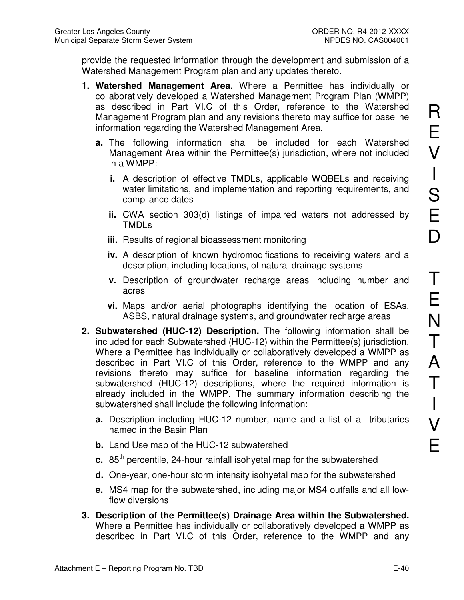provide the requested information through the development and submission of a Watershed Management Program plan and any updates thereto.

- **1. Watershed Management Area.** Where a Permittee has individually or collaboratively developed a Watershed Management Program Plan (WMPP) as described in Part VI.C of this Order, reference to the Watershed Management Program plan and any revisions thereto may suffice for baseline information regarding the Watershed Management Area.
	- **a.** The following information shall be included for each Watershed Management Area within the Permittee(s) jurisdiction, where not included in a WMPP:
		- **i.** A description of effective TMDLs, applicable WQBELs and receiving water limitations, and implementation and reporting requirements, and compliance dates
		- **ii.** CWA section 303(d) listings of impaired waters not addressed by TMDLs
		- **iii.** Results of regional bioassessment monitoring
		- **iv.** A description of known hydromodifications to receiving waters and a description, including locations, of natural drainage systems
		- **v.** Description of groundwater recharge areas including number and acres
		- **vi.** Maps and/or aerial photographs identifying the location of ESAs, ASBS, natural drainage systems, and groundwater recharge areas
- **2. Subwatershed (HUC-12) Description.** The following information shall be included for each Subwatershed (HUC-12) within the Permittee(s) jurisdiction. Where a Permittee has individually or collaboratively developed a WMPP as described in Part VI.C of this Order, reference to the WMPP and any revisions thereto may suffice for baseline information regarding the subwatershed (HUC-12) descriptions, where the required information is already included in the WMPP. The summary information describing the subwatershed shall include the following information:
	- **a.** Description including HUC-12 number, name and a list of all tributaries named in the Basin Plan
	- **b.** Land Use map of the HUC-12 subwatershed
	- **c.** 85<sup>th</sup> percentile, 24-hour rainfall isohyetal map for the subwatershed
	- **d.** One-year, one-hour storm intensity isohyetal map for the subwatershed
	- **e.** MS4 map for the subwatershed, including major MS4 outfalls and all lowflow diversions
- **3. Description of the Permittee(s) Drainage Area within the Subwatershed.**  Where a Permittee has individually or collaboratively developed a WMPP as described in Part VI.C of this Order, reference to the WMPP and any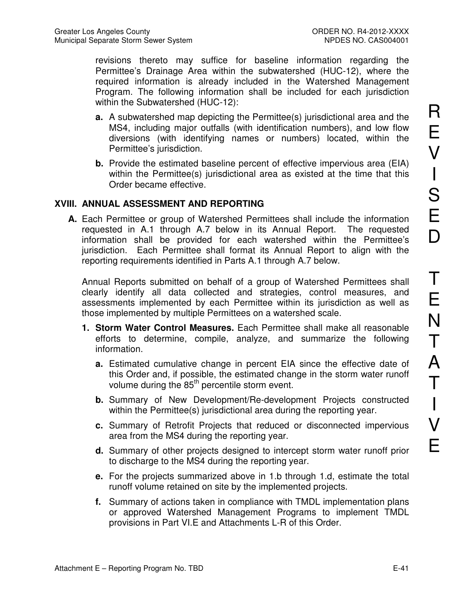revisions thereto may suffice for baseline information regarding the Permittee's Drainage Area within the subwatershed (HUC-12), where the required information is already included in the Watershed Management Program. The following information shall be included for each jurisdiction within the Subwatershed (HUC-12):

- **a.** A subwatershed map depicting the Permittee(s) jurisdictional area and the MS4, including major outfalls (with identification numbers), and low flow diversions (with identifying names or numbers) located, within the Permittee's jurisdiction.
- **b.** Provide the estimated baseline percent of effective impervious area (EIA) within the Permittee(s) jurisdictional area as existed at the time that this Order became effective.

### **XVIII. ANNUAL ASSESSMENT AND REPORTING**

**A.** Each Permittee or group of Watershed Permittees shall include the information requested in A.1 through A.7 below in its Annual Report. The requested information shall be provided for each watershed within the Permittee's jurisdiction. Each Permittee shall format its Annual Report to align with the reporting requirements identified in Parts A.1 through A.7 below.

Annual Reports submitted on behalf of a group of Watershed Permittees shall clearly identify all data collected and strategies, control measures, and assessments implemented by each Permittee within its jurisdiction as well as those implemented by multiple Permittees on a watershed scale.

- **1. Storm Water Control Measures.** Each Permittee shall make all reasonable efforts to determine, compile, analyze, and summarize the following information.
	- **a.** Estimated cumulative change in percent EIA since the effective date of this Order and, if possible, the estimated change in the storm water runoff volume during the 85<sup>th</sup> percentile storm event.
	- **b.** Summary of New Development/Re-development Projects constructed within the Permittee(s) jurisdictional area during the reporting year.
	- **c.** Summary of Retrofit Projects that reduced or disconnected impervious area from the MS4 during the reporting year.
	- **d.** Summary of other projects designed to intercept storm water runoff prior to discharge to the MS4 during the reporting year.
	- **e.** For the projects summarized above in 1.b through 1.d, estimate the total runoff volume retained on site by the implemented projects.
	- **f.** Summary of actions taken in compliance with TMDL implementation plans or approved Watershed Management Programs to implement TMDL provisions in Part VI.E and Attachments L-R of this Order.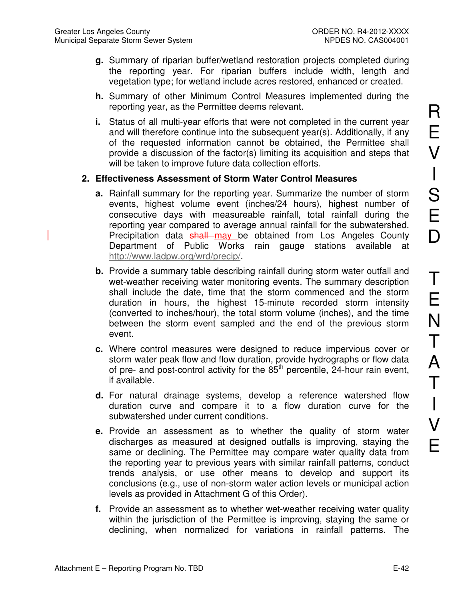- **g.** Summary of riparian buffer/wetland restoration projects completed during the reporting year. For riparian buffers include width, length and vegetation type; for wetland include acres restored, enhanced or created.
- **h.** Summary of other Minimum Control Measures implemented during the reporting year, as the Permittee deems relevant.
- **i.** Status of all multi-year efforts that were not completed in the current year and will therefore continue into the subsequent year(s). Additionally, if any of the requested information cannot be obtained, the Permittee shall provide a discussion of the factor(s) limiting its acquisition and steps that will be taken to improve future data collection efforts.

### **2. Effectiveness Assessment of Storm Water Control Measures**

- **a.** Rainfall summary for the reporting year. Summarize the number of storm events, highest volume event (inches/24 hours), highest number of consecutive days with measureable rainfall, total rainfall during the reporting year compared to average annual rainfall for the subwatershed. Precipitation data shall may be obtained from Los Angeles County Department of Public Works rain gauge stations available at http://www.ladpw.org/wrd/precip/.
- **b.** Provide a summary table describing rainfall during storm water outfall and wet-weather receiving water monitoring events. The summary description shall include the date, time that the storm commenced and the storm duration in hours, the highest 15-minute recorded storm intensity (converted to inches/hour), the total storm volume (inches), and the time between the storm event sampled and the end of the previous storm event.
- **c.** Where control measures were designed to reduce impervious cover or storm water peak flow and flow duration, provide hydrographs or flow data of pre- and post-control activity for the  $85<sup>th</sup>$  percentile, 24-hour rain event, if available.
- **d.** For natural drainage systems, develop a reference watershed flow duration curve and compare it to a flow duration curve for the subwatershed under current conditions.
- **e.** Provide an assessment as to whether the quality of storm water discharges as measured at designed outfalls is improving, staying the same or declining. The Permittee may compare water quality data from the reporting year to previous years with similar rainfall patterns, conduct trends analysis, or use other means to develop and support its conclusions (e.g., use of non-storm water action levels or municipal action levels as provided in Attachment G of this Order).
- **f.** Provide an assessment as to whether wet-weather receiving water quality within the jurisdiction of the Permittee is improving, staying the same or declining, when normalized for variations in rainfall patterns. The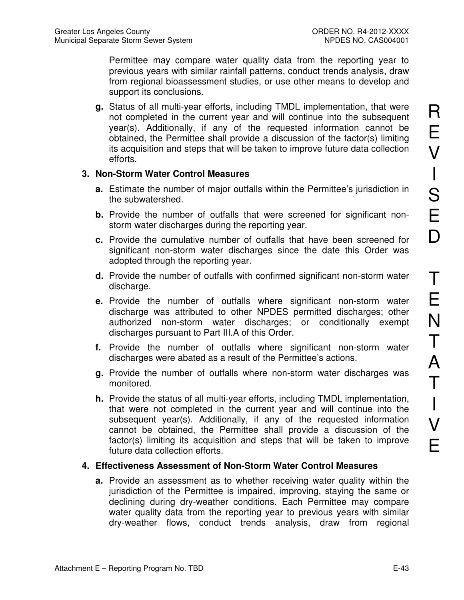Permittee may compare water quality data from the reporting year to previous years with similar rainfall patterns, conduct trends analysis, draw from regional bioassessment studies, or use other means to develop and support its conclusions.

**g.** Status of all multi-year efforts, including TMDL implementation, that were not completed in the current year and will continue into the subsequent year(s). Additionally, if any of the requested information cannot be obtained, the Permittee shall provide a discussion of the factor(s) limiting its acquisition and steps that will be taken to improve future data collection efforts.

#### **3. Non-Storm Water Control Measures**

- **a.** Estimate the number of major outfalls within the Permittee's jurisdiction in the subwatershed.
- **b.** Provide the number of outfalls that were screened for significant nonstorm water discharges during the reporting year.
- **c.** Provide the cumulative number of outfalls that have been screened for significant non-storm water discharges since the date this Order was adopted through the reporting year.
- **d.** Provide the number of outfalls with confirmed significant non-storm water discharge.
- **e.** Provide the number of outfalls where significant non-storm water discharge was attributed to other NPDES permitted discharges; other authorized non-storm water discharges; or conditionally exempt discharges pursuant to Part III.A of this Order.
- **f.** Provide the number of outfalls where significant non-storm water discharges were abated as a result of the Permittee's actions.
- **g.** Provide the number of outfalls where non-storm water discharges was monitored.
- **h.** Provide the status of all multi-year efforts, including TMDL implementation, that were not completed in the current year and will continue into the subsequent year(s). Additionally, if any of the requested information cannot be obtained, the Permittee shall provide a discussion of the factor(s) limiting its acquisition and steps that will be taken to improve future data collection efforts.

#### **4. Effectiveness Assessment of Non-Storm Water Control Measures**

**a.** Provide an assessment as to whether receiving water quality within the jurisdiction of the Permittee is impaired, improving, staying the same or declining during dry-weather conditions. Each Permittee may compare water quality data from the reporting year to previous years with similar dry-weather flows, conduct trends analysis, draw from regional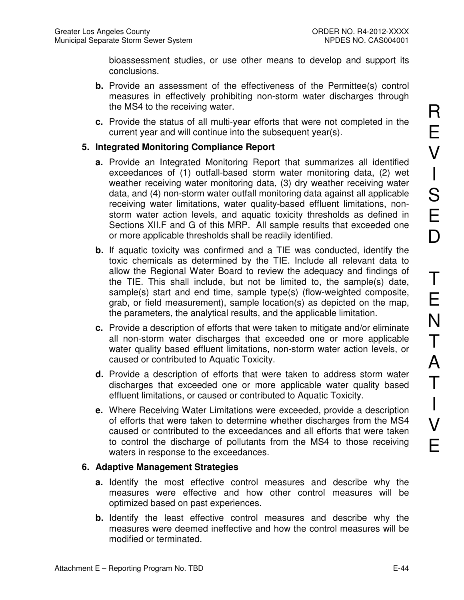bioassessment studies, or use other means to develop and support its conclusions.

- **b.** Provide an assessment of the effectiveness of the Permittee(s) control measures in effectively prohibiting non-storm water discharges through the MS4 to the receiving water.
- **c.** Provide the status of all multi-year efforts that were not completed in the current year and will continue into the subsequent year(s).

#### **5. Integrated Monitoring Compliance Report**

- **a.** Provide an Integrated Monitoring Report that summarizes all identified exceedances of (1) outfall-based storm water monitoring data, (2) wet weather receiving water monitoring data, (3) dry weather receiving water data, and (4) non-storm water outfall monitoring data against all applicable receiving water limitations, water quality-based effluent limitations, nonstorm water action levels, and aquatic toxicity thresholds as defined in Sections XII.F and G of this MRP. All sample results that exceeded one or more applicable thresholds shall be readily identified.
- **b.** If aquatic toxicity was confirmed and a TIE was conducted, identify the toxic chemicals as determined by the TIE. Include all relevant data to allow the Regional Water Board to review the adequacy and findings of the TIE. This shall include, but not be limited to, the sample(s) date, sample(s) start and end time, sample type(s) (flow-weighted composite, grab, or field measurement), sample location(s) as depicted on the map, the parameters, the analytical results, and the applicable limitation.
- **c.** Provide a description of efforts that were taken to mitigate and/or eliminate all non-storm water discharges that exceeded one or more applicable water quality based effluent limitations, non-storm water action levels, or caused or contributed to Aquatic Toxicity.
- **d.** Provide a description of efforts that were taken to address storm water discharges that exceeded one or more applicable water quality based effluent limitations, or caused or contributed to Aquatic Toxicity.
- **e.** Where Receiving Water Limitations were exceeded, provide a description of efforts that were taken to determine whether discharges from the MS4 caused or contributed to the exceedances and all efforts that were taken to control the discharge of pollutants from the MS4 to those receiving waters in response to the exceedances.

### **6. Adaptive Management Strategies**

- **a.** Identify the most effective control measures and describe why the measures were effective and how other control measures will be optimized based on past experiences.
- **b.** Identify the least effective control measures and describe why the measures were deemed ineffective and how the control measures will be modified or terminated.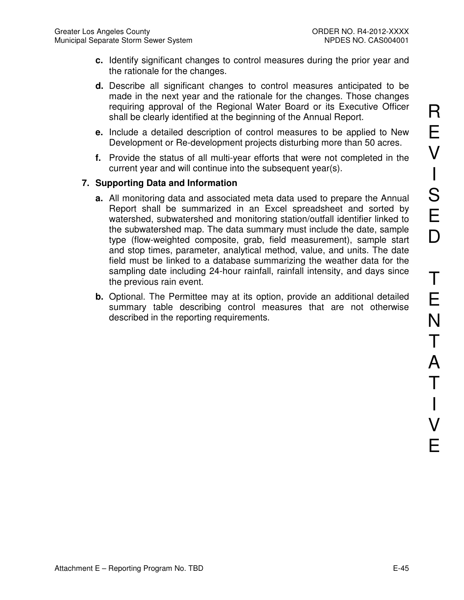- **c.** Identify significant changes to control measures during the prior year and the rationale for the changes.
- **d.** Describe all significant changes to control measures anticipated to be made in the next year and the rationale for the changes. Those changes requiring approval of the Regional Water Board or its Executive Officer shall be clearly identified at the beginning of the Annual Report.
- **e.** Include a detailed description of control measures to be applied to New Development or Re-development projects disturbing more than 50 acres.
- **f.** Provide the status of all multi-year efforts that were not completed in the current year and will continue into the subsequent year(s).

## **7. Supporting Data and Information**

- **a.** All monitoring data and associated meta data used to prepare the Annual Report shall be summarized in an Excel spreadsheet and sorted by watershed, subwatershed and monitoring station/outfall identifier linked to the subwatershed map. The data summary must include the date, sample type (flow-weighted composite, grab, field measurement), sample start and stop times, parameter, analytical method, value, and units. The date field must be linked to a database summarizing the weather data for the sampling date including 24-hour rainfall, rainfall intensity, and days since the previous rain event.
- **b.** Optional. The Permittee may at its option, provide an additional detailed summary table describing control measures that are not otherwise described in the reporting requirements.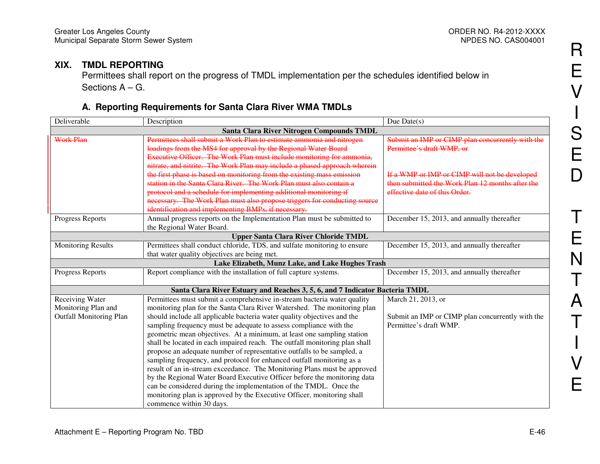#### **XIX. TMDL REPORTING**

 Permittees shall report on the progress of TMDL implementation per the schedules identified below in Sections A – G.

## **A. Reporting Requirements for Santa Clara River WMA TMDLs**

| Deliverable                               | Description                                                                  | Due Date $(s)$                                   |  |  |
|-------------------------------------------|------------------------------------------------------------------------------|--------------------------------------------------|--|--|
| Santa Clara River Nitrogen Compounds TMDL |                                                                              |                                                  |  |  |
| <b>Work Plan</b>                          | Permittees shall submit a Work Plan to estimate ammonia and nitrogen         | Submit an IMP or CIMP plan concurrently with the |  |  |
|                                           | loadings from the MS4 for approval by the Regional Water Board               | Permittee's draft WMP, or                        |  |  |
|                                           | Executive Officer. The Work Plan must include monitoring for ammonia,        |                                                  |  |  |
|                                           | nitrate, and nitrite. The Work Plan may include a phased approach wherein    |                                                  |  |  |
|                                           | the first phase is based on monitoring from the existing mass emission       | If a WMP or IMP or CIMP will not be developed    |  |  |
|                                           | station in the Santa Clara River. The Work Plan must also contain a          | then submitted the Work Plan 12 months after the |  |  |
|                                           | protocol and a schedule for implementing additional monitoring if            | effective date of this Order.                    |  |  |
|                                           | necessary. The Work Plan must also propose triggers for conducting source    |                                                  |  |  |
|                                           | identification and implementing BMPs, if necessary.                          |                                                  |  |  |
| Progress Reports                          | Annual progress reports on the Implementation Plan must be submitted to      | December 15, 2013, and annually thereafter       |  |  |
|                                           | the Regional Water Board.                                                    |                                                  |  |  |
|                                           | <b>Upper Santa Clara River Chloride TMDL</b>                                 |                                                  |  |  |
| <b>Monitoring Results</b>                 | Permittees shall conduct chloride, TDS, and sulfate monitoring to ensure     | December 15, 2013, and annually thereafter       |  |  |
|                                           | that water quality objectives are being met.                                 |                                                  |  |  |
|                                           | Lake Elizabeth, Munz Lake, and Lake Hughes Trash                             |                                                  |  |  |
| <b>Progress Reports</b>                   | Report compliance with the installation of full capture systems.             | December 15, 2013, and annually thereafter       |  |  |
|                                           |                                                                              |                                                  |  |  |
|                                           | Santa Clara River Estuary and Reaches 3, 5, 6, and 7 Indicator Bacteria TMDL |                                                  |  |  |
| Receiving Water                           | Permittees must submit a comprehensive in-stream bacteria water quality      | March 21, 2013, or                               |  |  |
| Monitoring Plan and                       | monitoring plan for the Santa Clara River Watershed. The monitoring plan     |                                                  |  |  |
| <b>Outfall Monitoring Plan</b>            | should include all applicable bacteria water quality objectives and the      | Submit an IMP or CIMP plan concurrently with the |  |  |
|                                           | sampling frequency must be adequate to assess compliance with the            | Permittee's draft WMP.                           |  |  |
|                                           | geometric mean objectives. At a minimum, at least one sampling station       |                                                  |  |  |
|                                           | shall be located in each impaired reach. The outfall monitoring plan shall   |                                                  |  |  |
|                                           | propose an adequate number of representative outfalls to be sampled, a       |                                                  |  |  |
|                                           | sampling frequency, and protocol for enhanced outfall monitoring as a        |                                                  |  |  |
|                                           | result of an in-stream exceedance. The Monitoring Plans must be approved     |                                                  |  |  |
|                                           | by the Regional Water Board Executive Officer before the monitoring data     |                                                  |  |  |
|                                           | can be considered during the implementation of the TMDL. Once the            |                                                  |  |  |
|                                           | monitoring plan is approved by the Executive Officer, monitoring shall       |                                                  |  |  |
|                                           | commence within 30 days.                                                     |                                                  |  |  |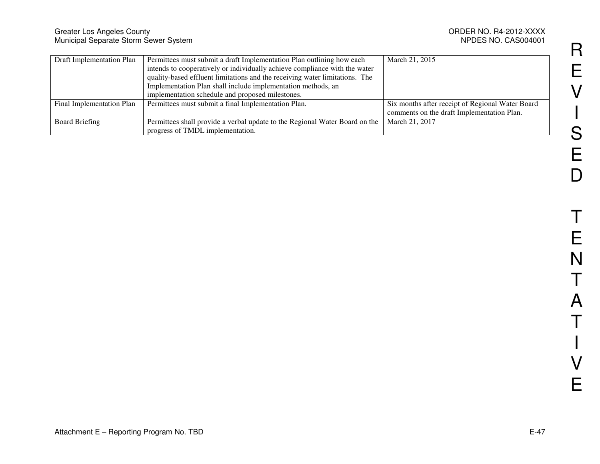NPDES NO. CAS004001

| Draft Implementation Plan | Permittees must submit a draft Implementation Plan outlining how each       | March 21, 2015                                   |
|---------------------------|-----------------------------------------------------------------------------|--------------------------------------------------|
|                           | intends to cooperatively or individually achieve compliance with the water  |                                                  |
|                           | quality-based effluent limitations and the receiving water limitations. The |                                                  |
|                           | Implementation Plan shall include implementation methods, an                |                                                  |
|                           | implementation schedule and proposed milestones.                            |                                                  |
| Final Implementation Plan | Permittees must submit a final Implementation Plan.                         | Six months after receipt of Regional Water Board |
|                           |                                                                             | comments on the draft Implementation Plan.       |
| <b>Board Briefing</b>     | Permittees shall provide a verbal update to the Regional Water Board on the | March 21, 2017                                   |
|                           | progress of TMDL implementation.                                            |                                                  |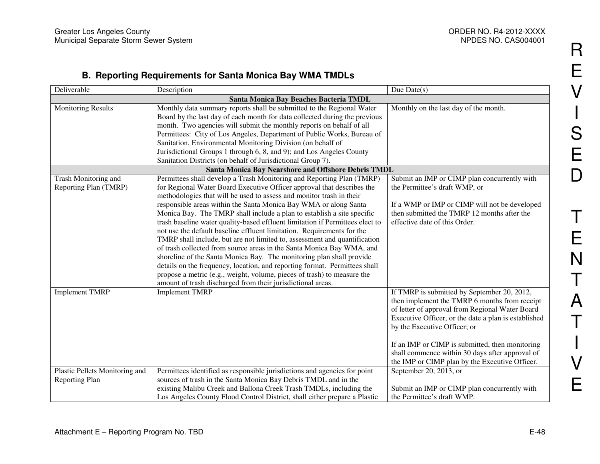## **B. Reporting Requirements for Santa Monica Bay WMA TMDLs**

| Deliverable                                      | Description                                                                                                                                                                                                                                                                                                                                                                                                                                                                                                                                                                                                                                                                                                                                                 | Due Date $(s)$                                                                                                                                                                                                                                                                                                                                                                                  |
|--------------------------------------------------|-------------------------------------------------------------------------------------------------------------------------------------------------------------------------------------------------------------------------------------------------------------------------------------------------------------------------------------------------------------------------------------------------------------------------------------------------------------------------------------------------------------------------------------------------------------------------------------------------------------------------------------------------------------------------------------------------------------------------------------------------------------|-------------------------------------------------------------------------------------------------------------------------------------------------------------------------------------------------------------------------------------------------------------------------------------------------------------------------------------------------------------------------------------------------|
| Santa Monica Bay Beaches Bacteria TMDL           |                                                                                                                                                                                                                                                                                                                                                                                                                                                                                                                                                                                                                                                                                                                                                             |                                                                                                                                                                                                                                                                                                                                                                                                 |
| <b>Monitoring Results</b>                        | Monthly data summary reports shall be submitted to the Regional Water<br>Board by the last day of each month for data collected during the previous<br>month. Two agencies will submit the monthly reports on behalf of all<br>Permittees: City of Los Angeles, Department of Public Works, Bureau of                                                                                                                                                                                                                                                                                                                                                                                                                                                       | Monthly on the last day of the month.                                                                                                                                                                                                                                                                                                                                                           |
|                                                  | Sanitation, Environmental Monitoring Division (on behalf of<br>Jurisdictional Groups 1 through 6, 8, and 9); and Los Angeles County<br>Sanitation Districts (on behalf of Jurisdictional Group 7).                                                                                                                                                                                                                                                                                                                                                                                                                                                                                                                                                          |                                                                                                                                                                                                                                                                                                                                                                                                 |
|                                                  | Santa Monica Bay Nearshore and Offshore Debris TMDL                                                                                                                                                                                                                                                                                                                                                                                                                                                                                                                                                                                                                                                                                                         |                                                                                                                                                                                                                                                                                                                                                                                                 |
| Trash Monitoring and<br>Reporting Plan (TMRP)    | Permittees shall develop a Trash Monitoring and Reporting Plan (TMRP)<br>for Regional Water Board Executive Officer approval that describes the<br>methodologies that will be used to assess and monitor trash in their                                                                                                                                                                                                                                                                                                                                                                                                                                                                                                                                     | Submit an IMP or CIMP plan concurrently with<br>the Permittee's draft WMP, or                                                                                                                                                                                                                                                                                                                   |
|                                                  | responsible areas within the Santa Monica Bay WMA or along Santa<br>Monica Bay. The TMRP shall include a plan to establish a site specific<br>trash baseline water quality-based effluent limitation if Permittees elect to<br>not use the default baseline effluent limitation. Requirements for the<br>TMRP shall include, but are not limited to, assessment and quantification<br>of trash collected from source areas in the Santa Monica Bay WMA, and<br>shoreline of the Santa Monica Bay. The monitoring plan shall provide<br>details on the frequency, location, and reporting format. Permittees shall<br>propose a metric (e.g., weight, volume, pieces of trash) to measure the<br>amount of trash discharged from their jurisdictional areas. | If a WMP or IMP or CIMP will not be developed<br>then submitted the TMRP 12 months after the<br>effective date of this Order.                                                                                                                                                                                                                                                                   |
| <b>Implement TMRP</b>                            | <b>Implement TMRP</b>                                                                                                                                                                                                                                                                                                                                                                                                                                                                                                                                                                                                                                                                                                                                       | If TMRP is submitted by September 20, 2012,<br>then implement the TMRP 6 months from receipt<br>of letter of approval from Regional Water Board<br>Executive Officer, or the date a plan is established<br>by the Executive Officer; or<br>If an IMP or CIMP is submitted, then monitoring<br>shall commence within 30 days after approval of<br>the IMP or CIMP plan by the Executive Officer. |
| Plastic Pellets Monitoring and<br>Reporting Plan | Permittees identified as responsible jurisdictions and agencies for point<br>sources of trash in the Santa Monica Bay Debris TMDL and in the<br>existing Malibu Creek and Ballona Creek Trash TMDLs, including the<br>Los Angeles County Flood Control District, shall either prepare a Plastic                                                                                                                                                                                                                                                                                                                                                                                                                                                             | September 20, 2013, or<br>Submit an IMP or CIMP plan concurrently with<br>the Permittee's draft WMP.                                                                                                                                                                                                                                                                                            |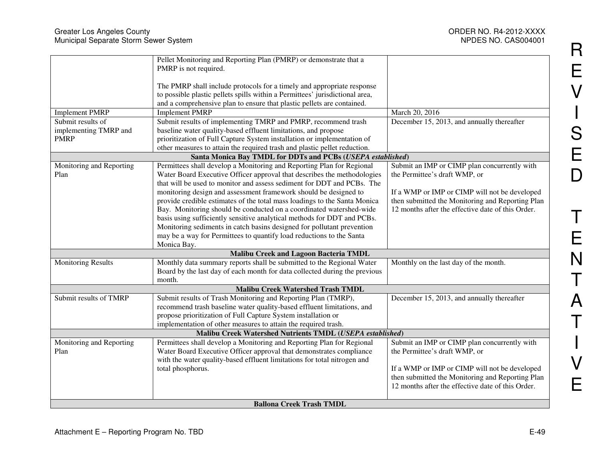|                                 | Pellet Monitoring and Reporting Plan (PMRP) or demonstrate that a            |                                                   |
|---------------------------------|------------------------------------------------------------------------------|---------------------------------------------------|
|                                 | PMRP is not required.                                                        |                                                   |
|                                 |                                                                              |                                                   |
|                                 | The PMRP shall include protocols for a timely and appropriate response       |                                                   |
|                                 | to possible plastic pellets spills within a Permittees' jurisdictional area, |                                                   |
|                                 | and a comprehensive plan to ensure that plastic pellets are contained.       |                                                   |
| <b>Implement PMRP</b>           | <b>Implement PMRP</b>                                                        | March 20, 2016                                    |
| Submit results of               | Submit results of implementing TMRP and PMRP, recommend trash                | December 15, 2013, and annually thereafter        |
| implementing TMRP and           | baseline water quality-based effluent limitations, and propose               |                                                   |
| <b>PMRP</b>                     | prioritization of Full Capture System installation or implementation of      |                                                   |
|                                 | other measures to attain the required trash and plastic pellet reduction.    |                                                   |
|                                 | Santa Monica Bay TMDL for DDTs and PCBs (USEPA established)                  |                                                   |
| Monitoring and Reporting        | Permittees shall develop a Monitoring and Reporting Plan for Regional        | Submit an IMP or CIMP plan concurrently with      |
| Plan                            | Water Board Executive Officer approval that describes the methodologies      | the Permittee's draft WMP, or                     |
|                                 | that will be used to monitor and assess sediment for DDT and PCBs. The       |                                                   |
|                                 | monitoring design and assessment framework should be designed to             | If a WMP or IMP or CIMP will not be developed     |
|                                 | provide credible estimates of the total mass loadings to the Santa Monica    | then submitted the Monitoring and Reporting Plan  |
|                                 | Bay. Monitoring should be conducted on a coordinated watershed-wide          | 12 months after the effective date of this Order. |
|                                 |                                                                              |                                                   |
|                                 | basis using sufficiently sensitive analytical methods for DDT and PCBs.      |                                                   |
|                                 | Monitoring sediments in catch basins designed for pollutant prevention       |                                                   |
|                                 | may be a way for Permittees to quantify load reductions to the Santa         |                                                   |
|                                 | Monica Bay.                                                                  |                                                   |
|                                 | <b>Malibu Creek and Lagoon Bacteria TMDL</b>                                 |                                                   |
| <b>Monitoring Results</b>       | Monthly data summary reports shall be submitted to the Regional Water        | Monthly on the last day of the month.             |
|                                 | Board by the last day of each month for data collected during the previous   |                                                   |
|                                 | month.                                                                       |                                                   |
|                                 | <b>Malibu Creek Watershed Trash TMDL</b>                                     |                                                   |
| Submit results of TMRP          | Submit results of Trash Monitoring and Reporting Plan (TMRP),                | December 15, 2013, and annually thereafter        |
|                                 | recommend trash baseline water quality-based effluent limitations, and       |                                                   |
|                                 | propose prioritization of Full Capture System installation or                |                                                   |
|                                 | implementation of other measures to attain the required trash.               |                                                   |
|                                 | Malibu Creek Watershed Nutrients TMDL (USEPA established)                    |                                                   |
| Monitoring and Reporting        | Permittees shall develop a Monitoring and Reporting Plan for Regional        | Submit an IMP or CIMP plan concurrently with      |
| Plan                            | Water Board Executive Officer approval that demonstrates compliance          | the Permittee's draft WMP, or                     |
|                                 | with the water quality-based effluent limitations for total nitrogen and     |                                                   |
|                                 | total phosphorus.                                                            | If a WMP or IMP or CIMP will not be developed     |
|                                 |                                                                              | then submitted the Monitoring and Reporting Plan  |
|                                 |                                                                              | 12 months after the effective date of this Order. |
|                                 |                                                                              |                                                   |
| <b>Ballona Creek Trash TMDL</b> |                                                                              |                                                   |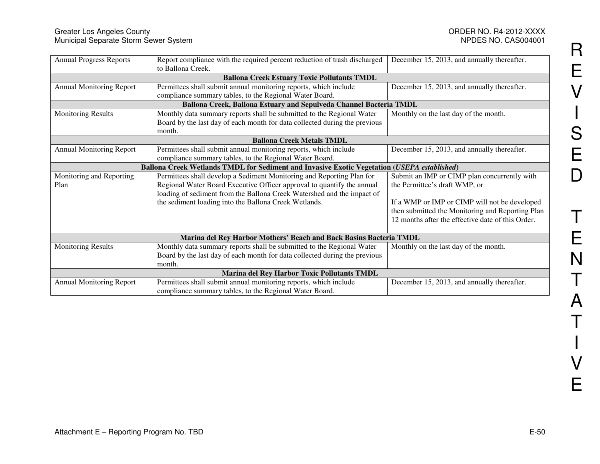#### Greater Los Angeles County ORDER NO. R4-2012-XXXX Municipal Separate Storm Sewer System NPDES NO. CAS004001

| <b>Annual Progress Reports</b>  | Report compliance with the required percent reduction of trash discharged<br>to Ballona Creek. | December 15, 2013, and annually thereafter.       |  |  |
|---------------------------------|------------------------------------------------------------------------------------------------|---------------------------------------------------|--|--|
|                                 | <b>Ballona Creek Estuary Toxic Pollutants TMDL</b>                                             |                                                   |  |  |
| <b>Annual Monitoring Report</b> | Permittees shall submit annual monitoring reports, which include                               | December 15, 2013, and annually thereafter.       |  |  |
|                                 | compliance summary tables, to the Regional Water Board.                                        |                                                   |  |  |
|                                 | Ballona Creek, Ballona Estuary and Sepulveda Channel Bacteria TMDL                             |                                                   |  |  |
| <b>Monitoring Results</b>       | Monthly data summary reports shall be submitted to the Regional Water                          | Monthly on the last day of the month.             |  |  |
|                                 | Board by the last day of each month for data collected during the previous                     |                                                   |  |  |
|                                 | month.                                                                                         |                                                   |  |  |
|                                 | <b>Ballona Creek Metals TMDL</b>                                                               |                                                   |  |  |
| <b>Annual Monitoring Report</b> | Permittees shall submit annual monitoring reports, which include                               | December 15, 2013, and annually thereafter.       |  |  |
|                                 | compliance summary tables, to the Regional Water Board.                                        |                                                   |  |  |
|                                 | Ballona Creek Wetlands TMDL for Sediment and Invasive Exotic Vegetation (USEPA established)    |                                                   |  |  |
| Monitoring and Reporting        | Permittees shall develop a Sediment Monitoring and Reporting Plan for                          | Submit an IMP or CIMP plan concurrently with      |  |  |
| Plan                            | Regional Water Board Executive Officer approval to quantify the annual                         | the Permittee's draft WMP, or                     |  |  |
|                                 | loading of sediment from the Ballona Creek Watershed and the impact of                         |                                                   |  |  |
|                                 | the sediment loading into the Ballona Creek Wetlands.                                          | If a WMP or IMP or CIMP will not be developed     |  |  |
|                                 |                                                                                                | then submitted the Monitoring and Reporting Plan  |  |  |
|                                 |                                                                                                | 12 months after the effective date of this Order. |  |  |
|                                 |                                                                                                |                                                   |  |  |
|                                 | Marina del Rey Harbor Mothers' Beach and Back Basins Bacteria TMDL                             |                                                   |  |  |
| <b>Monitoring Results</b>       | Monthly data summary reports shall be submitted to the Regional Water                          | Monthly on the last day of the month.             |  |  |
|                                 | Board by the last day of each month for data collected during the previous                     |                                                   |  |  |
|                                 | month.                                                                                         |                                                   |  |  |
|                                 | Marina del Rey Harbor Toxic Pollutants TMDL                                                    |                                                   |  |  |
| <b>Annual Monitoring Report</b> | Permittees shall submit annual monitoring reports, which include                               | December 15, 2013, and annually thereafter.       |  |  |
|                                 | compliance summary tables, to the Regional Water Board.                                        |                                                   |  |  |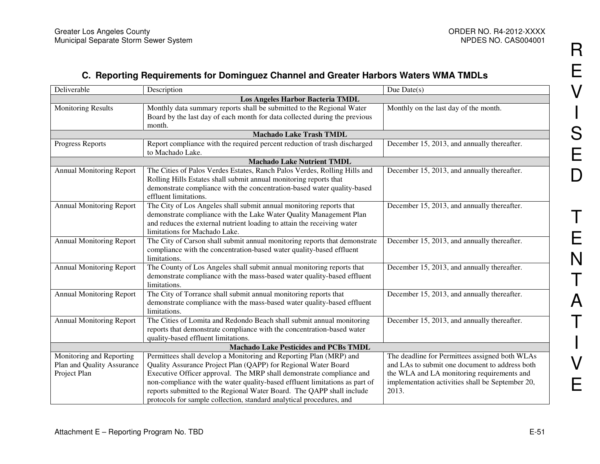## **C. Reporting Requirements for Dominguez Channel and Greater Harbors Waters WMA TMDLs**

| Deliverable                                  | Description                                                                 | Due $Date(s)$                                    |  |  |
|----------------------------------------------|-----------------------------------------------------------------------------|--------------------------------------------------|--|--|
|                                              | Los Angeles Harbor Bacteria TMDL                                            |                                                  |  |  |
| <b>Monitoring Results</b>                    | Monthly data summary reports shall be submitted to the Regional Water       | Monthly on the last day of the month.            |  |  |
|                                              | Board by the last day of each month for data collected during the previous  |                                                  |  |  |
|                                              | month.                                                                      |                                                  |  |  |
|                                              | <b>Machado Lake Trash TMDL</b>                                              |                                                  |  |  |
| Progress Reports                             | Report compliance with the required percent reduction of trash discharged   | December 15, 2013, and annually thereafter.      |  |  |
|                                              | to Machado Lake.                                                            |                                                  |  |  |
|                                              | <b>Machado Lake Nutrient TMDL</b>                                           |                                                  |  |  |
| <b>Annual Monitoring Report</b>              | The Cities of Palos Verdes Estates, Ranch Palos Verdes, Rolling Hills and   | December 15, 2013, and annually thereafter.      |  |  |
|                                              | Rolling Hills Estates shall submit annual monitoring reports that           |                                                  |  |  |
|                                              | demonstrate compliance with the concentration-based water quality-based     |                                                  |  |  |
|                                              | effluent limitations.                                                       |                                                  |  |  |
| <b>Annual Monitoring Report</b>              | The City of Los Angeles shall submit annual monitoring reports that         | December 15, 2013, and annually thereafter.      |  |  |
|                                              | demonstrate compliance with the Lake Water Quality Management Plan          |                                                  |  |  |
|                                              | and reduces the external nutrient loading to attain the receiving water     |                                                  |  |  |
|                                              | limitations for Machado Lake.                                               |                                                  |  |  |
| <b>Annual Monitoring Report</b>              | The City of Carson shall submit annual monitoring reports that demonstrate  | December 15, 2013, and annually thereafter.      |  |  |
|                                              | compliance with the concentration-based water quality-based effluent        |                                                  |  |  |
|                                              | limitations.                                                                |                                                  |  |  |
| <b>Annual Monitoring Report</b>              | The County of Los Angeles shall submit annual monitoring reports that       | December 15, 2013, and annually thereafter.      |  |  |
|                                              | demonstrate compliance with the mass-based water quality-based effluent     |                                                  |  |  |
|                                              | limitations.                                                                |                                                  |  |  |
| <b>Annual Monitoring Report</b>              | The City of Torrance shall submit annual monitoring reports that            | December 15, 2013, and annually thereafter.      |  |  |
|                                              | demonstrate compliance with the mass-based water quality-based effluent     |                                                  |  |  |
|                                              | limitations.                                                                |                                                  |  |  |
| <b>Annual Monitoring Report</b>              | The Cities of Lomita and Redondo Beach shall submit annual monitoring       | December 15, 2013, and annually thereafter.      |  |  |
|                                              | reports that demonstrate compliance with the concentration-based water      |                                                  |  |  |
|                                              | quality-based effluent limitations.                                         |                                                  |  |  |
| <b>Machado Lake Pesticides and PCBs TMDL</b> |                                                                             |                                                  |  |  |
| Monitoring and Reporting                     | Permittees shall develop a Monitoring and Reporting Plan (MRP) and          | The deadline for Permittees assigned both WLAs   |  |  |
| Plan and Quality Assurance                   | Quality Assurance Project Plan (QAPP) for Regional Water Board              | and LAs to submit one document to address both   |  |  |
| Project Plan                                 | Executive Officer approval. The MRP shall demonstrate compliance and        | the WLA and LA monitoring requirements and       |  |  |
|                                              | non-compliance with the water quality-based effluent limitations as part of | implementation activities shall be September 20, |  |  |
|                                              | reports submitted to the Regional Water Board. The QAPP shall include       | 2013.                                            |  |  |
|                                              | protocols for sample collection, standard analytical procedures, and        |                                                  |  |  |

R

E

V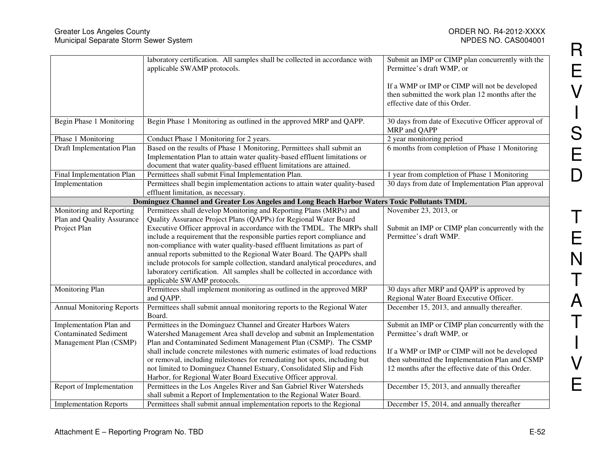|                                  | laboratory certification. All samples shall be collected in accordance with<br>applicable SWAMP protocols.                                                                                                                  | Submit an IMP or CIMP plan concurrently with the<br>Permittee's draft WMP, or                                                      |
|----------------------------------|-----------------------------------------------------------------------------------------------------------------------------------------------------------------------------------------------------------------------------|------------------------------------------------------------------------------------------------------------------------------------|
|                                  |                                                                                                                                                                                                                             | If a WMP or IMP or CIMP will not be developed<br>then submitted the work plan 12 months after the<br>effective date of this Order. |
|                                  |                                                                                                                                                                                                                             |                                                                                                                                    |
| Begin Phase 1 Monitoring         | Begin Phase 1 Monitoring as outlined in the approved MRP and QAPP.                                                                                                                                                          | 30 days from date of Executive Officer approval of<br>MRP and QAPP                                                                 |
| Phase 1 Monitoring               | Conduct Phase 1 Monitoring for 2 years.                                                                                                                                                                                     | 2 year monitoring period                                                                                                           |
| Draft Implementation Plan        | Based on the results of Phase 1 Monitoring, Permittees shall submit an<br>Implementation Plan to attain water quality-based effluent limitations or<br>document that water quality-based effluent limitations are attained. | 6 months from completion of Phase 1 Monitoring                                                                                     |
| Final Implementation Plan        | Permittees shall submit Final Implementation Plan.                                                                                                                                                                          | 1 year from completion of Phase 1 Monitoring                                                                                       |
| Implementation                   | Permittees shall begin implementation actions to attain water quality-based<br>effluent limitation, as necessary.                                                                                                           | 30 days from date of Implementation Plan approval                                                                                  |
|                                  | Dominguez Channel and Greater Los Angeles and Long Beach Harbor Waters Toxic Pollutants TMDL                                                                                                                                |                                                                                                                                    |
| Monitoring and Reporting         | Permittees shall develop Monitoring and Reporting Plans (MRPs) and                                                                                                                                                          | November 23, 2013, or                                                                                                              |
| Plan and Quality Assurance       | Quality Assurance Project Plans (QAPPs) for Regional Water Board                                                                                                                                                            |                                                                                                                                    |
| Project Plan                     | Executive Officer approval in accordance with the TMDL. The MRPs shall                                                                                                                                                      | Submit an IMP or CIMP plan concurrently with the                                                                                   |
|                                  | include a requirement that the responsible parties report compliance and                                                                                                                                                    | Permittee's draft WMP.                                                                                                             |
|                                  | non-compliance with water quality-based effluent limitations as part of                                                                                                                                                     |                                                                                                                                    |
|                                  | annual reports submitted to the Regional Water Board. The QAPPs shall                                                                                                                                                       |                                                                                                                                    |
|                                  | include protocols for sample collection, standard analytical procedures, and                                                                                                                                                |                                                                                                                                    |
|                                  | laboratory certification. All samples shall be collected in accordance with                                                                                                                                                 |                                                                                                                                    |
|                                  | applicable SWAMP protocols.                                                                                                                                                                                                 |                                                                                                                                    |
| Monitoring Plan                  | Permittees shall implement monitoring as outlined in the approved MRP                                                                                                                                                       | 30 days after MRP and QAPP is approved by<br>Regional Water Board Executive Officer.                                               |
| <b>Annual Monitoring Reports</b> | and QAPP.<br>Permittees shall submit annual monitoring reports to the Regional Water                                                                                                                                        | December 15, 2013, and annually thereafter.                                                                                        |
|                                  | Board.                                                                                                                                                                                                                      |                                                                                                                                    |
| Implementation Plan and          | Permittees in the Dominguez Channel and Greater Harbors Waters                                                                                                                                                              | Submit an IMP or CIMP plan concurrently with the                                                                                   |
| <b>Contaminated Sediment</b>     | Watershed Management Area shall develop and submit an Implementation                                                                                                                                                        | Permittee's draft WMP, or                                                                                                          |
| Management Plan (CSMP)           | Plan and Contaminated Sediment Management Plan (CSMP). The CSMP                                                                                                                                                             |                                                                                                                                    |
|                                  | shall include concrete milestones with numeric estimates of load reductions                                                                                                                                                 | If a WMP or IMP or CIMP will not be developed                                                                                      |
|                                  | or removal, including milestones for remediating hot spots, including but                                                                                                                                                   | then submitted the Implementation Plan and CSMP                                                                                    |
|                                  | not limited to Dominguez Channel Estuary, Consolidated Slip and Fish                                                                                                                                                        | 12 months after the effective date of this Order.                                                                                  |
| Report of Implementation         | Harbor, for Regional Water Board Executive Officer approval.<br>Permittees in the Los Angeles River and San Gabriel River Watersheds                                                                                        | December 15, 2013, and annually thereafter                                                                                         |
|                                  | shall submit a Report of Implementation to the Regional Water Board.                                                                                                                                                        |                                                                                                                                    |
| <b>Implementation Reports</b>    | Permittees shall submit annual implementation reports to the Regional                                                                                                                                                       | December 15, 2014, and annually thereafter                                                                                         |
|                                  |                                                                                                                                                                                                                             |                                                                                                                                    |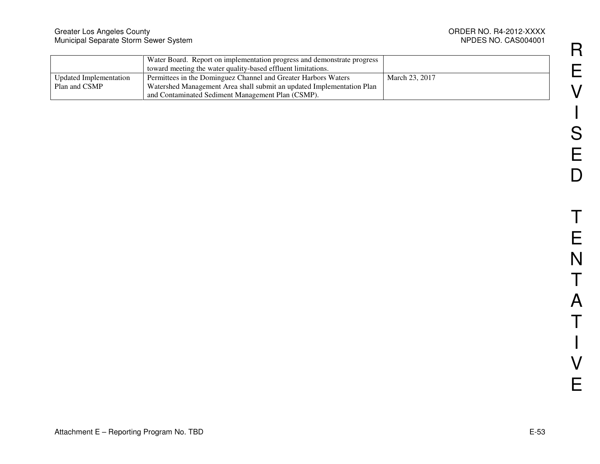|                        | Water Board. Report on implementation progress and demonstrate progress |                |
|------------------------|-------------------------------------------------------------------------|----------------|
|                        | toward meeting the water quality-based effluent limitations.            |                |
| Updated Implementation | Permittees in the Dominguez Channel and Greater Harbors Waters          | March 23, 2017 |
| Plan and CSMP          | Watershed Management Area shall submit an updated Implementation Plan   |                |
|                        | and Contaminated Sediment Management Plan (CSMP).                       |                |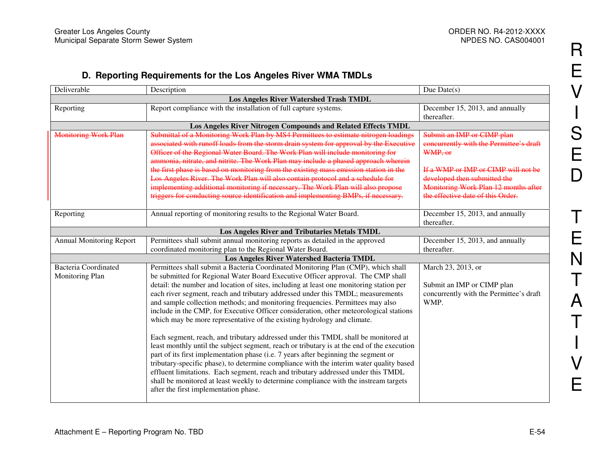### **D. Reporting Requirements for the Los Angeles River WMA TMDLs**

| Deliverable                                   | Description                                                                                | Due Date $(s)$                          |  |
|-----------------------------------------------|--------------------------------------------------------------------------------------------|-----------------------------------------|--|
| <b>Los Angeles River Watershed Trash TMDL</b> |                                                                                            |                                         |  |
| Reporting                                     | Report compliance with the installation of full capture systems.                           | December 15, 2013, and annually         |  |
|                                               |                                                                                            | thereafter.                             |  |
|                                               | Los Angeles River Nitrogen Compounds and Related Effects TMDL                              |                                         |  |
| <b>Monitoring Work Plan</b>                   | Submittal of a Monitoring Work Plan by MS4 Permittees to estimate nitrogen loadings        | Submit an IMP or CIMP plan              |  |
|                                               | associated with runoff loads from the storm drain system for approval by the Executive     | concurrently with the Permittee's draft |  |
|                                               | Officer of the Regional Water Board. The Work Plan will include monitoring for             | WMP, or                                 |  |
|                                               | ammonia, nitrate, and nitrite. The Work Plan may include a phased approach wherein         |                                         |  |
|                                               | the first phase is based on monitoring from the existing mass emission station in the      | If a WMP or IMP or CIMP will not be     |  |
|                                               | Los Angeles River. The Work Plan will also contain protocol and a schedule for             | developed then submitted the            |  |
|                                               | implementing additional monitoring if necessary. The Work Plan will also propose           | Monitoring Work Plan 12 months after    |  |
|                                               | triggers for conducting source identification and implementing BMPs, if necessary.         | the effective date of this Order.       |  |
|                                               |                                                                                            |                                         |  |
| Reporting                                     | Annual reporting of monitoring results to the Regional Water Board.                        | December 15, 2013, and annually         |  |
|                                               |                                                                                            | thereafter.                             |  |
|                                               | Los Angeles River and Tributaries Metals TMDL                                              |                                         |  |
| <b>Annual Monitoring Report</b>               | Permittees shall submit annual monitoring reports as detailed in the approved              | December 15, 2013, and annually         |  |
|                                               | coordinated monitoring plan to the Regional Water Board.                                   | thereafter.                             |  |
|                                               | <b>Los Angeles River Watershed Bacteria TMDL</b>                                           |                                         |  |
| <b>Bacteria Coordinated</b>                   | Permittees shall submit a Bacteria Coordinated Monitoring Plan (CMP), which shall          | March 23, 2013, or                      |  |
| Monitoring Plan                               | be submitted for Regional Water Board Executive Officer approval. The CMP shall            |                                         |  |
|                                               | detail: the number and location of sites, including at least one monitoring station per    | Submit an IMP or CIMP plan              |  |
|                                               | each river segment, reach and tributary addressed under this TMDL; measurements            | concurrently with the Permittee's draft |  |
|                                               | and sample collection methods; and monitoring frequencies. Permittees may also             | WMP.                                    |  |
|                                               | include in the CMP, for Executive Officer consideration, other meteorological stations     |                                         |  |
|                                               | which may be more representative of the existing hydrology and climate.                    |                                         |  |
|                                               |                                                                                            |                                         |  |
|                                               | Each segment, reach, and tributary addressed under this TMDL shall be monitored at         |                                         |  |
|                                               | least monthly until the subject segment, reach or tributary is at the end of the execution |                                         |  |
|                                               | part of its first implementation phase (i.e. 7 years after beginning the segment or        |                                         |  |
|                                               | tributary-specific phase), to determine compliance with the interim water quality based    |                                         |  |
|                                               | effluent limitations. Each segment, reach and tributary addressed under this TMDL          |                                         |  |
|                                               | shall be monitored at least weekly to determine compliance with the instream targets       |                                         |  |
|                                               | after the first implementation phase.                                                      |                                         |  |
|                                               |                                                                                            |                                         |  |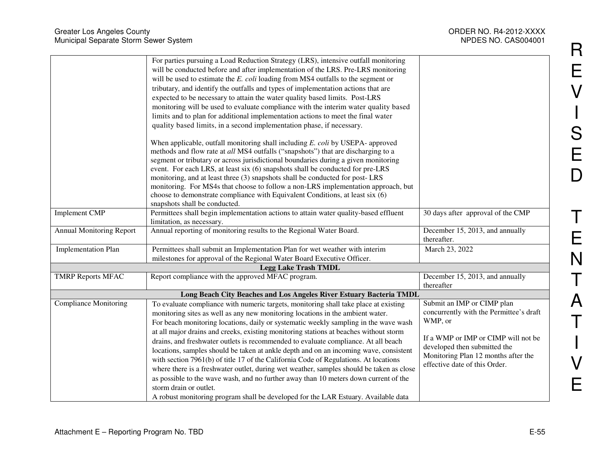| <b>Greater Los Angeles County</b><br>Municipal Separate Storm Sewer System |                                                                                                                                                                                                                                                                                                                                                                                                                                                                                                                                                                                                                                                                                    | ORDER NO. R4-2012-XXXX<br>NPDES NO. CAS004001                                                                                               |
|----------------------------------------------------------------------------|------------------------------------------------------------------------------------------------------------------------------------------------------------------------------------------------------------------------------------------------------------------------------------------------------------------------------------------------------------------------------------------------------------------------------------------------------------------------------------------------------------------------------------------------------------------------------------------------------------------------------------------------------------------------------------|---------------------------------------------------------------------------------------------------------------------------------------------|
|                                                                            | For parties pursuing a Load Reduction Strategy (LRS), intensive outfall monitoring<br>will be conducted before and after implementation of the LRS. Pre-LRS monitoring<br>will be used to estimate the E. coli loading from MS4 outfalls to the segment or<br>tributary, and identify the outfalls and types of implementation actions that are<br>expected to be necessary to attain the water quality based limits. Post-LRS<br>monitoring will be used to evaluate compliance with the interim water quality based<br>limits and to plan for additional implementation actions to meet the final water<br>quality based limits, in a second implementation phase, if necessary. |                                                                                                                                             |
|                                                                            | When applicable, outfall monitoring shall including E. coli by USEPA- approved<br>methods and flow rate at all MS4 outfalls ("snapshots") that are discharging to a<br>segment or tributary or across jurisdictional boundaries during a given monitoring<br>event. For each LRS, at least six (6) snapshots shall be conducted for pre-LRS<br>monitoring, and at least three (3) snapshots shall be conducted for post-LRS<br>monitoring. For MS4s that choose to follow a non-LRS implementation approach, but<br>choose to demonstrate compliance with Equivalent Conditions, at least six (6)<br>snapshots shall be conducted.                                                 |                                                                                                                                             |
| <b>Implement CMP</b>                                                       | Permittees shall begin implementation actions to attain water quality-based effluent<br>limitation, as necessary.                                                                                                                                                                                                                                                                                                                                                                                                                                                                                                                                                                  | 30 days after approval of the CMP                                                                                                           |
| <b>Annual Monitoring Report</b>                                            | Annual reporting of monitoring results to the Regional Water Board.                                                                                                                                                                                                                                                                                                                                                                                                                                                                                                                                                                                                                | December 15, 2013, and annually<br>thereafter.                                                                                              |
| <b>Implementation Plan</b>                                                 | Permittees shall submit an Implementation Plan for wet weather with interim<br>milestones for approval of the Regional Water Board Executive Officer.                                                                                                                                                                                                                                                                                                                                                                                                                                                                                                                              | March 23, 2022                                                                                                                              |
|                                                                            | <b>Legg Lake Trash TMDL</b>                                                                                                                                                                                                                                                                                                                                                                                                                                                                                                                                                                                                                                                        |                                                                                                                                             |
| <b>TMRP Reports MFAC</b>                                                   | Report compliance with the approved MFAC program.                                                                                                                                                                                                                                                                                                                                                                                                                                                                                                                                                                                                                                  | December 15, 2013, and annually<br>thereafter                                                                                               |
|                                                                            | Long Beach City Beaches and Los Angeles River Estuary Bacteria TMDL                                                                                                                                                                                                                                                                                                                                                                                                                                                                                                                                                                                                                |                                                                                                                                             |
| <b>Compliance Monitoring</b>                                               | To evaluate compliance with numeric targets, monitoring shall take place at existing<br>monitoring sites as well as any new monitoring locations in the ambient water.<br>For beach monitoring locations, daily or systematic weekly sampling in the wave wash                                                                                                                                                                                                                                                                                                                                                                                                                     | Submit an IMP or CIMP plan<br>concurrently with the Permittee's draft<br>WMP, or                                                            |
|                                                                            | at all major drains and creeks, existing monitoring stations at beaches without storm<br>drains, and freshwater outlets is recommended to evaluate compliance. At all beach<br>locations, samples should be taken at ankle depth and on an incoming wave, consistent<br>with section 7961(b) of title 17 of the California Code of Regulations. At locations<br>where there is a freshwater outlet, during wet weather, samples should be taken as close<br>as possible to the wave wash, and no further away than 10 meters down current of the<br>storm drain or outlet.<br>A robust monitoring program shall be developed for the LAR Estuary. Available data                   | If a WMP or IMP or CIMP will not be<br>developed then submitted the<br>Monitoring Plan 12 months after the<br>effective date of this Order. |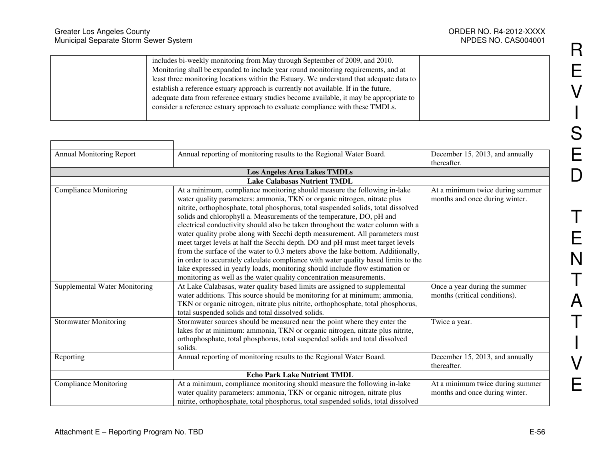| <b>Greater Los Angeles County</b><br>Municipal Separate Storm Sewer System |                                                                                                                                                                                                                                                                                                                                                                                                                                                                                                                                    | ORDER NO. R4-2012-XXXX<br>NPDES NO. CAS004001 |
|----------------------------------------------------------------------------|------------------------------------------------------------------------------------------------------------------------------------------------------------------------------------------------------------------------------------------------------------------------------------------------------------------------------------------------------------------------------------------------------------------------------------------------------------------------------------------------------------------------------------|-----------------------------------------------|
|                                                                            | includes bi-weekly monitoring from May through September of 2009, and 2010.<br>Monitoring shall be expanded to include year round monitoring requirements, and at<br>least three monitoring locations within the Estuary. We understand that adequate data to<br>establish a reference estuary approach is currently not available. If in the future,<br>adequate data from reference estuary studies become available, it may be appropriate to<br>consider a reference estuary approach to evaluate compliance with these TMDLs. |                                               |

| Annual Monitoring Report      | Annual reporting of monitoring results to the Regional Water Board.                                                                                                                                                                                                                                                                                                                                                                                                                                                                                                                                                                                          | December 15, 2013, and annually<br>thereafter.                     |  |
|-------------------------------|--------------------------------------------------------------------------------------------------------------------------------------------------------------------------------------------------------------------------------------------------------------------------------------------------------------------------------------------------------------------------------------------------------------------------------------------------------------------------------------------------------------------------------------------------------------------------------------------------------------------------------------------------------------|--------------------------------------------------------------------|--|
|                               | <b>Los Angeles Area Lakes TMDLs</b>                                                                                                                                                                                                                                                                                                                                                                                                                                                                                                                                                                                                                          |                                                                    |  |
|                               | <b>Lake Calabasas Nutrient TMDL</b>                                                                                                                                                                                                                                                                                                                                                                                                                                                                                                                                                                                                                          |                                                                    |  |
| <b>Compliance Monitoring</b>  | At a minimum, compliance monitoring should measure the following in-lake<br>water quality parameters: ammonia, TKN or organic nitrogen, nitrate plus<br>nitrite, orthophosphate, total phosphorus, total suspended solids, total dissolved<br>solids and chlorophyll a. Measurements of the temperature, DO, pH and<br>electrical conductivity should also be taken throughout the water column with a<br>water quality probe along with Secchi depth measurement. All parameters must<br>meet target levels at half the Secchi depth. DO and pH must meet target levels<br>from the surface of the water to 0.3 meters above the lake bottom. Additionally, | At a minimum twice during summer<br>months and once during winter. |  |
|                               | in order to accurately calculate compliance with water quality based limits to the<br>lake expressed in yearly loads, monitoring should include flow estimation or<br>monitoring as well as the water quality concentration measurements.                                                                                                                                                                                                                                                                                                                                                                                                                    |                                                                    |  |
| Supplemental Water Monitoring | At Lake Calabasas, water quality based limits are assigned to supplemental<br>water additions. This source should be monitoring for at minimum; ammonia,<br>TKN or organic nitrogen, nitrate plus nitrite, orthophosphate, total phosphorus,<br>total suspended solids and total dissolved solids.                                                                                                                                                                                                                                                                                                                                                           | Once a year during the summer<br>months (critical conditions).     |  |
| <b>Stormwater Monitoring</b>  | Stormwater sources should be measured near the point where they enter the<br>lakes for at minimum: ammonia, TKN or organic nitrogen, nitrate plus nitrite,<br>orthophosphate, total phosphorus, total suspended solids and total dissolved<br>solids.                                                                                                                                                                                                                                                                                                                                                                                                        | Twice a year.                                                      |  |
| Reporting                     | Annual reporting of monitoring results to the Regional Water Board.                                                                                                                                                                                                                                                                                                                                                                                                                                                                                                                                                                                          | December 15, 2013, and annually<br>thereafter.                     |  |
|                               | <b>Echo Park Lake Nutrient TMDL</b>                                                                                                                                                                                                                                                                                                                                                                                                                                                                                                                                                                                                                          |                                                                    |  |
| <b>Compliance Monitoring</b>  | At a minimum, compliance monitoring should measure the following in-lake<br>water quality parameters: ammonia, TKN or organic nitrogen, nitrate plus<br>nitrite, orthophosphate, total phosphorus, total suspended solids, total dissolved                                                                                                                                                                                                                                                                                                                                                                                                                   | At a minimum twice during summer<br>months and once during winter. |  |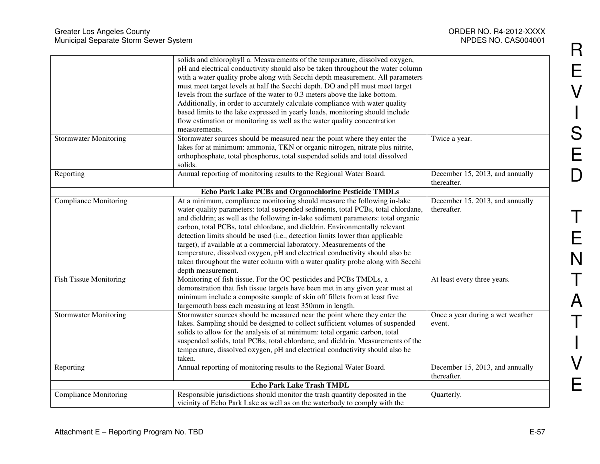| <b>Greater Los Angeles County</b><br>Municipal Separate Storm Sewer System |                                                                                                                                                                                                                                                                                                                                                                                                                                                                                                                                                                                                                                                                                     | ORDER NO. R4-2012-XXXX<br>NPDES NO. CAS004001  |
|----------------------------------------------------------------------------|-------------------------------------------------------------------------------------------------------------------------------------------------------------------------------------------------------------------------------------------------------------------------------------------------------------------------------------------------------------------------------------------------------------------------------------------------------------------------------------------------------------------------------------------------------------------------------------------------------------------------------------------------------------------------------------|------------------------------------------------|
|                                                                            | solids and chlorophyll a. Measurements of the temperature, dissolved oxygen,<br>pH and electrical conductivity should also be taken throughout the water column<br>with a water quality probe along with Secchi depth measurement. All parameters<br>must meet target levels at half the Secchi depth. DO and pH must meet target<br>levels from the surface of the water to 0.3 meters above the lake bottom.<br>Additionally, in order to accurately calculate compliance with water quality<br>based limits to the lake expressed in yearly loads, monitoring should include<br>flow estimation or monitoring as well as the water quality concentration<br>measurements.        |                                                |
| <b>Stormwater Monitoring</b>                                               | Stormwater sources should be measured near the point where they enter the<br>lakes for at minimum: ammonia, TKN or organic nitrogen, nitrate plus nitrite,<br>orthophosphate, total phosphorus, total suspended solids and total dissolved<br>solids.                                                                                                                                                                                                                                                                                                                                                                                                                               | Twice a year.                                  |
| Reporting                                                                  | Annual reporting of monitoring results to the Regional Water Board.                                                                                                                                                                                                                                                                                                                                                                                                                                                                                                                                                                                                                 | December 15, 2013, and annually<br>thereafter. |
|                                                                            | Echo Park Lake PCBs and Organochlorine Pesticide TMDLs                                                                                                                                                                                                                                                                                                                                                                                                                                                                                                                                                                                                                              |                                                |
| <b>Compliance Monitoring</b>                                               | At a minimum, compliance monitoring should measure the following in-lake<br>water quality parameters: total suspended sediments, total PCBs, total chlordane,<br>and dieldrin; as well as the following in-lake sediment parameters: total organic<br>carbon, total PCBs, total chlordane, and dieldrin. Environmentally relevant<br>detection limits should be used (i.e., detection limits lower than applicable<br>target), if available at a commercial laboratory. Measurements of the<br>temperature, dissolved oxygen, pH and electrical conductivity should also be<br>taken throughout the water column with a water quality probe along with Secchi<br>depth measurement. | December 15, 2013, and annually<br>thereafter. |
| <b>Fish Tissue Monitoring</b>                                              | Monitoring of fish tissue. For the OC pesticides and PCBs TMDLs, a<br>demonstration that fish tissue targets have been met in any given year must at<br>minimum include a composite sample of skin off fillets from at least five<br>largemouth bass each measuring at least 350mm in length.                                                                                                                                                                                                                                                                                                                                                                                       | At least every three years.                    |
| <b>Stormwater Monitoring</b>                                               | Stormwater sources should be measured near the point where they enter the<br>lakes. Sampling should be designed to collect sufficient volumes of suspended<br>solids to allow for the analysis of at minimum: total organic carbon, total<br>suspended solids, total PCBs, total chlordane, and dieldrin. Measurements of the<br>temperature, dissolved oxygen, pH and electrical conductivity should also be<br>taken.                                                                                                                                                                                                                                                             | Once a year during a wet weather<br>event.     |
| Reporting                                                                  | Annual reporting of monitoring results to the Regional Water Board.                                                                                                                                                                                                                                                                                                                                                                                                                                                                                                                                                                                                                 | December 15, 2013, and annually<br>thereafter. |
|                                                                            | Echo Park Lake Trash TMDL                                                                                                                                                                                                                                                                                                                                                                                                                                                                                                                                                                                                                                                           |                                                |
| <b>Compliance Monitoring</b>                                               | Responsible jurisdictions should monitor the trash quantity deposited in the<br>vicinity of Echo Park Lake as well as on the waterbody to comply with the                                                                                                                                                                                                                                                                                                                                                                                                                                                                                                                           | Quarterly.                                     |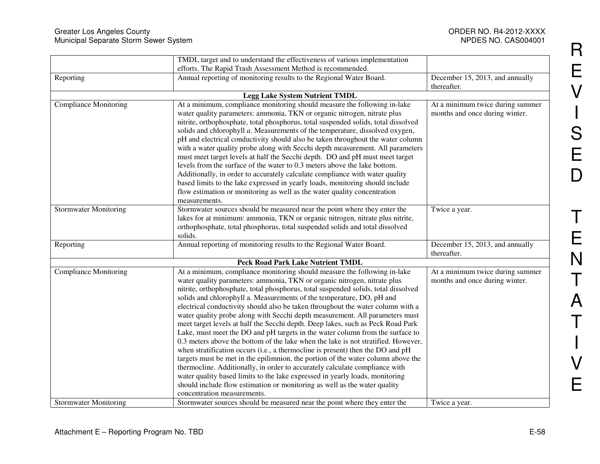|                              | TMDL target and to understand the effectiveness of various implementation                                                                                                                                                                                                                                                                                                                                                                                                                                                                                                                                                                                                                                                                                                                                                                                                                                                                                                                                                                                                                                                                                                                        |                                                                    |
|------------------------------|--------------------------------------------------------------------------------------------------------------------------------------------------------------------------------------------------------------------------------------------------------------------------------------------------------------------------------------------------------------------------------------------------------------------------------------------------------------------------------------------------------------------------------------------------------------------------------------------------------------------------------------------------------------------------------------------------------------------------------------------------------------------------------------------------------------------------------------------------------------------------------------------------------------------------------------------------------------------------------------------------------------------------------------------------------------------------------------------------------------------------------------------------------------------------------------------------|--------------------------------------------------------------------|
|                              | efforts. The Rapid Trash Assessment Method is recommended.                                                                                                                                                                                                                                                                                                                                                                                                                                                                                                                                                                                                                                                                                                                                                                                                                                                                                                                                                                                                                                                                                                                                       |                                                                    |
| Reporting                    | Annual reporting of monitoring results to the Regional Water Board.                                                                                                                                                                                                                                                                                                                                                                                                                                                                                                                                                                                                                                                                                                                                                                                                                                                                                                                                                                                                                                                                                                                              | December 15, 2013, and annually<br>thereafter.                     |
|                              | <b>Legg Lake System Nutrient TMDL</b>                                                                                                                                                                                                                                                                                                                                                                                                                                                                                                                                                                                                                                                                                                                                                                                                                                                                                                                                                                                                                                                                                                                                                            |                                                                    |
| Compliance Monitoring        | At a minimum, compliance monitoring should measure the following in-lake                                                                                                                                                                                                                                                                                                                                                                                                                                                                                                                                                                                                                                                                                                                                                                                                                                                                                                                                                                                                                                                                                                                         | At a minimum twice during summer                                   |
|                              | water quality parameters: ammonia, TKN or organic nitrogen, nitrate plus<br>nitrite, orthophosphate, total phosphorus, total suspended solids, total dissolved<br>solids and chlorophyll a. Measurements of the temperature, dissolved oxygen,<br>pH and electrical conductivity should also be taken throughout the water column<br>with a water quality probe along with Secchi depth measurement. All parameters<br>must meet target levels at half the Secchi depth. DO and pH must meet target<br>levels from the surface of the water to 0.3 meters above the lake bottom.<br>Additionally, in order to accurately calculate compliance with water quality<br>based limits to the lake expressed in yearly loads, monitoring should include<br>flow estimation or monitoring as well as the water quality concentration<br>measurements.                                                                                                                                                                                                                                                                                                                                                   | months and once during winter.                                     |
| <b>Stormwater Monitoring</b> | Stormwater sources should be measured near the point where they enter the                                                                                                                                                                                                                                                                                                                                                                                                                                                                                                                                                                                                                                                                                                                                                                                                                                                                                                                                                                                                                                                                                                                        | Twice a year.                                                      |
|                              | lakes for at minimum: ammonia, TKN or organic nitrogen, nitrate plus nitrite,<br>orthophosphate, total phosphorus, total suspended solids and total dissolved<br>solids.                                                                                                                                                                                                                                                                                                                                                                                                                                                                                                                                                                                                                                                                                                                                                                                                                                                                                                                                                                                                                         |                                                                    |
| Reporting                    | Annual reporting of monitoring results to the Regional Water Board.                                                                                                                                                                                                                                                                                                                                                                                                                                                                                                                                                                                                                                                                                                                                                                                                                                                                                                                                                                                                                                                                                                                              | December 15, 2013, and annually<br>thereafter.                     |
|                              | <b>Peck Road Park Lake Nutrient TMDL</b>                                                                                                                                                                                                                                                                                                                                                                                                                                                                                                                                                                                                                                                                                                                                                                                                                                                                                                                                                                                                                                                                                                                                                         |                                                                    |
| Compliance Monitoring        | At a minimum, compliance monitoring should measure the following in-lake<br>water quality parameters: ammonia, TKN or organic nitrogen, nitrate plus<br>nitrite, orthophosphate, total phosphorus, total suspended solids, total dissolved<br>solids and chlorophyll a. Measurements of the temperature, DO, pH and<br>electrical conductivity should also be taken throughout the water column with a<br>water quality probe along with Secchi depth measurement. All parameters must<br>meet target levels at half the Secchi depth. Deep lakes, such as Peck Road Park<br>Lake, must meet the DO and pH targets in the water column from the surface to<br>0.3 meters above the bottom of the lake when the lake is not stratified. However,<br>when stratification occurs (i.e., a thermocline is present) then the DO and pH<br>targets must be met in the epilimnion, the portion of the water column above the<br>thermocline. Additionally, in order to accurately calculate compliance with<br>water quality based limits to the lake expressed in yearly loads, monitoring<br>should include flow estimation or monitoring as well as the water quality<br>concentration measurements. | At a minimum twice during summer<br>months and once during winter. |
| <b>Stormwater Monitoring</b> | Stormwater sources should be measured near the point where they enter the                                                                                                                                                                                                                                                                                                                                                                                                                                                                                                                                                                                                                                                                                                                                                                                                                                                                                                                                                                                                                                                                                                                        | Twice a year.                                                      |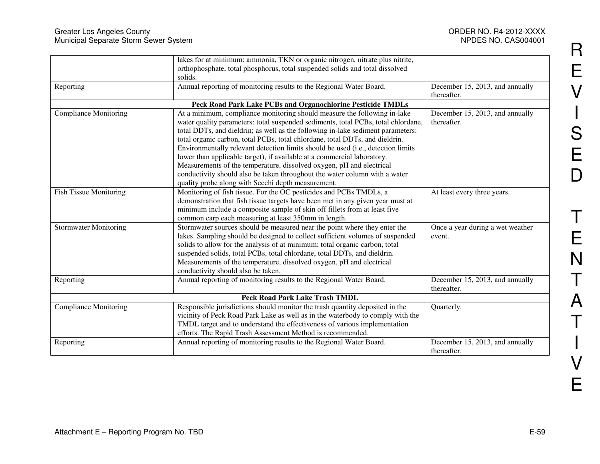|                               | lakes for at minimum: ammonia, TKN or organic nitrogen, nitrate plus nitrite,<br>orthophosphate, total phosphorus, total suspended solids and total dissolved<br>solids.                                                                                                                                                                                                                                                            |                                                |
|-------------------------------|-------------------------------------------------------------------------------------------------------------------------------------------------------------------------------------------------------------------------------------------------------------------------------------------------------------------------------------------------------------------------------------------------------------------------------------|------------------------------------------------|
| Reporting                     | Annual reporting of monitoring results to the Regional Water Board.                                                                                                                                                                                                                                                                                                                                                                 | December 15, 2013, and annually<br>thereafter. |
|                               | Peck Road Park Lake PCBs and Organochlorine Pesticide TMDLs                                                                                                                                                                                                                                                                                                                                                                         |                                                |
| <b>Compliance Monitoring</b>  | At a minimum, compliance monitoring should measure the following in-lake<br>water quality parameters: total suspended sediments, total PCBs, total chlordane,                                                                                                                                                                                                                                                                       | December 15, 2013, and annually<br>thereafter. |
|                               | total DDTs, and dieldrin; as well as the following in-lake sediment parameters:<br>total organic carbon, total PCBs, total chlordane, total DDTs, and dieldrin.<br>Environmentally relevant detection limits should be used (i.e., detection limits                                                                                                                                                                                 |                                                |
|                               | lower than applicable target), if available at a commercial laboratory.<br>Measurements of the temperature, dissolved oxygen, pH and electrical                                                                                                                                                                                                                                                                                     |                                                |
|                               | conductivity should also be taken throughout the water column with a water<br>quality probe along with Secchi depth measurement.                                                                                                                                                                                                                                                                                                    |                                                |
| <b>Fish Tissue Monitoring</b> | Monitoring of fish tissue. For the OC pesticides and PCBs TMDLs, a<br>demonstration that fish tissue targets have been met in any given year must at<br>minimum include a composite sample of skin off fillets from at least five<br>common carp each measuring at least 350mm in length.                                                                                                                                           | At least every three years.                    |
| <b>Stormwater Monitoring</b>  | Stormwater sources should be measured near the point where they enter the<br>lakes. Sampling should be designed to collect sufficient volumes of suspended<br>solids to allow for the analysis of at minimum: total organic carbon, total<br>suspended solids, total PCBs, total chlordane, total DDTs, and dieldrin.<br>Measurements of the temperature, dissolved oxygen, pH and electrical<br>conductivity should also be taken. | Once a year during a wet weather<br>event.     |
| Reporting                     | Annual reporting of monitoring results to the Regional Water Board.                                                                                                                                                                                                                                                                                                                                                                 | December 15, 2013, and annually<br>thereafter. |
|                               | <b>Peck Road Park Lake Trash TMDL</b>                                                                                                                                                                                                                                                                                                                                                                                               |                                                |
| <b>Compliance Monitoring</b>  | Responsible jurisdictions should monitor the trash quantity deposited in the<br>vicinity of Peck Road Park Lake as well as in the waterbody to comply with the<br>TMDL target and to understand the effectiveness of various implementation<br>efforts. The Rapid Trash Assessment Method is recommended.                                                                                                                           | Quarterly.                                     |
| Reporting                     | Annual reporting of monitoring results to the Regional Water Board.                                                                                                                                                                                                                                                                                                                                                                 | December 15, 2013, and annually<br>thereafter. |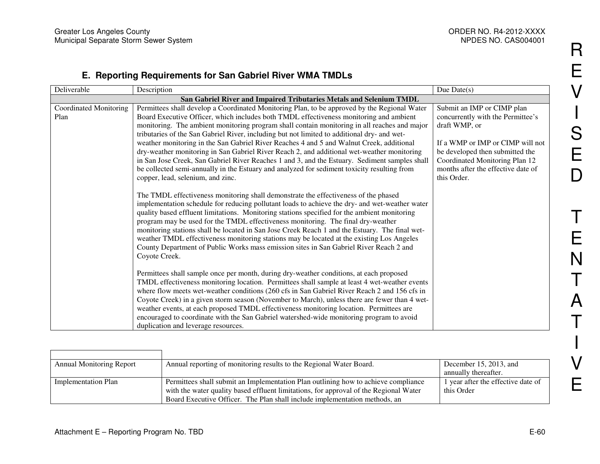## **E. Reporting Requirements for San Gabriel River WMA TMDLs**

| Deliverable            | Description                                                                                             | Due Date $(s)$                     |
|------------------------|---------------------------------------------------------------------------------------------------------|------------------------------------|
|                        | San Gabriel River and Impaired Tributaries Metals and Selenium TMDL                                     |                                    |
| Coordinated Monitoring | Permittees shall develop a Coordinated Monitoring Plan, to be approved by the Regional Water            | Submit an IMP or CIMP plan         |
| Plan                   | Board Executive Officer, which includes both TMDL effectiveness monitoring and ambient                  | concurrently with the Permittee's  |
|                        | monitoring. The ambient monitoring program shall contain monitoring in all reaches and major            | draft WMP, or                      |
|                        | tributaries of the San Gabriel River, including but not limited to additional dry- and wet-             |                                    |
|                        | weather monitoring in the San Gabriel River Reaches 4 and 5 and Walnut Creek, additional                | If a WMP or IMP or CIMP will not   |
|                        | dry-weather monitoring in San Gabriel River Reach 2, and additional wet-weather monitoring              | be developed then submitted the    |
|                        | in San Jose Creek, San Gabriel River Reaches 1 and 3, and the Estuary. Sediment samples shall           | Coordinated Monitoring Plan 12     |
|                        | be collected semi-annually in the Estuary and analyzed for sediment toxicity resulting from             | months after the effective date of |
|                        | copper, lead, selenium, and zinc.                                                                       | this Order.                        |
|                        | The TMDL effectiveness monitoring shall demonstrate the effectiveness of the phased                     |                                    |
|                        | implementation schedule for reducing pollutant loads to achieve the dry- and wet-weather water          |                                    |
|                        | quality based effluent limitations. Monitoring stations specified for the ambient monitoring            |                                    |
|                        | program may be used for the TMDL effectiveness monitoring. The final dry-weather                        |                                    |
|                        | monitoring stations shall be located in San Jose Creek Reach 1 and the Estuary. The final wet-          |                                    |
|                        | weather TMDL effectiveness monitoring stations may be located at the existing Los Angeles               |                                    |
|                        | County Department of Public Works mass emission sites in San Gabriel River Reach 2 and<br>Coyote Creek. |                                    |
|                        |                                                                                                         |                                    |
|                        | Permittees shall sample once per month, during dry-weather conditions, at each proposed                 |                                    |
|                        | TMDL effectiveness monitoring location. Permittees shall sample at least 4 wet-weather events           |                                    |
|                        | where flow meets wet-weather conditions (260 cfs in San Gabriel River Reach 2 and 156 cfs in            |                                    |
|                        | Coyote Creek) in a given storm season (November to March), unless there are fewer than 4 wet-           |                                    |
|                        | weather events, at each proposed TMDL effectiveness monitoring location. Permittees are                 |                                    |
|                        | encouraged to coordinate with the San Gabriel watershed-wide monitoring program to avoid                |                                    |
|                        | duplication and leverage resources.                                                                     |                                    |

| <b>Annual Monitoring Report</b> | Annual reporting of monitoring results to the Regional Water Board.                   | December 15, 2013, and             |
|---------------------------------|---------------------------------------------------------------------------------------|------------------------------------|
|                                 |                                                                                       | annually thereafter.               |
| Implementation Plan             | Permittees shall submit an Implementation Plan outlining how to achieve compliance    | 1 year after the effective date of |
|                                 | with the water quality based effluent limitations, for approval of the Regional Water | this Order                         |
|                                 | Board Executive Officer. The Plan shall include implementation methods, an            |                                    |

R

E

V

**International Contract Contract Contract Contract Contract Contract Contract Contract Contract Contract Contra** 

 $\begin{array}{c} \rule{2mm}{2mm} \rule{2mm}{2mm} \rule{2mm}{2mm} \rule{2mm}{2mm} \rule{2mm}{2mm} \rule{2mm}{2mm} \rule{2mm}{2mm} \rule{2mm}{2mm} \rule{2mm}{2mm} \rule{2mm}{2mm} \rule{2mm}{2mm} \rule{2mm}{2mm} \rule{2mm}{2mm} \rule{2mm}{2mm} \rule{2mm}{2mm} \rule{2mm}{2mm} \rule{2mm}{2mm} \rule{2mm}{2mm} \rule{2mm}{2mm} \rule{2mm}{2mm} \rule{2mm}{2mm} \rule{2mm}{2mm} \rule{2mm}{2mm} \rule{2mm}{$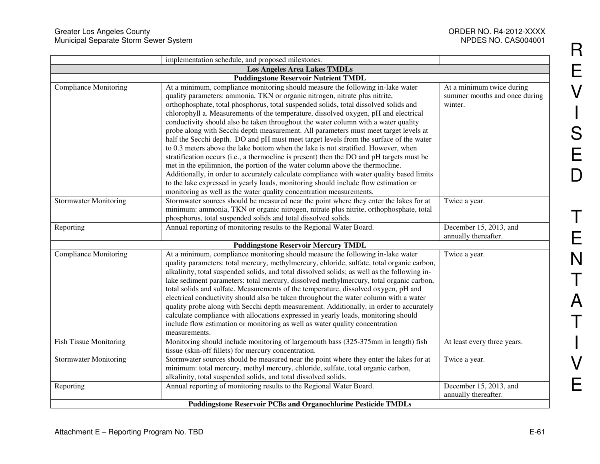|                                     | implementation schedule, and proposed milestones.                                                                                                                                                                                                                                                                                                                                                                                                                                                                                                                                                                                                                                                                                                                                                                                                                                                                                                                                                                                                                                                                                                   |                                                                       |
|-------------------------------------|-----------------------------------------------------------------------------------------------------------------------------------------------------------------------------------------------------------------------------------------------------------------------------------------------------------------------------------------------------------------------------------------------------------------------------------------------------------------------------------------------------------------------------------------------------------------------------------------------------------------------------------------------------------------------------------------------------------------------------------------------------------------------------------------------------------------------------------------------------------------------------------------------------------------------------------------------------------------------------------------------------------------------------------------------------------------------------------------------------------------------------------------------------|-----------------------------------------------------------------------|
| <b>Los Angeles Area Lakes TMDLs</b> |                                                                                                                                                                                                                                                                                                                                                                                                                                                                                                                                                                                                                                                                                                                                                                                                                                                                                                                                                                                                                                                                                                                                                     |                                                                       |
|                                     | <b>Puddingstone Reservoir Nutrient TMDL</b>                                                                                                                                                                                                                                                                                                                                                                                                                                                                                                                                                                                                                                                                                                                                                                                                                                                                                                                                                                                                                                                                                                         |                                                                       |
| <b>Compliance Monitoring</b>        | At a minimum, compliance monitoring should measure the following in-lake water<br>quality parameters: ammonia, TKN or organic nitrogen, nitrate plus nitrite,<br>orthophosphate, total phosphorus, total suspended solids, total dissolved solids and<br>chlorophyll a. Measurements of the temperature, dissolved oxygen, pH and electrical<br>conductivity should also be taken throughout the water column with a water quality<br>probe along with Secchi depth measurement. All parameters must meet target levels at<br>half the Secchi depth. DO and pH must meet target levels from the surface of the water<br>to 0.3 meters above the lake bottom when the lake is not stratified. However, when<br>stratification occurs (i.e., a thermocline is present) then the DO and pH targets must be<br>met in the epilimnion, the portion of the water column above the thermocline.<br>Additionally, in order to accurately calculate compliance with water quality based limits<br>to the lake expressed in yearly loads, monitoring should include flow estimation or<br>monitoring as well as the water quality concentration measurements. | At a minimum twice during<br>summer months and once during<br>winter. |
| <b>Stormwater Monitoring</b>        | Stormwater sources should be measured near the point where they enter the lakes for at<br>minimum: ammonia, TKN or organic nitrogen, nitrate plus nitrite, orthophosphate, total<br>phosphorus, total suspended solids and total dissolved solids.                                                                                                                                                                                                                                                                                                                                                                                                                                                                                                                                                                                                                                                                                                                                                                                                                                                                                                  | Twice a year.                                                         |
| Reporting                           | Annual reporting of monitoring results to the Regional Water Board.                                                                                                                                                                                                                                                                                                                                                                                                                                                                                                                                                                                                                                                                                                                                                                                                                                                                                                                                                                                                                                                                                 | December 15, 2013, and<br>annually thereafter.                        |
|                                     | <b>Puddingstone Reservoir Mercury TMDL</b>                                                                                                                                                                                                                                                                                                                                                                                                                                                                                                                                                                                                                                                                                                                                                                                                                                                                                                                                                                                                                                                                                                          |                                                                       |
| <b>Compliance Monitoring</b>        | At a minimum, compliance monitoring should measure the following in-lake water<br>quality parameters: total mercury, methylmercury, chloride, sulfate, total organic carbon,<br>alkalinity, total suspended solids, and total dissolved solids; as well as the following in-<br>lake sediment parameters: total mercury, dissolved methylmercury, total organic carbon,<br>total solids and sulfate. Measurements of the temperature, dissolved oxygen, pH and<br>electrical conductivity should also be taken throughout the water column with a water<br>quality probe along with Secchi depth measurement. Additionally, in order to accurately<br>calculate compliance with allocations expressed in yearly loads, monitoring should<br>include flow estimation or monitoring as well as water quality concentration<br>measurements.                                                                                                                                                                                                                                                                                                           | Twice a year.                                                         |
| <b>Fish Tissue Monitoring</b>       | Monitoring should include monitoring of largemouth bass (325-375mm in length) fish<br>tissue (skin-off fillets) for mercury concentration.                                                                                                                                                                                                                                                                                                                                                                                                                                                                                                                                                                                                                                                                                                                                                                                                                                                                                                                                                                                                          | At least every three years.                                           |
| <b>Stormwater Monitoring</b>        | Stormwater sources should be measured near the point where they enter the lakes for at<br>minimum: total mercury, methyl mercury, chloride, sulfate, total organic carbon,<br>alkalinity, total suspended solids, and total dissolved solids.                                                                                                                                                                                                                                                                                                                                                                                                                                                                                                                                                                                                                                                                                                                                                                                                                                                                                                       | Twice a year.                                                         |
| Reporting                           | Annual reporting of monitoring results to the Regional Water Board.                                                                                                                                                                                                                                                                                                                                                                                                                                                                                                                                                                                                                                                                                                                                                                                                                                                                                                                                                                                                                                                                                 | December 15, 2013, and<br>annually thereafter.                        |
|                                     | <b>Puddingstone Reservoir PCBs and Organochlorine Pesticide TMDLs</b>                                                                                                                                                                                                                                                                                                                                                                                                                                                                                                                                                                                                                                                                                                                                                                                                                                                                                                                                                                                                                                                                               |                                                                       |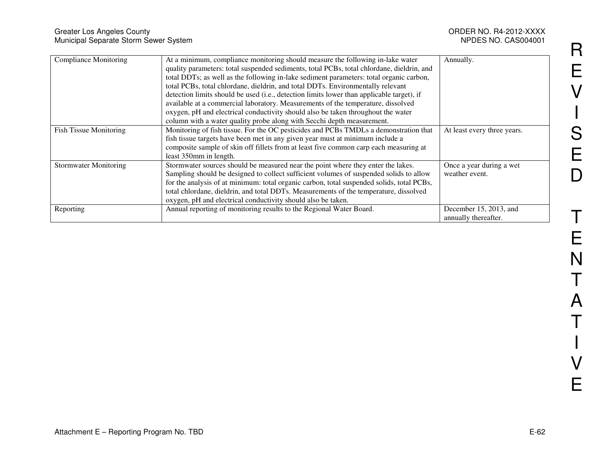| Greater Los Angeles County<br>Municipal Separate Storm Sewer System |                                                                                                                                                                                                                                                                                                                                                                                                                                                                                                                                                                                                                                                                                                          | ORDER NO. R4-2012-XXXX<br>NPDES NO. CAS004001  |
|---------------------------------------------------------------------|----------------------------------------------------------------------------------------------------------------------------------------------------------------------------------------------------------------------------------------------------------------------------------------------------------------------------------------------------------------------------------------------------------------------------------------------------------------------------------------------------------------------------------------------------------------------------------------------------------------------------------------------------------------------------------------------------------|------------------------------------------------|
| <b>Compliance Monitoring</b>                                        | At a minimum, compliance monitoring should measure the following in-lake water<br>quality parameters: total suspended sediments, total PCBs, total chlordane, dieldrin, and<br>total DDTs; as well as the following in-lake sediment parameters: total organic carbon,<br>total PCBs, total chlordane, dieldrin, and total DDTs. Environmentally relevant<br>detection limits should be used (i.e., detection limits lower than applicable target), if<br>available at a commercial laboratory. Measurements of the temperature, dissolved<br>oxygen, pH and electrical conductivity should also be taken throughout the water<br>column with a water quality probe along with Secchi depth measurement. | Annually.                                      |
| Fish Tissue Monitoring                                              | Monitoring of fish tissue. For the OC pesticides and PCBs TMDLs a demonstration that<br>fish tissue targets have been met in any given year must at minimum include a<br>composite sample of skin off fillets from at least five common carp each measuring at<br>least 350mm in length.                                                                                                                                                                                                                                                                                                                                                                                                                 | At least every three years.                    |
| <b>Stormwater Monitoring</b>                                        | Stormwater sources should be measured near the point where they enter the lakes.<br>Sampling should be designed to collect sufficient volumes of suspended solids to allow<br>for the analysis of at minimum: total organic carbon, total suspended solids, total PCBs,<br>total chlordane, dieldrin, and total DDTs. Measurements of the temperature, dissolved<br>oxygen, pH and electrical conductivity should also be taken.                                                                                                                                                                                                                                                                         | Once a year during a wet<br>weather event.     |
| Reporting                                                           | Annual reporting of monitoring results to the Regional Water Board.                                                                                                                                                                                                                                                                                                                                                                                                                                                                                                                                                                                                                                      | December 15, 2013, and<br>annually thereafter. |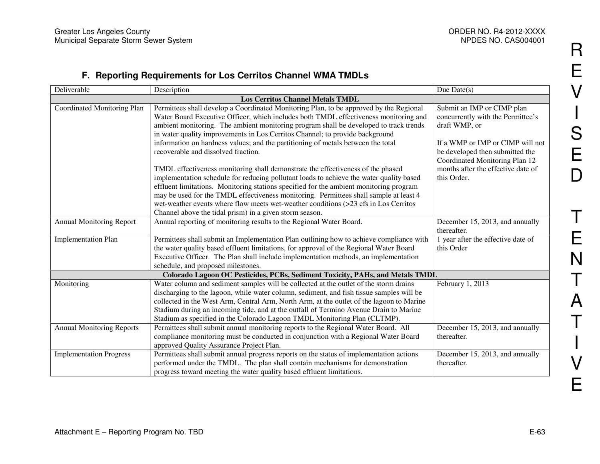## **F. Reporting Requirements for Los Cerritos Channel WMA TMDLs**

| Deliverable                                                                   | Description                                                                              | Due Date $(s)$                     |  |
|-------------------------------------------------------------------------------|------------------------------------------------------------------------------------------|------------------------------------|--|
| <b>Los Cerritos Channel Metals TMDL</b>                                       |                                                                                          |                                    |  |
| Coordinated Monitoring Plan                                                   | Permittees shall develop a Coordinated Monitoring Plan, to be approved by the Regional   | Submit an IMP or CIMP plan         |  |
|                                                                               | Water Board Executive Officer, which includes both TMDL effectiveness monitoring and     | concurrently with the Permittee's  |  |
|                                                                               | ambient monitoring. The ambient monitoring program shall be developed to track trends    | draft WMP, or                      |  |
|                                                                               | in water quality improvements in Los Cerritos Channel; to provide background             |                                    |  |
|                                                                               | information on hardness values; and the partitioning of metals between the total         | If a WMP or IMP or CIMP will not   |  |
|                                                                               | recoverable and dissolved fraction.                                                      | be developed then submitted the    |  |
|                                                                               |                                                                                          | Coordinated Monitoring Plan 12     |  |
|                                                                               | TMDL effectiveness monitoring shall demonstrate the effectiveness of the phased          | months after the effective date of |  |
|                                                                               | implementation schedule for reducing pollutant loads to achieve the water quality based  | this Order.                        |  |
|                                                                               | effluent limitations. Monitoring stations specified for the ambient monitoring program   |                                    |  |
|                                                                               | may be used for the TMDL effectiveness monitoring. Permittees shall sample at least 4    |                                    |  |
|                                                                               | wet-weather events where flow meets wet-weather conditions (>23 cfs in Los Cerritos      |                                    |  |
|                                                                               | Channel above the tidal prism) in a given storm season.                                  |                                    |  |
| <b>Annual Monitoring Report</b>                                               | Annual reporting of monitoring results to the Regional Water Board.                      | December 15, 2013, and annually    |  |
|                                                                               |                                                                                          | thereafter.                        |  |
| <b>Implementation Plan</b>                                                    | Permittees shall submit an Implementation Plan outlining how to achieve compliance with  | 1 year after the effective date of |  |
|                                                                               | the water quality based effluent limitations, for approval of the Regional Water Board   | this Order                         |  |
|                                                                               | Executive Officer. The Plan shall include implementation methods, an implementation      |                                    |  |
|                                                                               | schedule, and proposed milestones.                                                       |                                    |  |
| Colorado Lagoon OC Pesticides, PCBs, Sediment Toxicity, PAHs, and Metals TMDL |                                                                                          |                                    |  |
| Monitoring                                                                    | Water column and sediment samples will be collected at the outlet of the storm drains    | February 1, 2013                   |  |
|                                                                               | discharging to the lagoon, while water column, sediment, and fish tissue samples will be |                                    |  |
|                                                                               | collected in the West Arm, Central Arm, North Arm, at the outlet of the lagoon to Marine |                                    |  |
|                                                                               | Stadium during an incoming tide, and at the outfall of Termino Avenue Drain to Marine    |                                    |  |
|                                                                               | Stadium as specified in the Colorado Lagoon TMDL Monitoring Plan (CLTMP).                |                                    |  |
| <b>Annual Monitoring Reports</b>                                              | Permittees shall submit annual monitoring reports to the Regional Water Board. All       | December 15, 2013, and annually    |  |
|                                                                               | compliance monitoring must be conducted in conjunction with a Regional Water Board       | thereafter.                        |  |
|                                                                               | approved Quality Assurance Project Plan.                                                 |                                    |  |
| <b>Implementation Progress</b>                                                | Permittees shall submit annual progress reports on the status of implementation actions  | December 15, 2013, and annually    |  |
|                                                                               | performed under the TMDL. The plan shall contain mechanisms for demonstration            | thereafter.                        |  |
|                                                                               | progress toward meeting the water quality based effluent limitations.                    |                                    |  |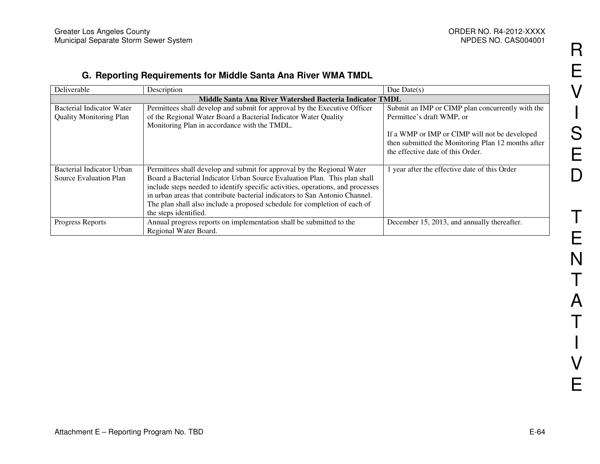## **G. Reporting Requirements for Middle Santa Ana River WMA TMDL**

| Deliverable                                              | Description                                                                     | Due Date $(s)$                                     |  |
|----------------------------------------------------------|---------------------------------------------------------------------------------|----------------------------------------------------|--|
| Middle Santa Ana River Watershed Bacteria Indicator TMDL |                                                                                 |                                                    |  |
| Bacterial Indicator Water                                | Permittees shall develop and submit for approval by the Executive Officer       | Submit an IMP or CIMP plan concurrently with the   |  |
| <b>Quality Monitoring Plan</b>                           | of the Regional Water Board a Bacterial Indicator Water Quality                 | Permittee's draft WMP, or                          |  |
|                                                          | Monitoring Plan in accordance with the TMDL.                                    |                                                    |  |
|                                                          |                                                                                 | If a WMP or IMP or CIMP will not be developed      |  |
|                                                          |                                                                                 | then submitted the Monitoring Plan 12 months after |  |
|                                                          |                                                                                 | the effective date of this Order.                  |  |
|                                                          |                                                                                 |                                                    |  |
| Bacterial Indicator Urban                                | Permittees shall develop and submit for approval by the Regional Water          | 1 year after the effective date of this Order      |  |
| Source Evaluation Plan                                   | Board a Bacterial Indicator Urban Source Evaluation Plan. This plan shall       |                                                    |  |
|                                                          | include steps needed to identify specific activities, operations, and processes |                                                    |  |
|                                                          | in urban areas that contribute bacterial indicators to San Antonio Channel.     |                                                    |  |
|                                                          | The plan shall also include a proposed schedule for completion of each of       |                                                    |  |
|                                                          | the steps identified.                                                           |                                                    |  |
| Progress Reports                                         | Annual progress reports on implementation shall be submitted to the             | December 15, 2013, and annually thereafter.        |  |
|                                                          | Regional Water Board.                                                           |                                                    |  |